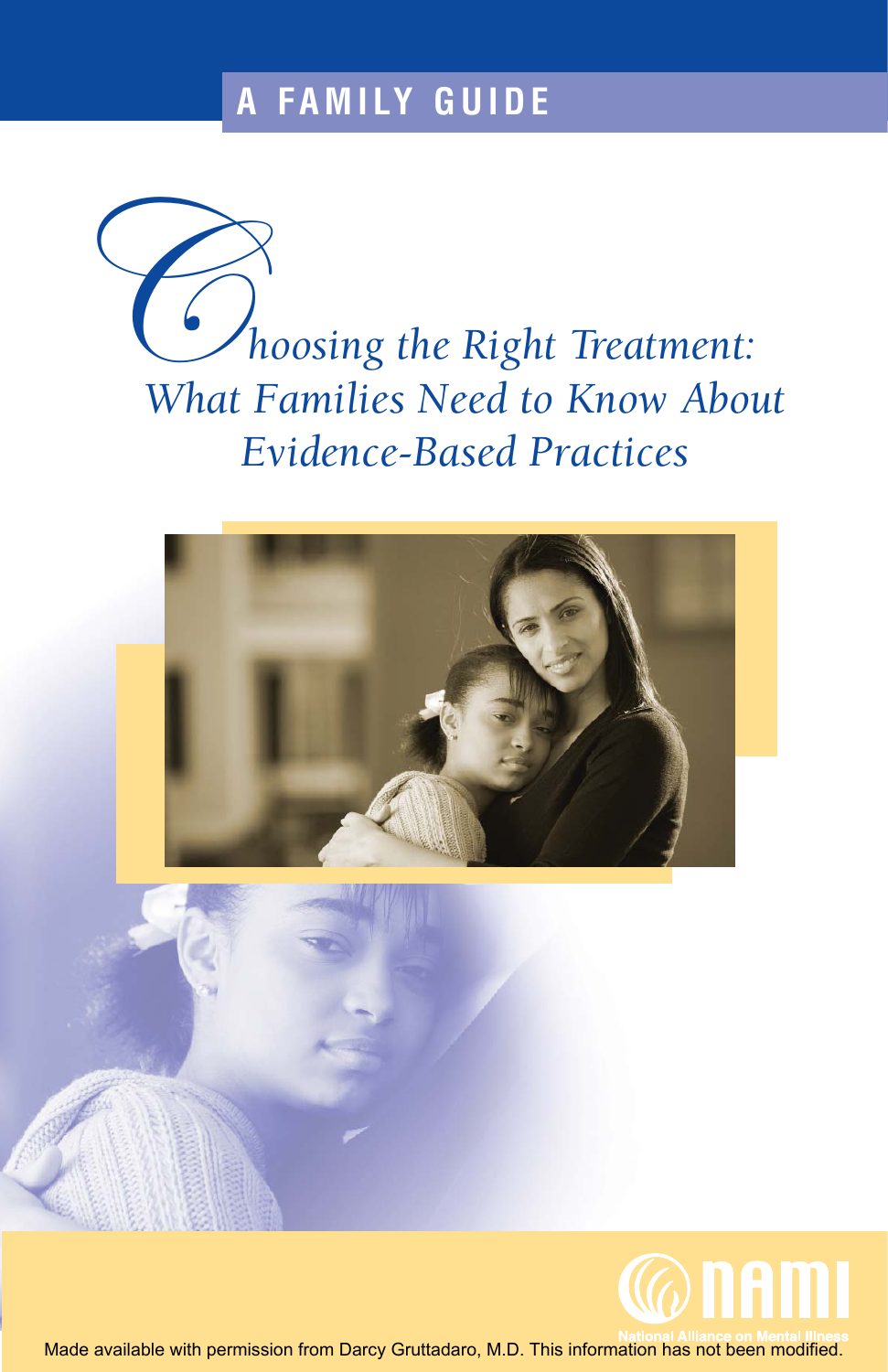# **A FAMILY GUIDE**

C*hoosing the Right Treatment: What Families Need to Know About Evidence-Based Practices*





Made available with permission from Darcy Gruttadaro, M.D. This information has not been modified.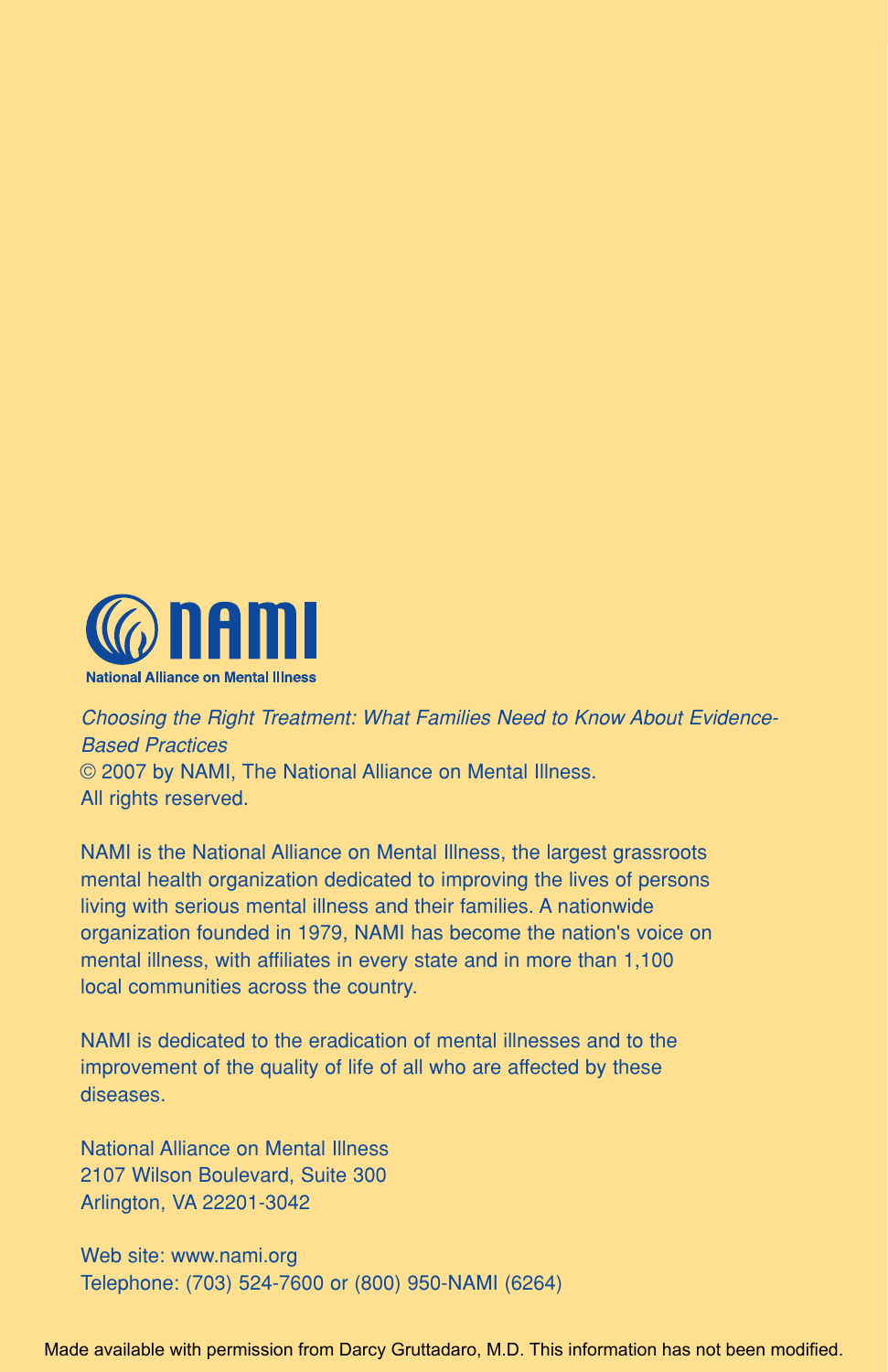

Choosing the Right Treatment: What Families Need to Know About Evidence-Based Practices © 2007 by NAMI, The National Alliance on Mental Illness. All rights reserved.

NAMI is the National Alliance on Mental Illness, the largest grassroots mental health organization dedicated to improving the lives of persons living with serious mental illness and their families. A nationwide organization founded in 1979, NAMI has become the nation's voice on mental illness, with affiliates in every state and in more than 1,100 local communities across the country.

NAMI is dedicated to the eradication of mental illnesses and to the improvement of the quality of life of all who are affected by these diseases.

National Alliance on Mental Illness 2107 Wilson Boulevard, Suite 300 Arlington, VA 22201-3042

Web site: www.nami.org Telephone: (703) 524-7600 or (800) 950-NAMI (6264)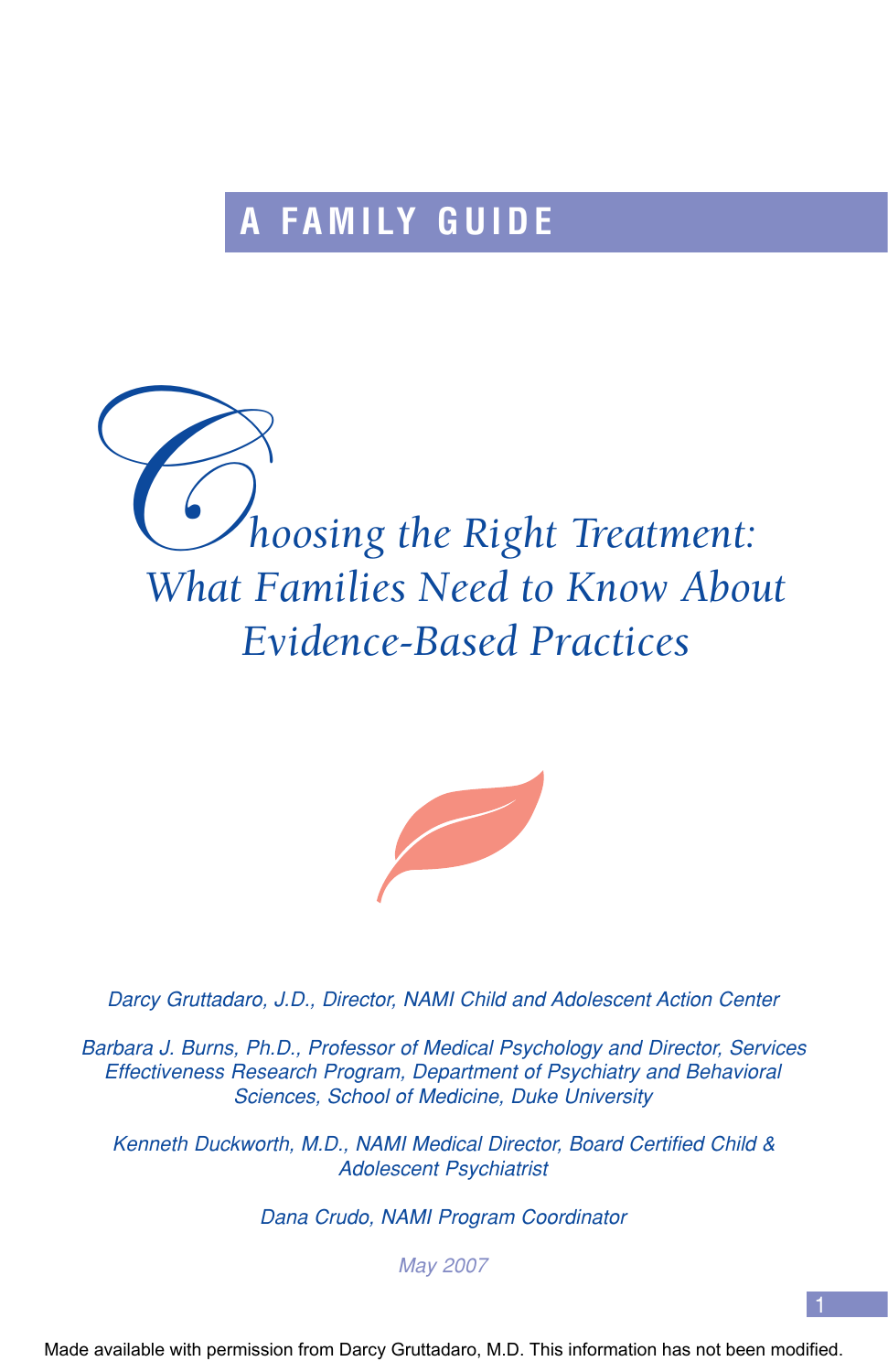# **FAMILY GUIDE**

**Computer Supplier Supplier School School Section** Speed to Know About Treatment: *What Families Need to Know About Evidence-Based Practices*



Darcy Gruttadaro, J.D., Director, NAMI Child and Adolescent Action Center

Barbara J. Burns, Ph.D., Professor of Medical Psychology and Director, Services Effectiveness Research Program, Department of Psychiatry and Behavioral Sciences, School of Medicine, Duke University

Kenneth Duckworth, M.D., NAMI Medical Director, Board Certified Child & Adolescent Psychiatrist

Dana Crudo, NAMI Program Coordinator

May 2007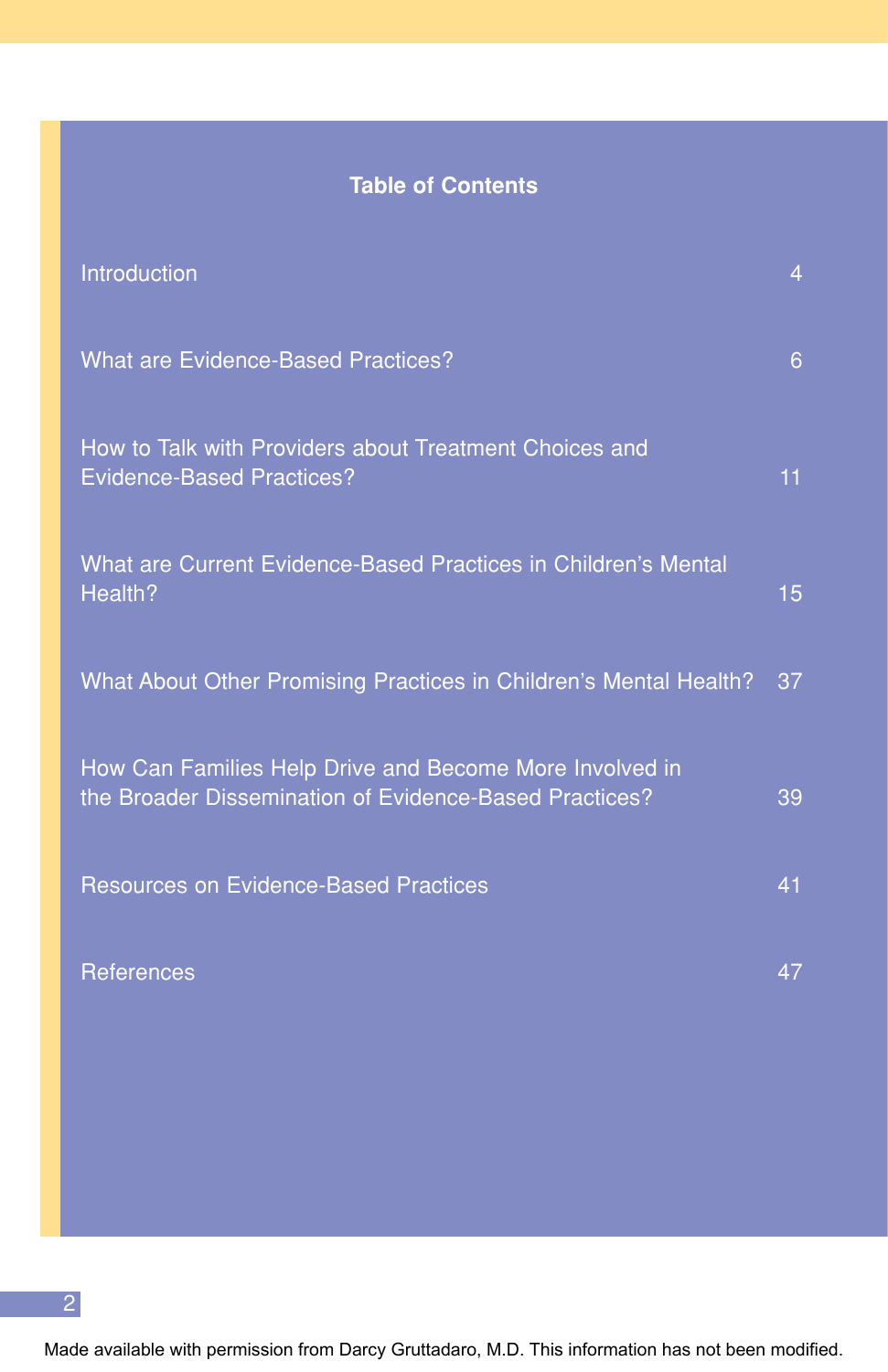## **Table of Contents**

| Introduction                                                                                                      | 4  |
|-------------------------------------------------------------------------------------------------------------------|----|
| <b>What are Evidence-Based Practices?</b>                                                                         | 6  |
| How to Talk with Providers about Treatment Choices and<br><b>Evidence-Based Practices?</b>                        | 11 |
| What are Current Evidence-Based Practices in Children's Mental<br>Health?                                         | 15 |
| What About Other Promising Practices in Children's Mental Health?                                                 | 37 |
| How Can Families Help Drive and Become More Involved in<br>the Broader Dissemination of Evidence-Based Practices? | 39 |
| <b>Resources on Evidence-Based Practices</b>                                                                      | 41 |
| References                                                                                                        | 47 |

2

Made available with permission from Darcy Gruttadaro, M.D. This information has not been modified.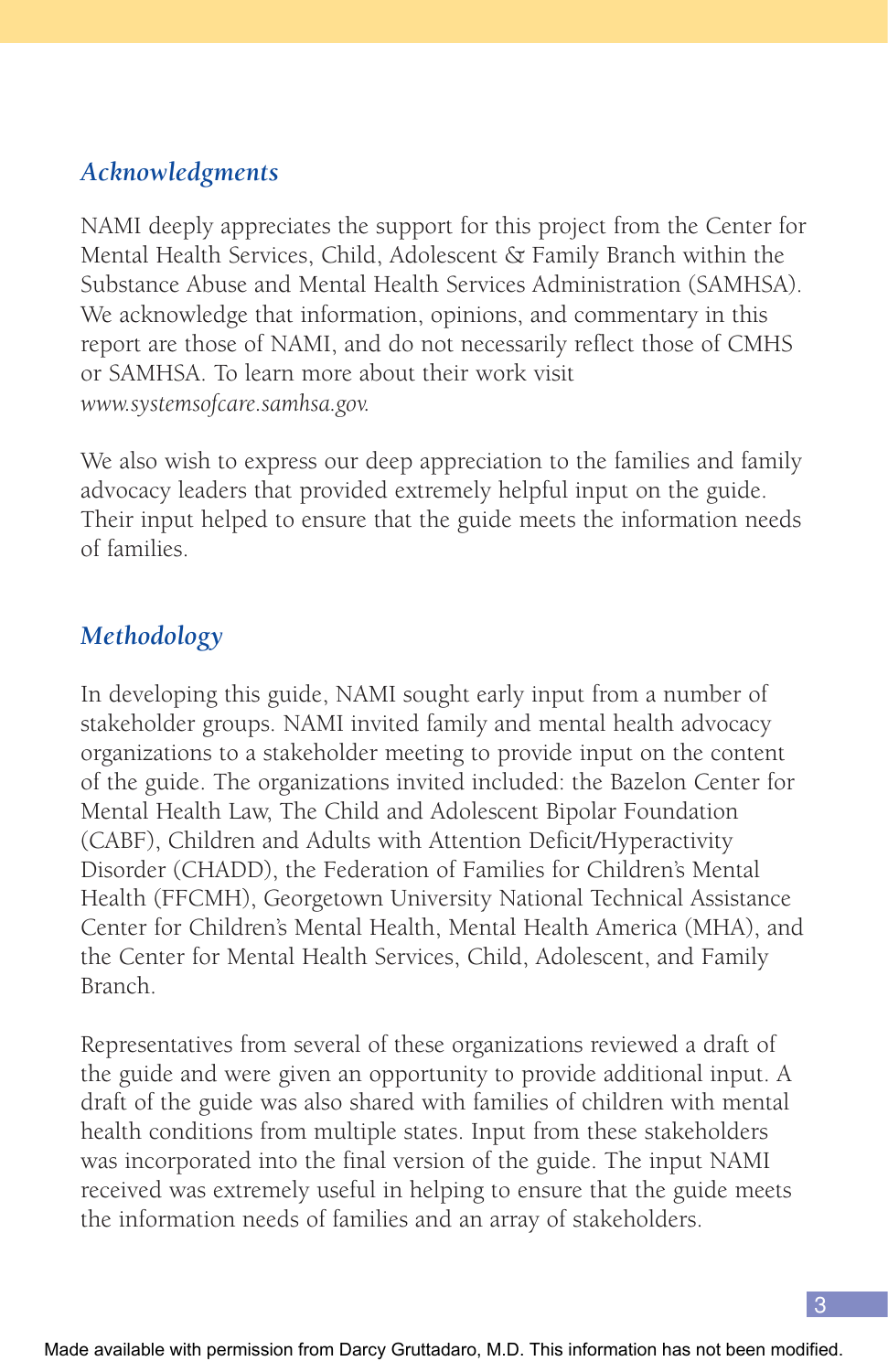## *Acknowledgments*

NAMI deeply appreciates the support for this project from the Center for Mental Health Services, Child, Adolescent & Family Branch within the Substance Abuse and Mental Health Services Administration (SAMHSA). We acknowledge that information, opinions, and commentary in this report are those of NAMI, and do not necessarily reflect those of CMHS or SAMHSA. To learn more about their work visit *www.systemsofcare.samhsa.gov.*

We also wish to express our deep appreciation to the families and family advocacy leaders that provided extremely helpful input on the guide. Their input helped to ensure that the guide meets the information needs of families.

## *Methodology*

In developing this guide, NAMI sought early input from a number of stakeholder groups. NAMI invited family and mental health advocacy organizations to a stakeholder meeting to provide input on the content of the guide. The organizations invited included: the Bazelon Center for Mental Health Law, The Child and Adolescent Bipolar Foundation (CABF), Children and Adults with Attention Deficit/Hyperactivity Disorder (CHADD), the Federation of Families for Children's Mental Health (FFCMH), Georgetown University National Technical Assistance Center for Children's Mental Health, Mental Health America (MHA), and the Center for Mental Health Services, Child, Adolescent, and Family Branch.

Representatives from several of these organizations reviewed a draft of the guide and were given an opportunity to provide additional input. A draft of the guide was also shared with families of children with mental health conditions from multiple states. Input from these stakeholders was incorporated into the final version of the guide. The input NAMI received was extremely useful in helping to ensure that the guide meets the information needs of families and an array of stakeholders.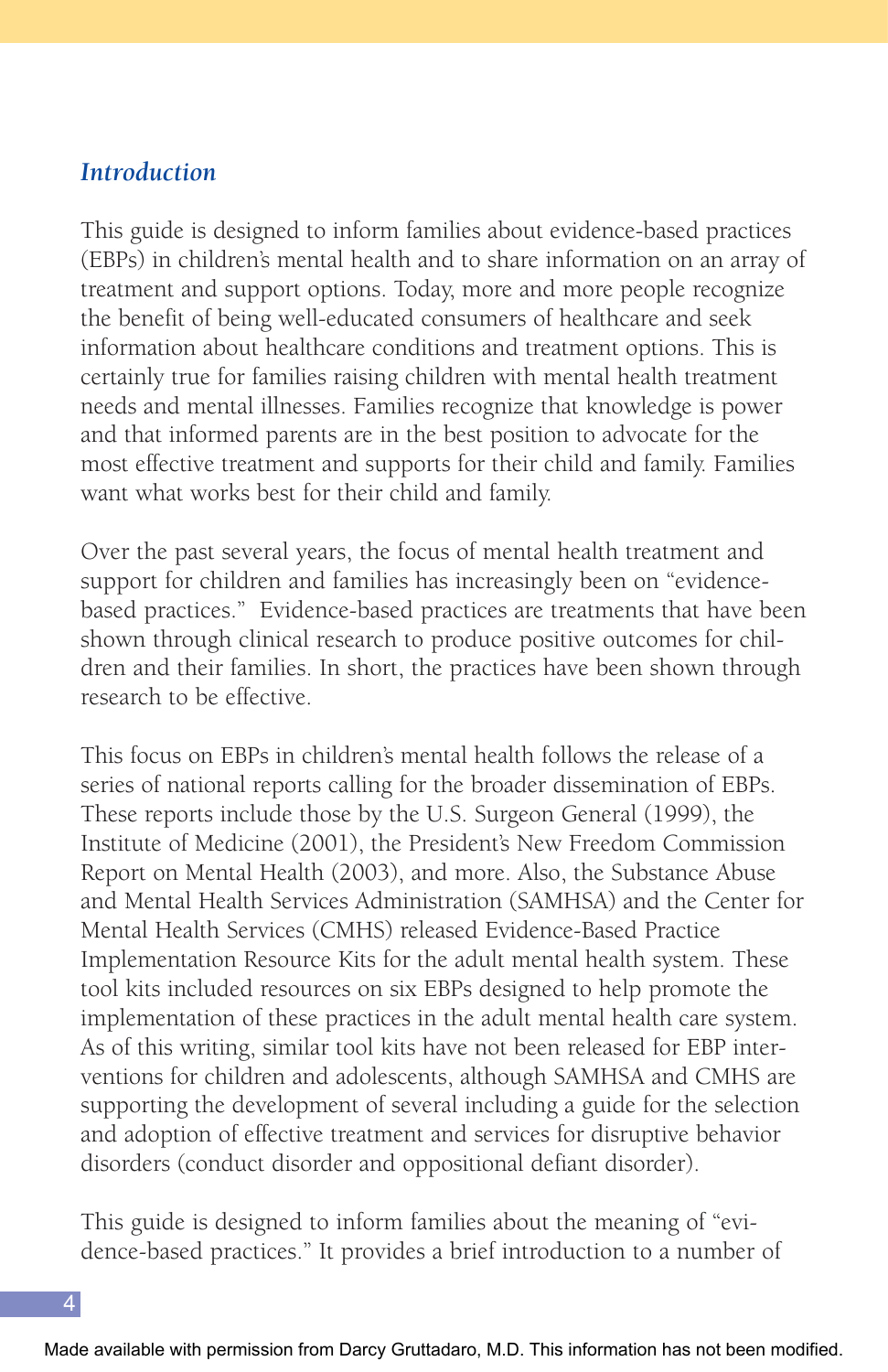### *Introduction*

This guide is designed to inform families about evidence-based practices (EBPs) in children's mental health and to share information on an array of treatment and support options. Today, more and more people recognize the benefit of being well-educated consumers of healthcare and seek information about healthcare conditions and treatment options. This is certainly true for families raising children with mental health treatment needs and mental illnesses. Families recognize that knowledge is power and that informed parents are in the best position to advocate for the most effective treatment and supports for their child and family. Families want what works best for their child and family.

Over the past several years, the focus of mental health treatment and support for children and families has increasingly been on "evidencebased practices." Evidence-based practices are treatments that have been shown through clinical research to produce positive outcomes for children and their families. In short, the practices have been shown through research to be effective.

This focus on EBPs in children's mental health follows the release of a series of national reports calling for the broader dissemination of EBPs. These reports include those by the U.S. Surgeon General (1999), the Institute of Medicine (2001), the President's New Freedom Commission Report on Mental Health (2003), and more. Also, the Substance Abuse and Mental Health Services Administration (SAMHSA) and the Center for Mental Health Services (CMHS) released Evidence-Based Practice Implementation Resource Kits for the adult mental health system. These tool kits included resources on six EBPs designed to help promote the implementation of these practices in the adult mental health care system. As of this writing, similar tool kits have not been released for EBP interventions for children and adolescents, although SAMHSA and CMHS are supporting the development of several including a guide for the selection and adoption of effective treatment and services for disruptive behavior disorders (conduct disorder and oppositional defiant disorder).

This guide is designed to inform families about the meaning of "evidence-based practices." It provides a brief introduction to a number of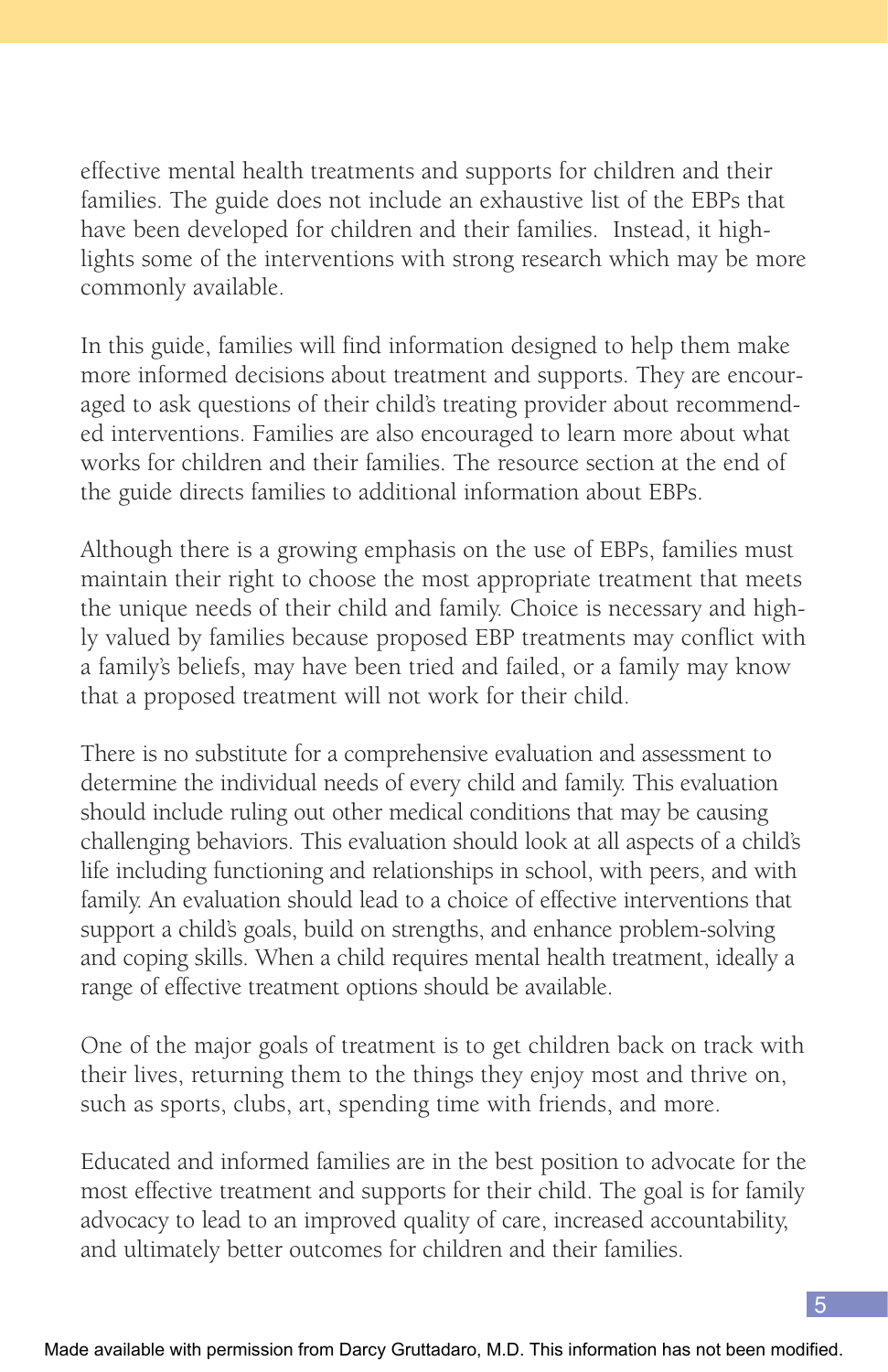effective mental health treatments and supports for children and their families. The guide does not include an exhaustive list of the EBPs that have been developed for children and their families. Instead, it highlights some of the interventions with strong research which may be more commonly available.

In this guide, families will find information designed to help them make more informed decisions about treatment and supports. They are encouraged to ask questions of their child's treating provider about recommended interventions. Families are also encouraged to learn more about what works for children and their families. The resource section at the end of the guide directs families to additional information about EBPs.

Although there is a growing emphasis on the use of EBPs, families must maintain their right to choose the most appropriate treatment that meets the unique needs of their child and family. Choice is necessary and highly valued by families because proposed EBP treatments may conflict with a family's beliefs, may have been tried and failed, or a family may know that a proposed treatment will not work for their child.

There is no substitute for a comprehensive evaluation and assessment to determine the individual needs of every child and family. This evaluation should include ruling out other medical conditions that may be causing challenging behaviors. This evaluation should look at all aspects of a child's life including functioning and relationships in school, with peers, and with family. An evaluation should lead to a choice of effective interventions that support a child's goals, build on strengths, and enhance problem-solving and coping skills. When a child requires mental health treatment, ideally a range of effective treatment options should be available.

One of the major goals of treatment is to get children back on track with their lives, returning them to the things they enjoy most and thrive on, such as sports, clubs, art, spending time with friends, and more.

Educated and informed families are in the best position to advocate for the most effective treatment and supports for their child. The goal is for family advocacy to lead to an improved quality of care, increased accountability, and ultimately better outcomes for children and their families.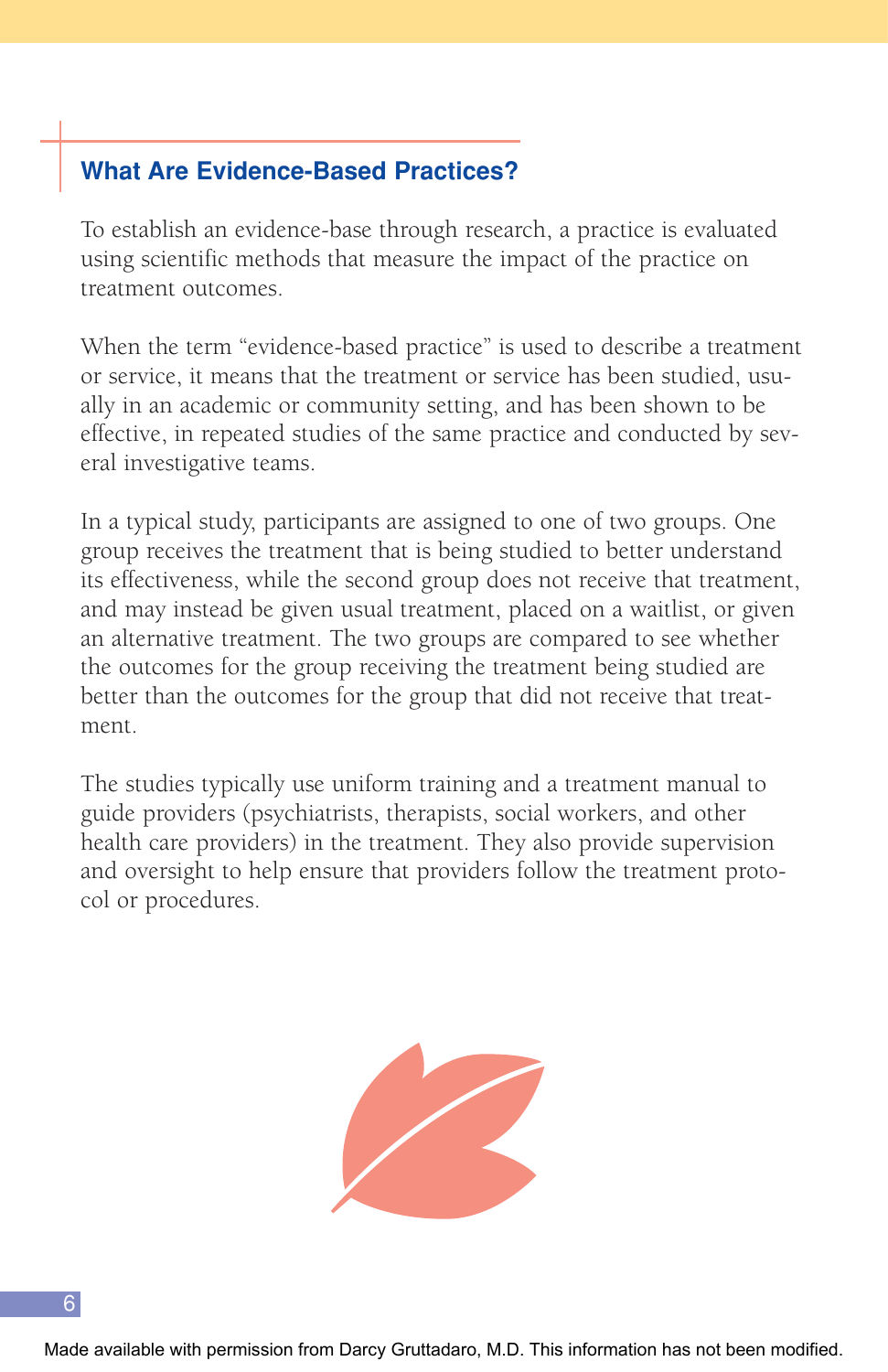## **What Are Evidence-Based Practices?**

To establish an evidence-base through research, a practice is evaluated using scientific methods that measure the impact of the practice on treatment outcomes.

When the term "evidence-based practice" is used to describe a treatment or service, it means that the treatment or service has been studied, usually in an academic or community setting, and has been shown to be effective, in repeated studies of the same practice and conducted by several investigative teams.

In a typical study, participants are assigned to one of two groups. One group receives the treatment that is being studied to better understand its effectiveness, while the second group does not receive that treatment, and may instead be given usual treatment, placed on a waitlist, or given an alternative treatment. The two groups are compared to see whether the outcomes for the group receiving the treatment being studied are better than the outcomes for the group that did not receive that treatment.

The studies typically use uniform training and a treatment manual to guide providers (psychiatrists, therapists, social workers, and other health care providers) in the treatment. They also provide supervision and oversight to help ensure that providers follow the treatment protocol or procedures.



Made available with permission from Darcy Gruttadaro, M.D. This information has not been modified.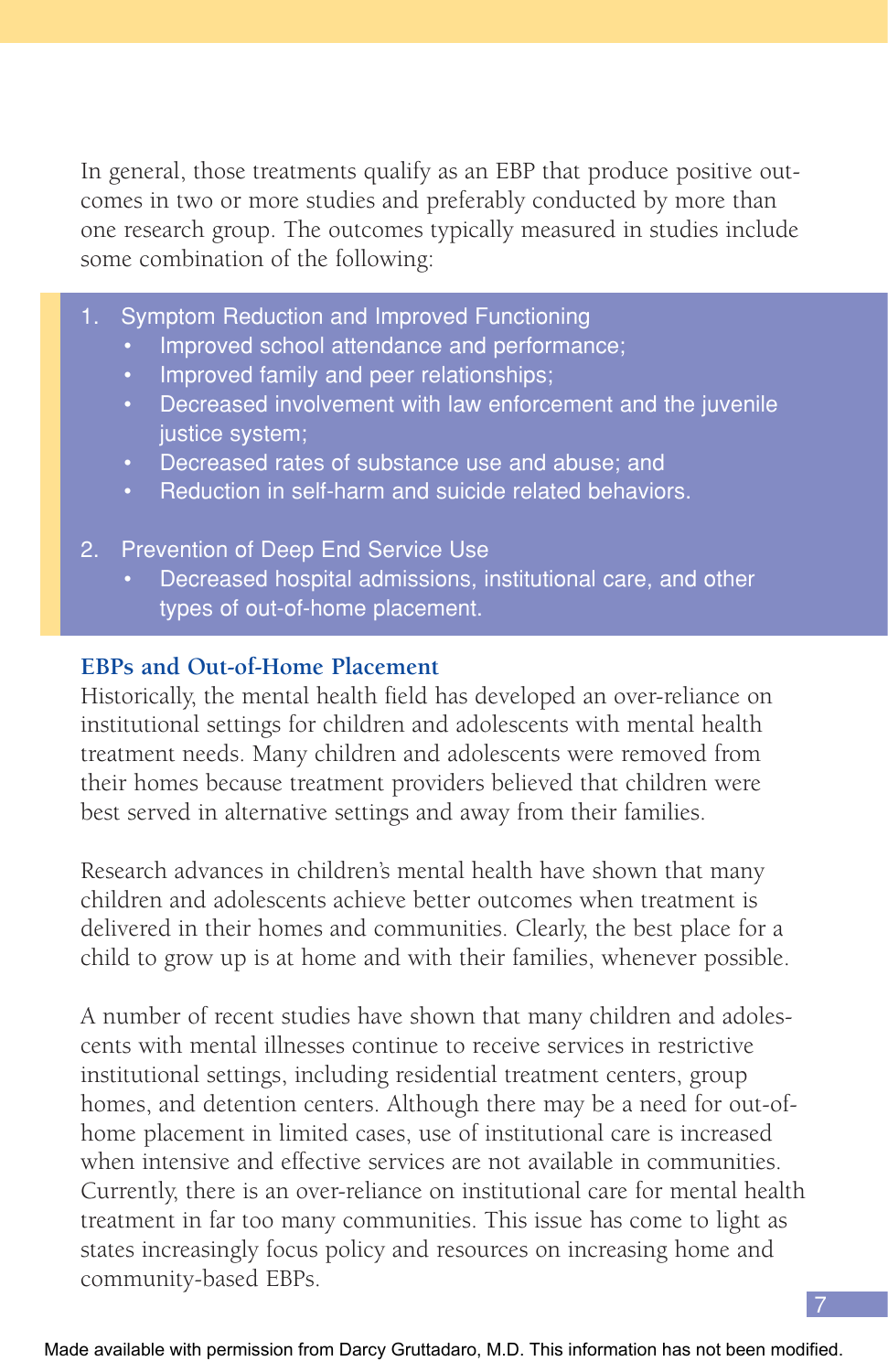In general, those treatments qualify as an EBP that produce positive outcomes in two or more studies and preferably conducted by more than one research group. The outcomes typically measured in studies include some combination of the following:

- 1. Symptom Reduction and Improved Functioning
	- Improved school attendance and performance;
	- Improved family and peer relationships;
	- Decreased involvement with law enforcement and the juvenile justice system;
	- Decreased rates of substance use and abuse; and
	- Reduction in self-harm and suicide related behaviors.

#### 2. Prevention of Deep End Service Use

• Decreased hospital admissions, institutional care, and other types of out-of-home placement.

#### **EBPs and Out-of-Home Placement**

Historically, the mental health field has developed an over-reliance on institutional settings for children and adolescents with mental health treatment needs. Many children and adolescents were removed from their homes because treatment providers believed that children were best served in alternative settings and away from their families.

Research advances in children's mental health have shown that many children and adolescents achieve better outcomes when treatment is delivered in their homes and communities. Clearly, the best place for a child to grow up is at home and with their families, whenever possible.

A number of recent studies have shown that many children and adolescents with mental illnesses continue to receive services in restrictive institutional settings, including residential treatment centers, group homes, and detention centers. Although there may be a need for out-ofhome placement in limited cases, use of institutional care is increased when intensive and effective services are not available in communities. Currently, there is an over-reliance on institutional care for mental health treatment in far too many communities. This issue has come to light as states increasingly focus policy and resources on increasing home and community-based EBPs.

7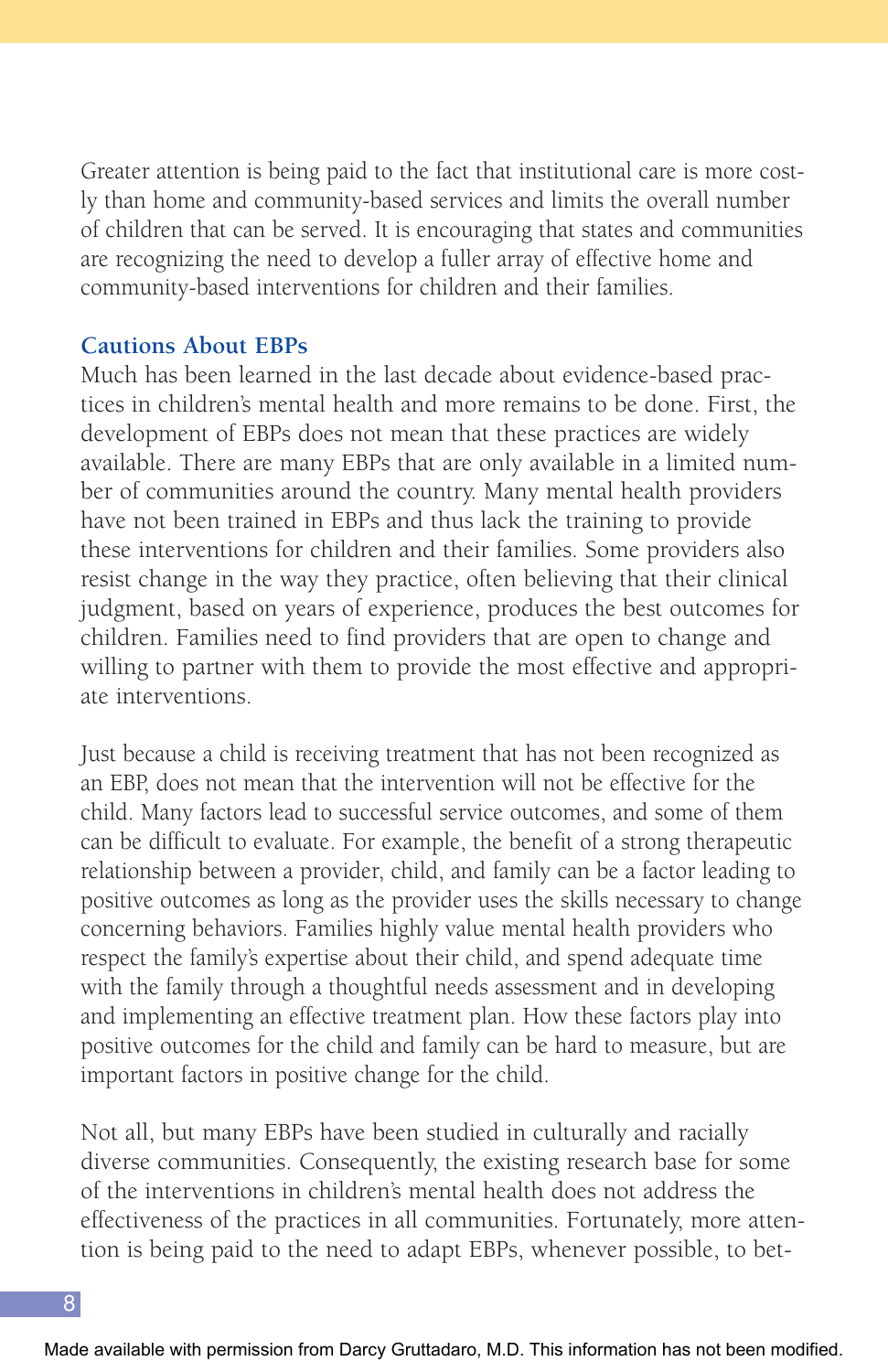Greater attention is being paid to the fact that institutional care is more costly than home and community-based services and limits the overall number of children that can be served. It is encouraging that states and communities are recognizing the need to develop a fuller array of effective home and community-based interventions for children and their families.

#### **Cautions About EBPs**

Much has been learned in the last decade about evidence-based practices in children's mental health and more remains to be done. First, the development of EBPs does not mean that these practices are widely available. There are many EBPs that are only available in a limited number of communities around the country. Many mental health providers have not been trained in EBPs and thus lack the training to provide these interventions for children and their families. Some providers also resist change in the way they practice, often believing that their clinical judgment, based on years of experience, produces the best outcomes for children. Families need to find providers that are open to change and willing to partner with them to provide the most effective and appropriate interventions.

Just because a child is receiving treatment that has not been recognized as an EBP, does not mean that the intervention will not be effective for the child. Many factors lead to successful service outcomes, and some of them can be difficult to evaluate. For example, the benefit of a strong therapeutic relationship between a provider, child, and family can be a factor leading to positive outcomes as long as the provider uses the skills necessary to change concerning behaviors. Families highly value mental health providers who respect the family's expertise about their child, and spend adequate time with the family through a thoughtful needs assessment and in developing and implementing an effective treatment plan. How these factors play into positive outcomes for the child and family can be hard to measure, but are important factors in positive change for the child.

Not all, but many EBPs have been studied in culturally and racially diverse communities. Consequently, the existing research base for some of the interventions in children's mental health does not address the effectiveness of the practices in all communities. Fortunately, more attention is being paid to the need to adapt EBPs, whenever possible, to bet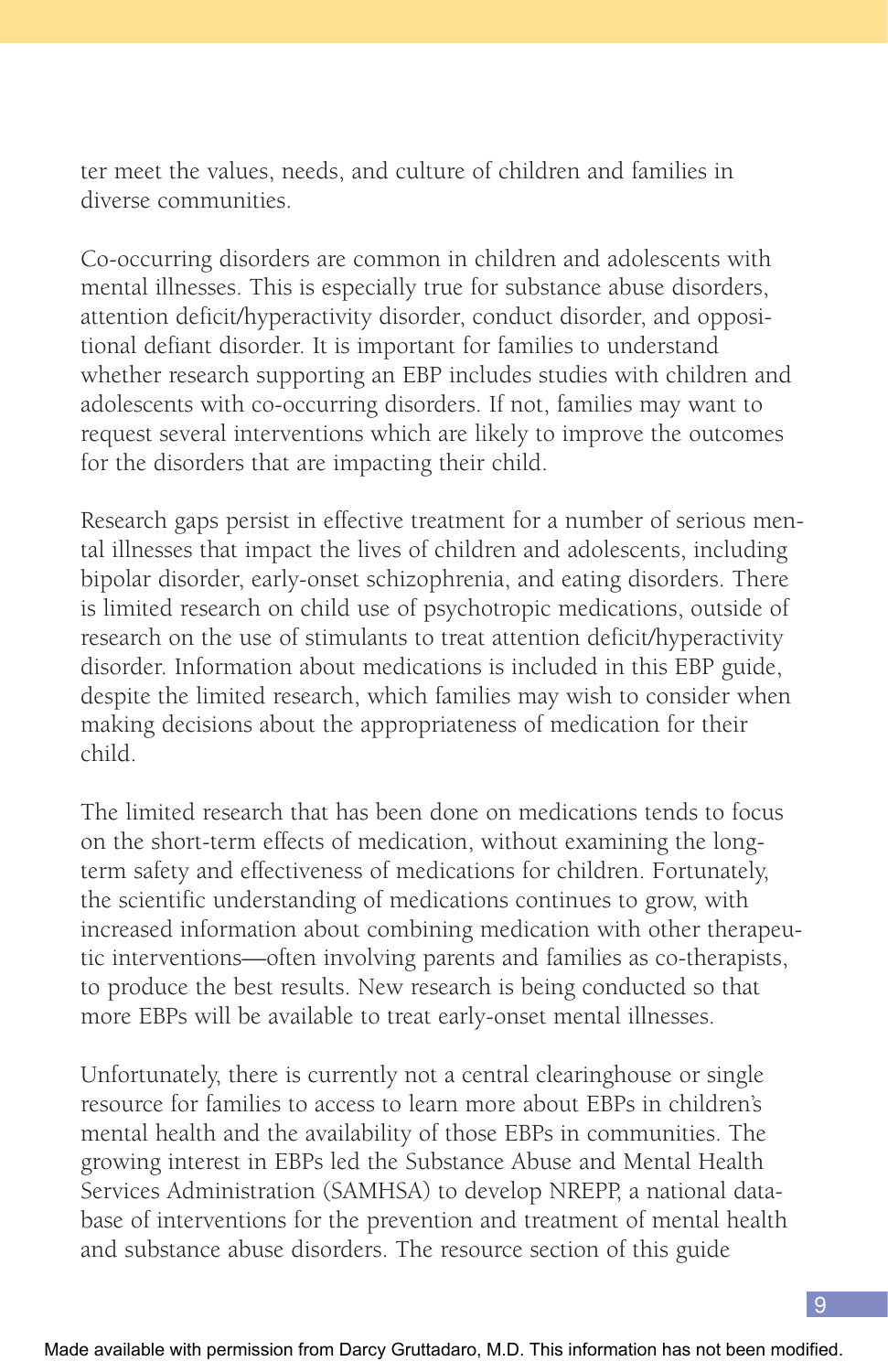ter meet the values, needs, and culture of children and families in diverse communities.

Co-occurring disorders are common in children and adolescents with mental illnesses. This is especially true for substance abuse disorders, attention deficit/hyperactivity disorder, conduct disorder, and oppositional defiant disorder. It is important for families to understand whether research supporting an EBP includes studies with children and adolescents with co-occurring disorders. If not, families may want to request several interventions which are likely to improve the outcomes for the disorders that are impacting their child.

Research gaps persist in effective treatment for a number of serious mental illnesses that impact the lives of children and adolescents, including bipolar disorder, early-onset schizophrenia, and eating disorders. There is limited research on child use of psychotropic medications, outside of research on the use of stimulants to treat attention deficit/hyperactivity disorder. Information about medications is included in this EBP guide, despite the limited research, which families may wish to consider when making decisions about the appropriateness of medication for their child.

The limited research that has been done on medications tends to focus on the short-term effects of medication, without examining the longterm safety and effectiveness of medications for children. Fortunately, the scientific understanding of medications continues to grow, with increased information about combining medication with other therapeutic interventions—often involving parents and families as co-therapists, to produce the best results. New research is being conducted so that more EBPs will be available to treat early-onset mental illnesses.

Unfortunately, there is currently not a central clearinghouse or single resource for families to access to learn more about EBPs in children's mental health and the availability of those EBPs in communities. The growing interest in EBPs led the Substance Abuse and Mental Health Services Administration (SAMHSA) to develop NREPP, a national database of interventions for the prevention and treatment of mental health and substance abuse disorders. The resource section of this guide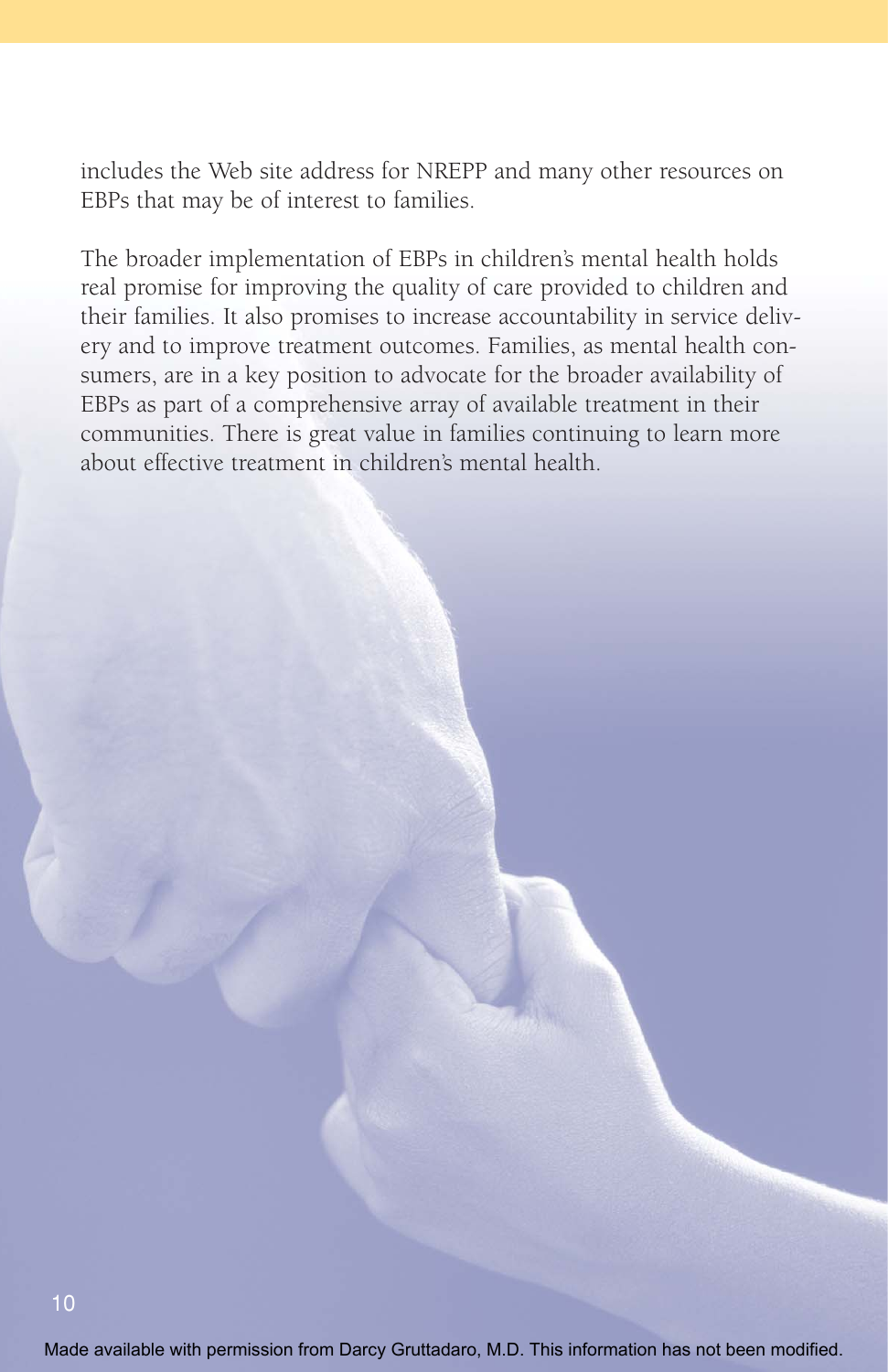includes the Web site address for NREPP and many other resources on EBPs that may be of interest to families.

The broader implementation of EBPs in children's mental health holds real promise for improving the quality of care provided to children and their families. It also promises to increase accountability in service delivery and to improve treatment outcomes. Families, as mental health consumers, are in a key position to advocate for the broader availability of EBPs as part of a comprehensive array of available treatment in their communities. There is great value in families continuing to learn more about effective treatment in children's mental health.

Made available with permission from Darcy Gruttadaro, M.D. This information has not been modified.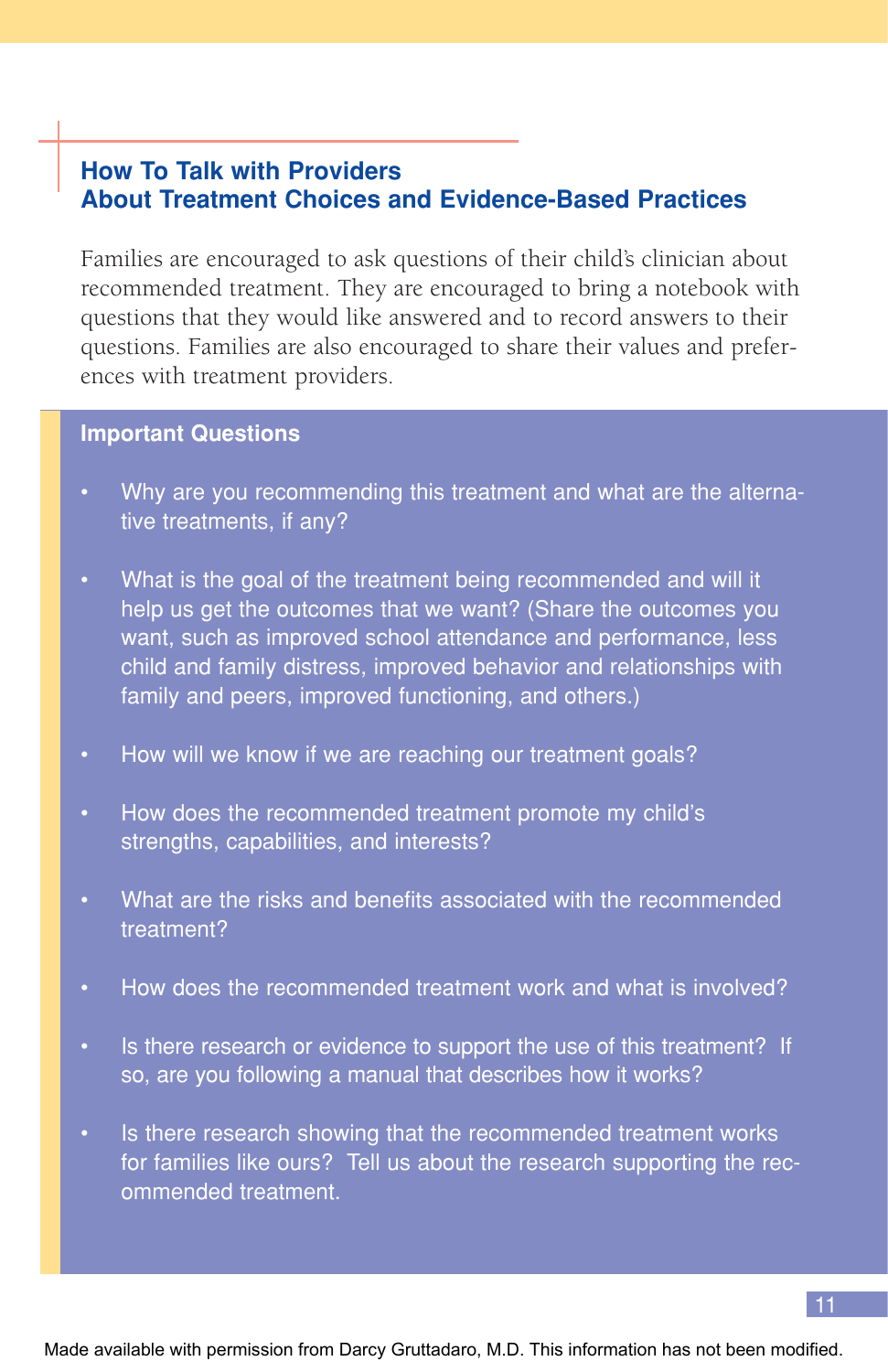## **How To Talk with Providers About Treatment Choices and Evidence-Based Practices**

Families are encouraged to ask questions of their child's clinician about recommended treatment. They are encouraged to bring a notebook with questions that they would like answered and to record answers to their questions. Families are also encouraged to share their values and preferences with treatment providers.

#### **Important Questions**

- Why are you recommending this treatment and what are the alternative treatments, if any?
- What is the goal of the treatment being recommended and will it help us get the outcomes that we want? (Share the outcomes you want, such as improved school attendance and performance, less child and family distress, improved behavior and relationships with family and peers, improved functioning, and others.)
- How will we know if we are reaching our treatment goals?
- How does the recommended treatment promote my child's strengths, capabilities, and interests?
- What are the risks and benefits associated with the recommended treatment?
- How does the recommended treatment work and what is involved?
- Is there research or evidence to support the use of this treatment? If so, are you following a manual that describes how it works?
- Is there research showing that the recommended treatment works for families like ours? Tell us about the research supporting the recommended treatment.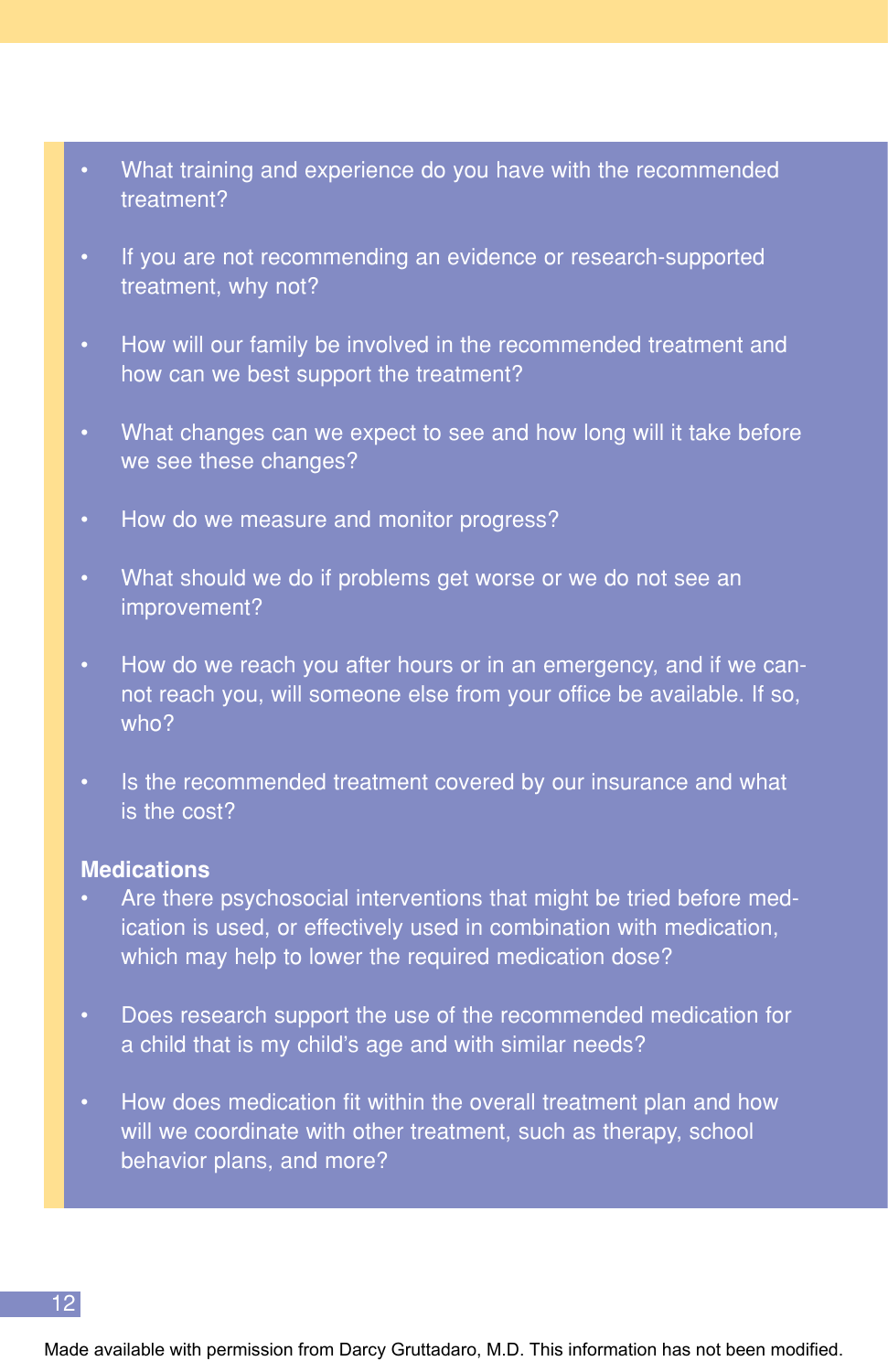- What training and experience do you have with the recommended treatment?
- If you are not recommending an evidence or research-supported treatment, why not?
- How will our family be involved in the recommended treatment and how can we best support the treatment?
- What changes can we expect to see and how long will it take before we see these changes?
- How do we measure and monitor progress?
- What should we do if problems get worse or we do not see an improvement?
- How do we reach you after hours or in an emergency, and if we cannot reach you, will someone else from your office be available. If so, who?
- Is the recommended treatment covered by our insurance and what is the cost?

#### **Medications**

- Are there psychosocial interventions that might be tried before medication is used, or effectively used in combination with medication, which may help to lower the required medication dose?
- Does research support the use of the recommended medication for a child that is my child's age and with similar needs?
- How does medication fit within the overall treatment plan and how will we coordinate with other treatment, such as therapy, school behavior plans, and more?

Made available with permission from Darcy Gruttadaro, M.D. This information has not been modified.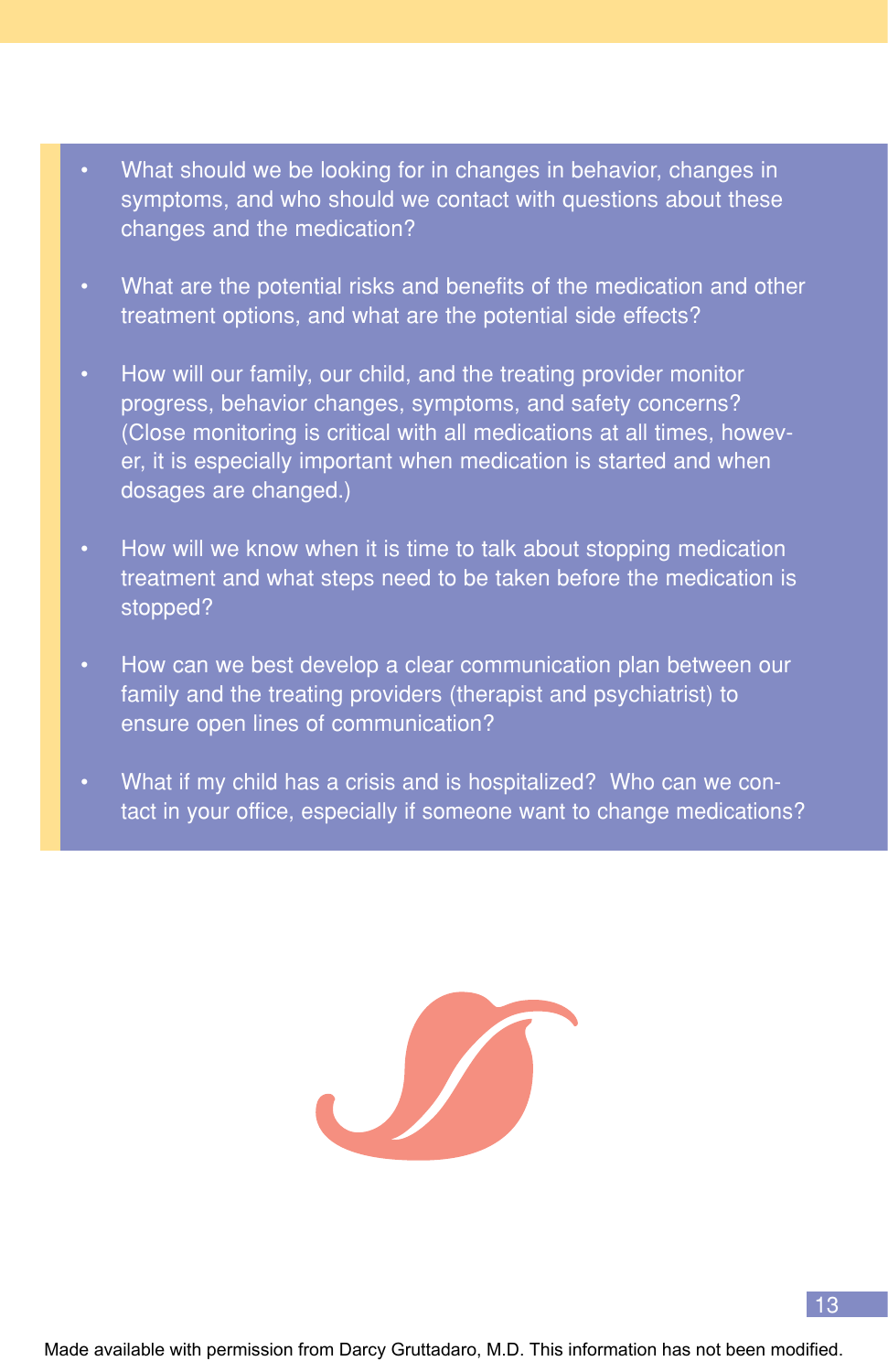- What should we be looking for in changes in behavior, changes in symptoms, and who should we contact with questions about these changes and the medication?
- What are the potential risks and benefits of the medication and other treatment options, and what are the potential side effects?
- How will our family, our child, and the treating provider monitor progress, behavior changes, symptoms, and safety concerns? (Close monitoring is critical with all medications at all times, however, it is especially important when medication is started and when dosages are changed.)
- How will we know when it is time to talk about stopping medication treatment and what steps need to be taken before the medication is stopped?
- How can we best develop a clear communication plan between our family and the treating providers (therapist and psychiatrist) to ensure open lines of communication?
- What if my child has a crisis and is hospitalized? Who can we contact in your office, especially if someone want to change medications?



Made available with permission from Darcy Gruttadaro, M.D. This information has not been modified.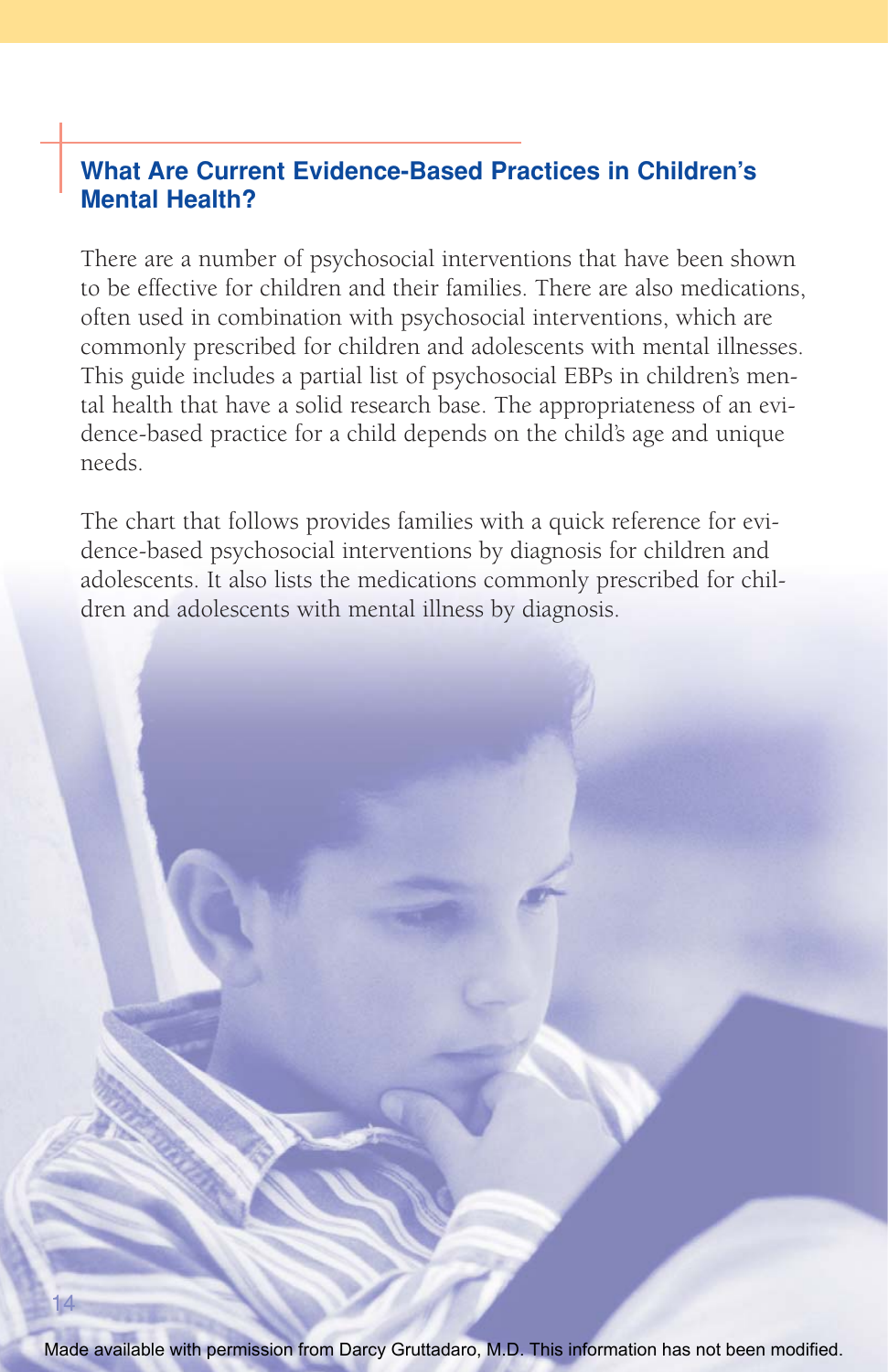## **What Are Current Evidence-Based Practices in Children's Mental Health?**

There are a number of psychosocial interventions that have been shown to be effective for children and their families. There are also medications, often used in combination with psychosocial interventions, which are commonly prescribed for children and adolescents with mental illnesses. This guide includes a partial list of psychosocial EBPs in children's mental health that have a solid research base. The appropriateness of an evidence-based practice for a child depends on the child's age and unique needs.

The chart that follows provides families with a quick reference for evidence-based psychosocial interventions by diagnosis for children and adolescents. It also lists the medications commonly prescribed for children and adolescents with mental illness by diagnosis.

Made available with permission from Darcy Gruttadaro, M.D. This information has not been modified.

14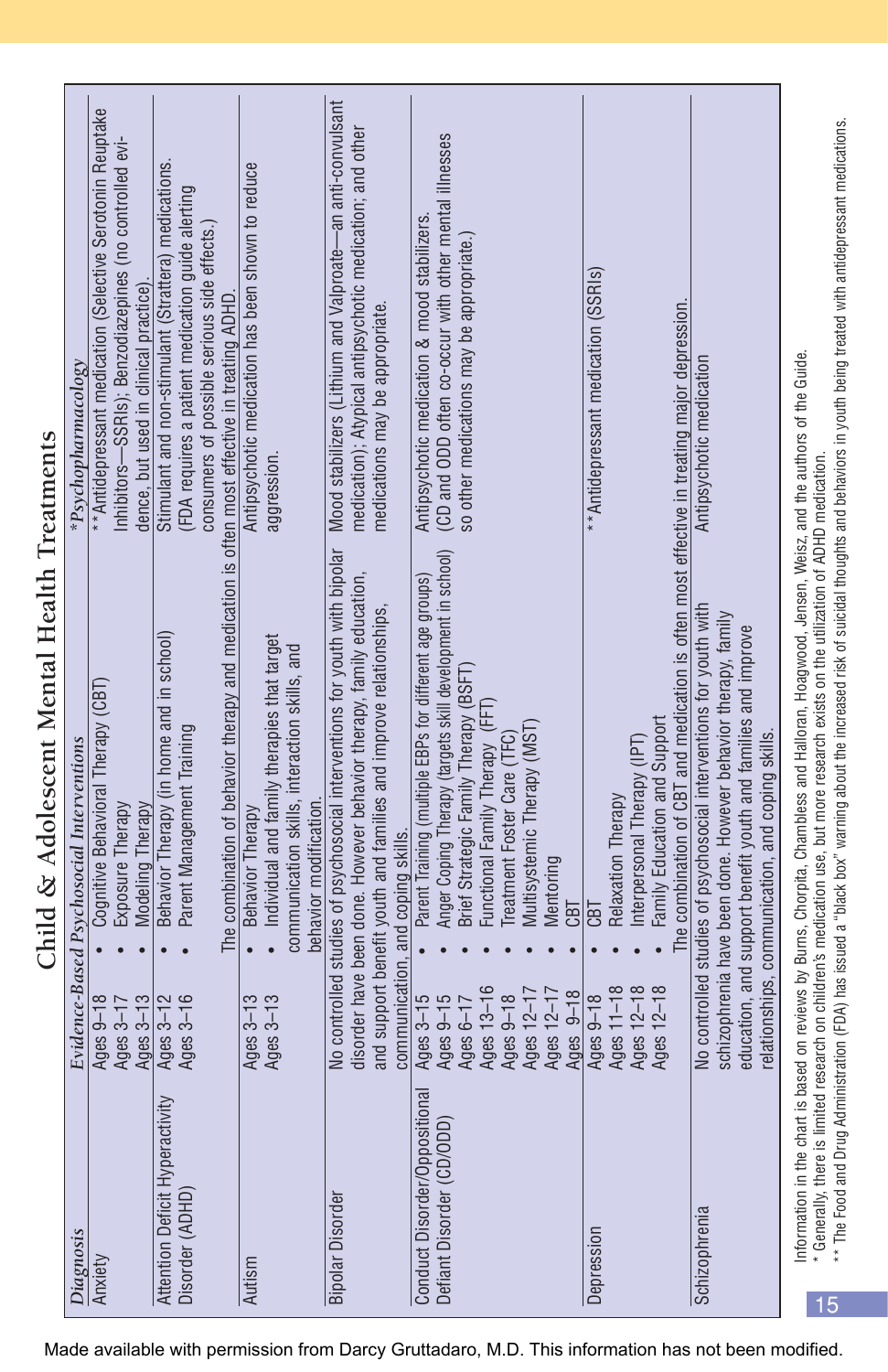| Diagnosis                       |                        | Child & Adolescent Mental Health Treatments<br>Evidence-Based Psychosocial Interventions                                                                                                       | *Psychopharmacology                                                                              |
|---------------------------------|------------------------|------------------------------------------------------------------------------------------------------------------------------------------------------------------------------------------------|--------------------------------------------------------------------------------------------------|
| Anxiety                         | Ages $9-18$            | Cognitive Behavioral Therapy (CBT)                                                                                                                                                             | ** Antidepressant medication (Selective Serotonin Reuptake                                       |
|                                 | Ages 3-13<br>Ages 3-17 | Exposure Therapy<br>Modeling Therapy                                                                                                                                                           | Inhibitors-SSRIs); Benzodiazepines (no controlled evi-<br>dence, but used in clinical practice)  |
| Attention Deficit Hyperactivity | Ages 3-12              | Behavior Therapy (in home and in school)                                                                                                                                                       | Stimulant and non-stimulant (Strattera) medications.                                             |
| Disorder (ADHD)                 | Ages 3-16              | Parent Management Training                                                                                                                                                                     | (FDA requires a patient medication guide alerting<br>consumers of possible serious side effects. |
|                                 |                        | The combination of behavior therapy and medication is often most effective in treating ADHD.                                                                                                   |                                                                                                  |
| Autism                          | Ages 3-13              | Behavior Therapy                                                                                                                                                                               | Antipsychotic medication has been shown to reduce                                                |
|                                 | Ages 3-13              | Individual and family therapies that target                                                                                                                                                    | aggression                                                                                       |
|                                 |                        | communication skills, interaction skills, and<br>behavior modification.                                                                                                                        |                                                                                                  |
| <b>Bipolar Disorder</b>         |                        | No controlled studies of psychosocial interventions for youth with bipolar                                                                                                                     | Mood stabilizers (Lithium and Valproate-an anti-convulsant                                       |
|                                 |                        | disorder have been done. However behavior therapy, family education,                                                                                                                           | medication); Atypical antipsychotic medication; and other                                        |
|                                 |                        | and support benefit youth and families and improve relationships,                                                                                                                              | medications may be appropriate.                                                                  |
|                                 |                        | communication, and coping skills.                                                                                                                                                              |                                                                                                  |
| Conduct Disorder/Oppositiona    | Ages 3-15              | Parent Training (multiple EBPs for different age groups)                                                                                                                                       | Antipsychotic medication & mood stabilizers.                                                     |
| Defiant Disorder (CD/ODD)       | Ages 9-15              | Anger Coping Therapy (targets skill development in school)                                                                                                                                     | (CD and ODD often co-occur with other mental illnesses                                           |
|                                 | Ages 6-17              | Brief Strategic Family Therapy (BSFT                                                                                                                                                           | so other medications may be appropriate.                                                         |
|                                 | Ages 13-16             | Functional Family Therapy (FFT                                                                                                                                                                 |                                                                                                  |
|                                 | Ages 9-18              | Treatment Foster Care (TFC)                                                                                                                                                                    |                                                                                                  |
|                                 | Ages 12-17             | Multisystemic Therapy (MST)                                                                                                                                                                    |                                                                                                  |
|                                 | Ages 12-17             | Mentoring                                                                                                                                                                                      |                                                                                                  |
|                                 | Ages 9-18              | CBT                                                                                                                                                                                            |                                                                                                  |
| Depression                      | Ages 9-18              | CBT                                                                                                                                                                                            | ** Antidepressant medication (SSRIs)                                                             |
|                                 | Ages 11-18             | Relaxation Therapy                                                                                                                                                                             |                                                                                                  |
|                                 | Ages 12-18             | Interpersonal Therapy (IPT)                                                                                                                                                                    |                                                                                                  |
|                                 | Ages 12-18             | Family Education and Support                                                                                                                                                                   |                                                                                                  |
|                                 |                        | The combination of CBT and medication is often most effective in treating major depression.                                                                                                    |                                                                                                  |
| Schizophrenia                   |                        | No controlled studies of psychosocial interventions for youth with                                                                                                                             | Antipsychotic medication                                                                         |
|                                 |                        | schizophrenia have been done. However behavior therapy, family                                                                                                                                 |                                                                                                  |
|                                 |                        | education, and support benefit youth and families and improve                                                                                                                                  |                                                                                                  |
|                                 |                        | elationships, communication, and coping skills.                                                                                                                                                |                                                                                                  |
|                                 |                        | Information in the chart is based on reviews by Burns, Chorpita, Chambless and Halloran, Hoagwood, Jensen, Weisz, and the authors of the Guide.                                                |                                                                                                  |
| * Generally, there is limited   |                        | research on children's medication use, but more research exists on the utilization of ADHD medication.                                                                                         |                                                                                                  |
|                                 |                        | ** The Food and Drug Administration (FDA) has issued a "black box" warning about the increased risk of suicidal thoughts and behaviors in youth being treated with antidepressant medications. |                                                                                                  |

Made available with permission from Darcy Gruttadaro, M.D. This information has not been modified.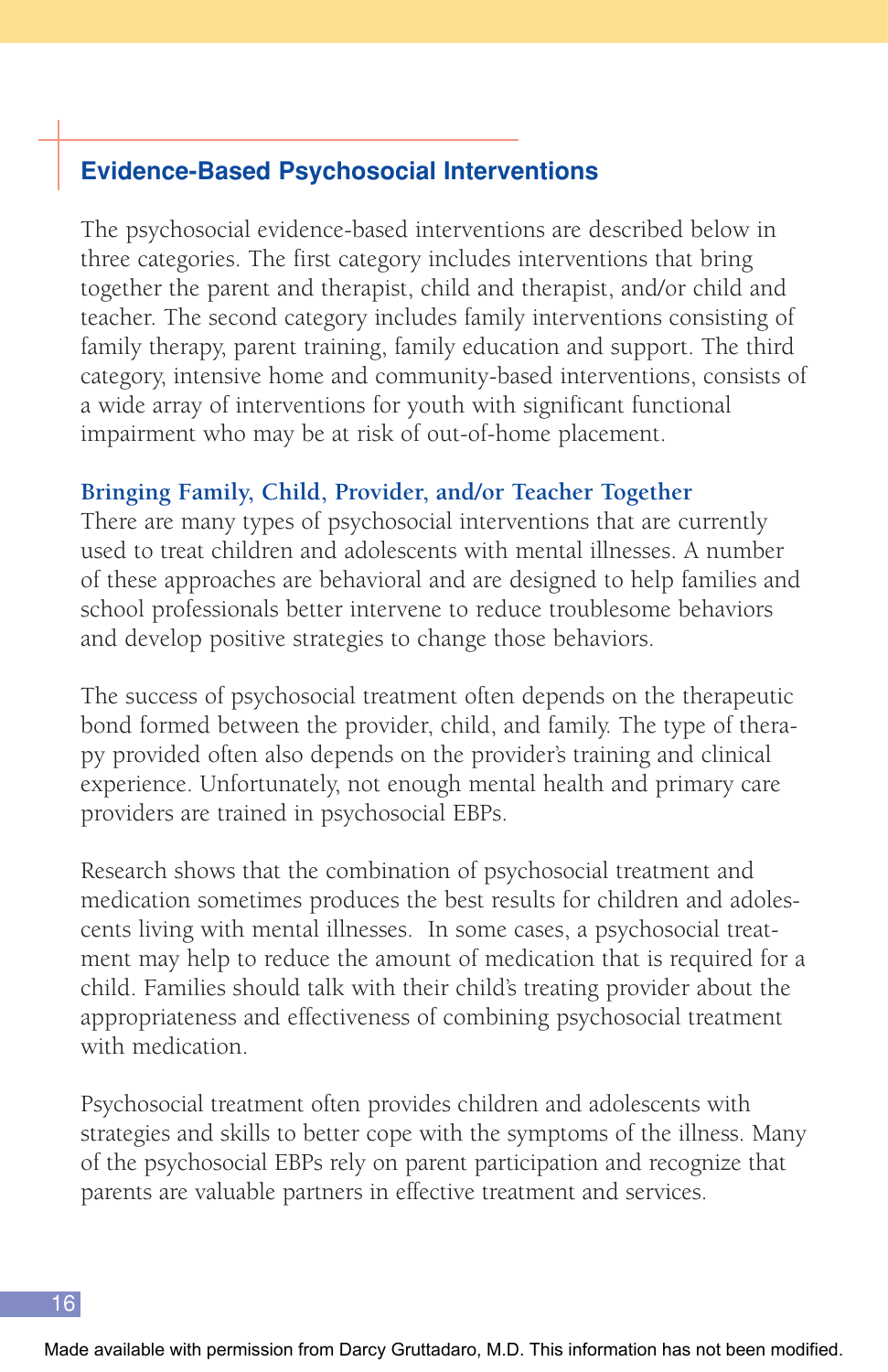## **Evidence-Based Psychosocial Interventions**

The psychosocial evidence-based interventions are described below in three categories. The first category includes interventions that bring together the parent and therapist, child and therapist, and/or child and teacher. The second category includes family interventions consisting of family therapy, parent training, family education and support. The third category, intensive home and community-based interventions, consists of a wide array of interventions for youth with significant functional impairment who may be at risk of out-of-home placement.

## **Bringing Family, Child, Provider, and/or Teacher Together**

There are many types of psychosocial interventions that are currently used to treat children and adolescents with mental illnesses. A number of these approaches are behavioral and are designed to help families and school professionals better intervene to reduce troublesome behaviors and develop positive strategies to change those behaviors.

The success of psychosocial treatment often depends on the therapeutic bond formed between the provider, child, and family. The type of therapy provided often also depends on the provider's training and clinical experience. Unfortunately, not enough mental health and primary care providers are trained in psychosocial EBPs.

Research shows that the combination of psychosocial treatment and medication sometimes produces the best results for children and adolescents living with mental illnesses. In some cases, a psychosocial treatment may help to reduce the amount of medication that is required for a child. Families should talk with their child's treating provider about the appropriateness and effectiveness of combining psychosocial treatment with medication.

Psychosocial treatment often provides children and adolescents with strategies and skills to better cope with the symptoms of the illness. Many of the psychosocial EBPs rely on parent participation and recognize that parents are valuable partners in effective treatment and services.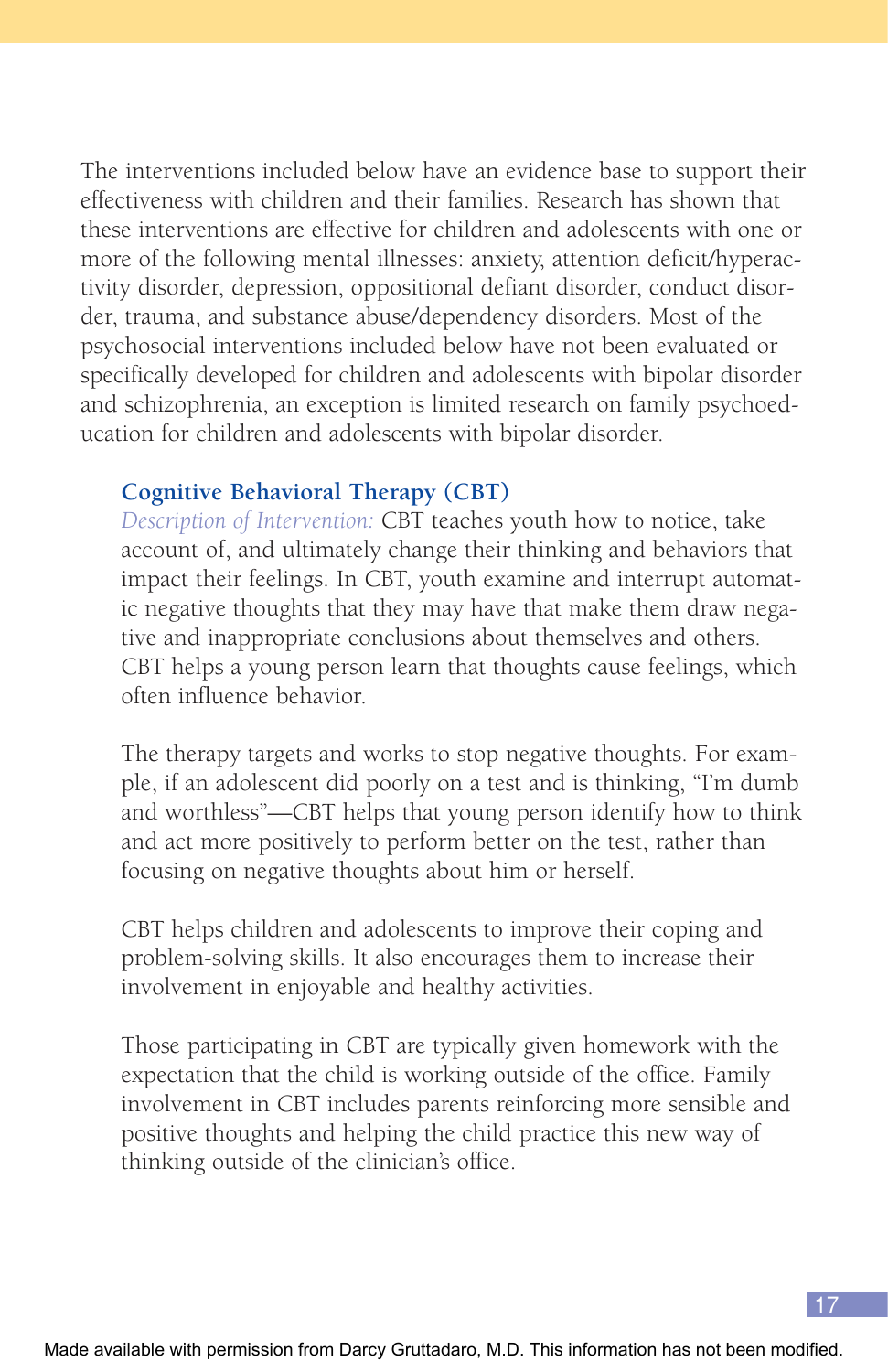The interventions included below have an evidence base to support their effectiveness with children and their families. Research has shown that these interventions are effective for children and adolescents with one or more of the following mental illnesses: anxiety, attention deficit/hyperactivity disorder, depression, oppositional defiant disorder, conduct disorder, trauma, and substance abuse/dependency disorders. Most of the psychosocial interventions included below have not been evaluated or specifically developed for children and adolescents with bipolar disorder and schizophrenia, an exception is limited research on family psychoeducation for children and adolescents with bipolar disorder.

#### **Cognitive Behavioral Therapy (CBT)**

*Description of Intervention:* CBT teaches youth how to notice, take account of, and ultimately change their thinking and behaviors that impact their feelings. In CBT, youth examine and interrupt automatic negative thoughts that they may have that make them draw negative and inappropriate conclusions about themselves and others. CBT helps a young person learn that thoughts cause feelings, which often influence behavior.

The therapy targets and works to stop negative thoughts. For example, if an adolescent did poorly on a test and is thinking, "I'm dumb and worthless"—CBT helps that young person identify how to think and act more positively to perform better on the test, rather than focusing on negative thoughts about him or herself.

CBT helps children and adolescents to improve their coping and problem-solving skills. It also encourages them to increase their involvement in enjoyable and healthy activities.

Those participating in CBT are typically given homework with the expectation that the child is working outside of the office. Family involvement in CBT includes parents reinforcing more sensible and positive thoughts and helping the child practice this new way of thinking outside of the clinician's office.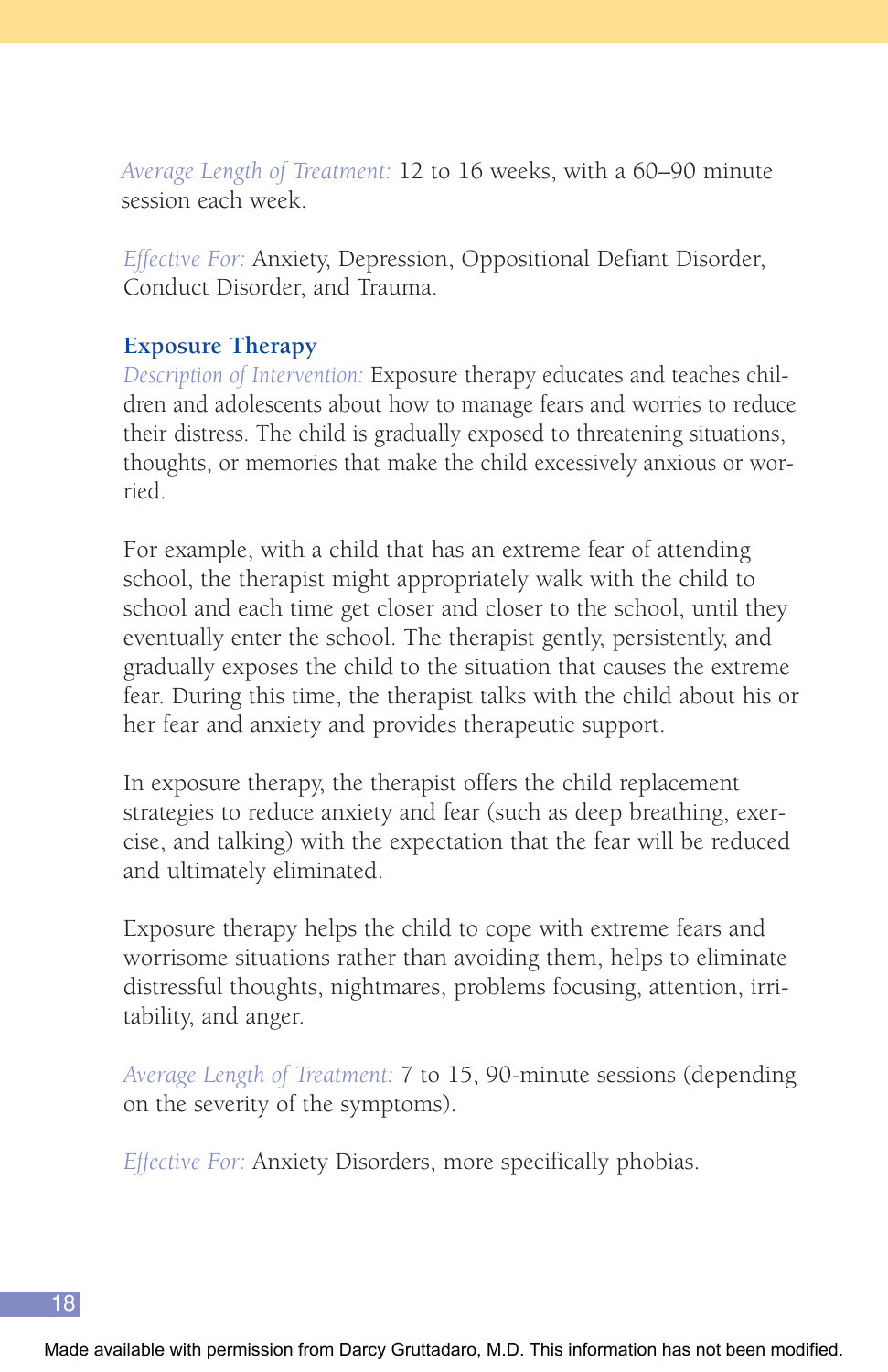*Average Length of Treatment:* 12 to 16 weeks, with a 60–90 minute session each week.

*Effective For:* Anxiety, Depression, Oppositional Defiant Disorder, Conduct Disorder, and Trauma.

#### **Exposure Therapy**

*Description of Intervention:* Exposure therapy educates and teaches children and adolescents about how to manage fears and worries to reduce their distress. The child is gradually exposed to threatening situations, thoughts, or memories that make the child excessively anxious or worried.

For example, with a child that has an extreme fear of attending school, the therapist might appropriately walk with the child to school and each time get closer and closer to the school, until they eventually enter the school. The therapist gently, persistently, and gradually exposes the child to the situation that causes the extreme fear. During this time, the therapist talks with the child about his or her fear and anxiety and provides therapeutic support.

In exposure therapy, the therapist offers the child replacement strategies to reduce anxiety and fear (such as deep breathing, exercise, and talking) with the expectation that the fear will be reduced and ultimately eliminated.

Exposure therapy helps the child to cope with extreme fears and worrisome situations rather than avoiding them, helps to eliminate distressful thoughts, nightmares, problems focusing, attention, irritability, and anger.

*Average Length of Treatment:* 7 to 15, 90-minute sessions (depending on the severity of the symptoms).

*Effective For:* Anxiety Disorders, more specifically phobias.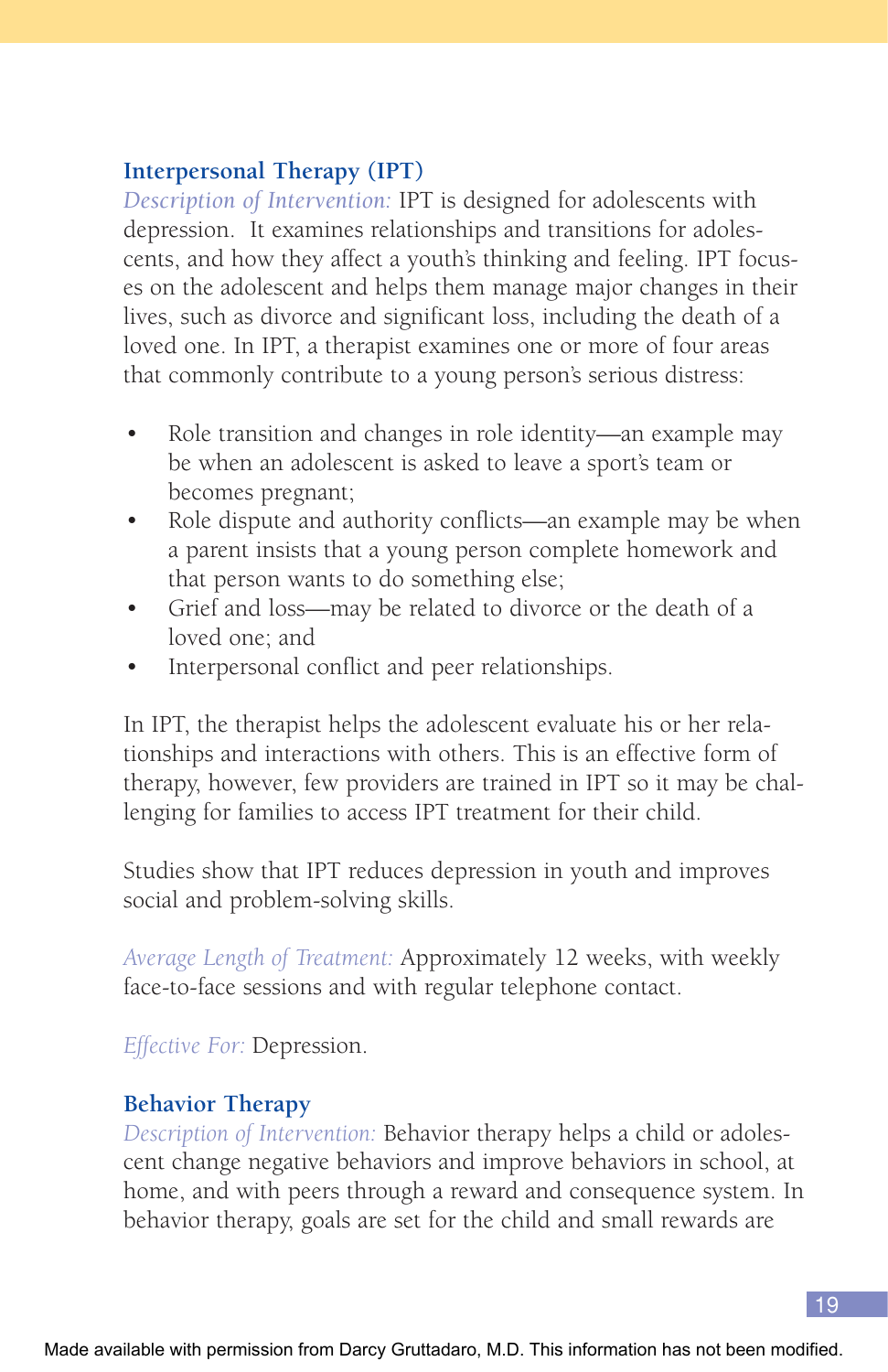## **Interpersonal Therapy (IPT)**

*Description of Intervention:* IPT is designed for adolescents with depression. It examines relationships and transitions for adolescents, and how they affect a youth's thinking and feeling. IPT focuses on the adolescent and helps them manage major changes in their lives, such as divorce and significant loss, including the death of a loved one. In IPT, a therapist examines one or more of four areas that commonly contribute to a young person's serious distress:

- Role transition and changes in role identity—an example may be when an adolescent is asked to leave a sport's team or becomes pregnant;
- Role dispute and authority conflicts—an example may be when a parent insists that a young person complete homework and that person wants to do something else;
- Grief and loss—may be related to divorce or the death of a loved one; and
- Interpersonal conflict and peer relationships.

In IPT, the therapist helps the adolescent evaluate his or her relationships and interactions with others. This is an effective form of therapy, however, few providers are trained in IPT so it may be challenging for families to access IPT treatment for their child.

Studies show that IPT reduces depression in youth and improves social and problem-solving skills.

*Average Length of Treatment:* Approximately 12 weeks, with weekly face-to-face sessions and with regular telephone contact.

*Effective For:* Depression.

#### **Behavior Therapy**

*Description of Intervention:* Behavior therapy helps a child or adolescent change negative behaviors and improve behaviors in school, at home, and with peers through a reward and consequence system. In behavior therapy, goals are set for the child and small rewards are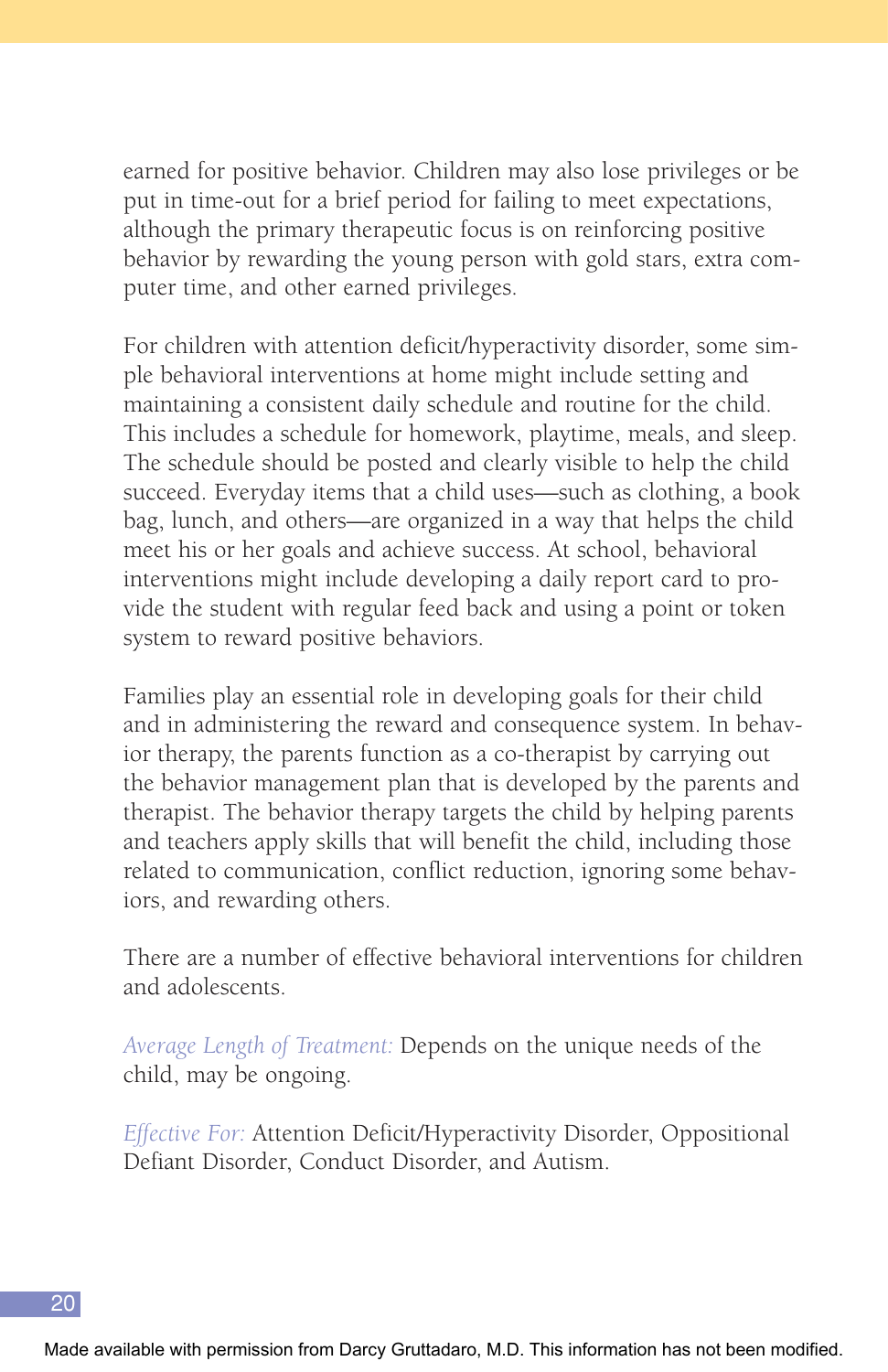earned for positive behavior. Children may also lose privileges or be put in time-out for a brief period for failing to meet expectations, although the primary therapeutic focus is on reinforcing positive behavior by rewarding the young person with gold stars, extra computer time, and other earned privileges.

For children with attention deficit/hyperactivity disorder, some simple behavioral interventions at home might include setting and maintaining a consistent daily schedule and routine for the child. This includes a schedule for homework, playtime, meals, and sleep. The schedule should be posted and clearly visible to help the child succeed. Everyday items that a child uses—such as clothing, a book bag, lunch, and others—are organized in a way that helps the child meet his or her goals and achieve success. At school, behavioral interventions might include developing a daily report card to provide the student with regular feed back and using a point or token system to reward positive behaviors.

Families play an essential role in developing goals for their child and in administering the reward and consequence system. In behavior therapy, the parents function as a co-therapist by carrying out the behavior management plan that is developed by the parents and therapist. The behavior therapy targets the child by helping parents and teachers apply skills that will benefit the child, including those related to communication, conflict reduction, ignoring some behaviors, and rewarding others.

There are a number of effective behavioral interventions for children and adolescents.

*Average Length of Treatment:* Depends on the unique needs of the child, may be ongoing.

*Effective For:* Attention Deficit/Hyperactivity Disorder, Oppositional Defiant Disorder, Conduct Disorder, and Autism.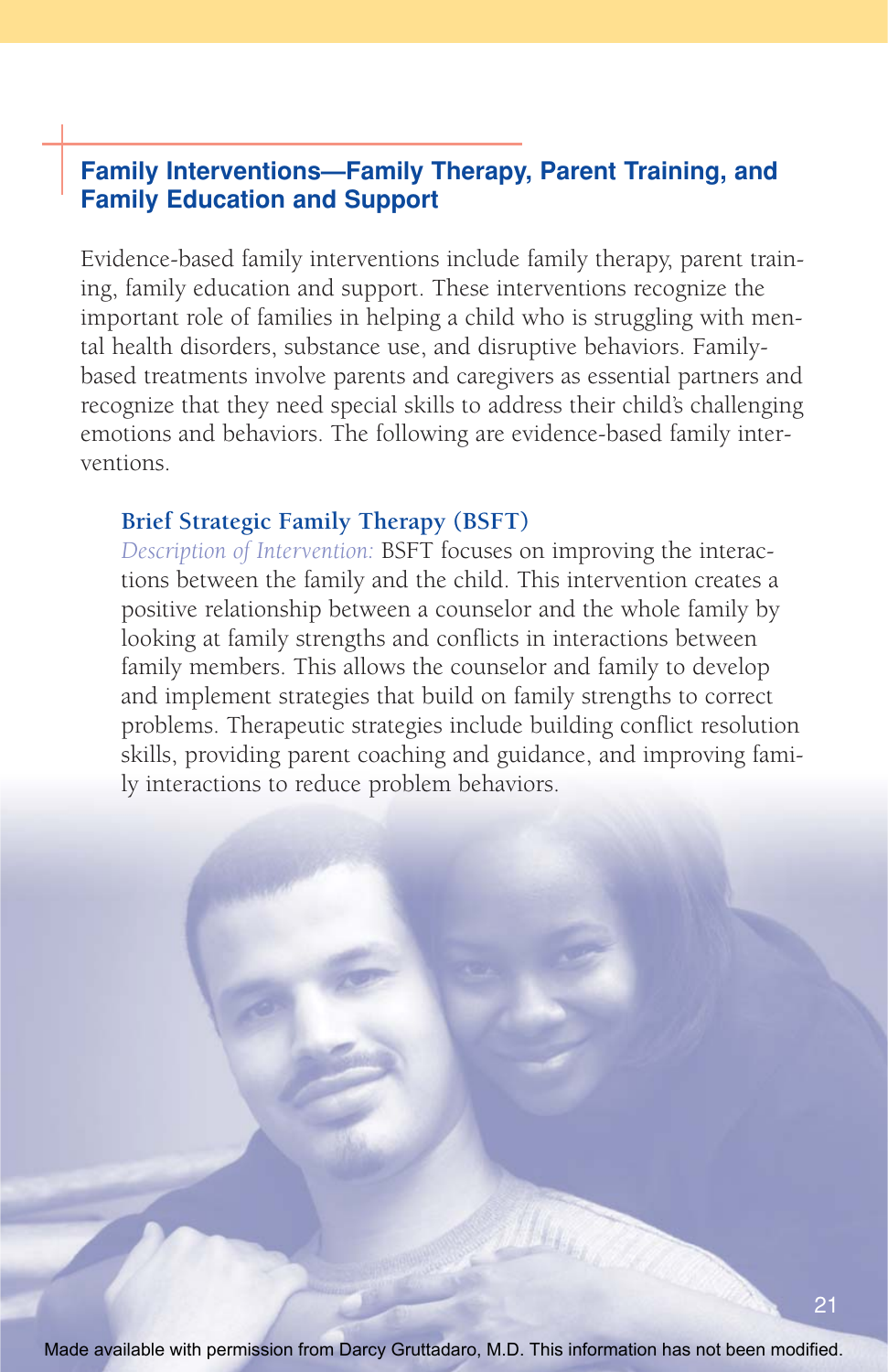## **Family Interventions—Family Therapy, Parent Training, and Family Education and Support**

Evidence-based family interventions include family therapy, parent training, family education and support. These interventions recognize the important role of families in helping a child who is struggling with mental health disorders, substance use, and disruptive behaviors. Familybased treatments involve parents and caregivers as essential partners and recognize that they need special skills to address their child's challenging emotions and behaviors. The following are evidence-based family interventions.

#### **Brief Strategic Family Therapy (BSFT)**

*Description of Intervention:* BSFT focuses on improving the interactions between the family and the child. This intervention creates a positive relationship between a counselor and the whole family by looking at family strengths and conflicts in interactions between family members. This allows the counselor and family to develop and implement strategies that build on family strengths to correct problems. Therapeutic strategies include building conflict resolution skills, providing parent coaching and guidance, and improving family interactions to reduce problem behaviors.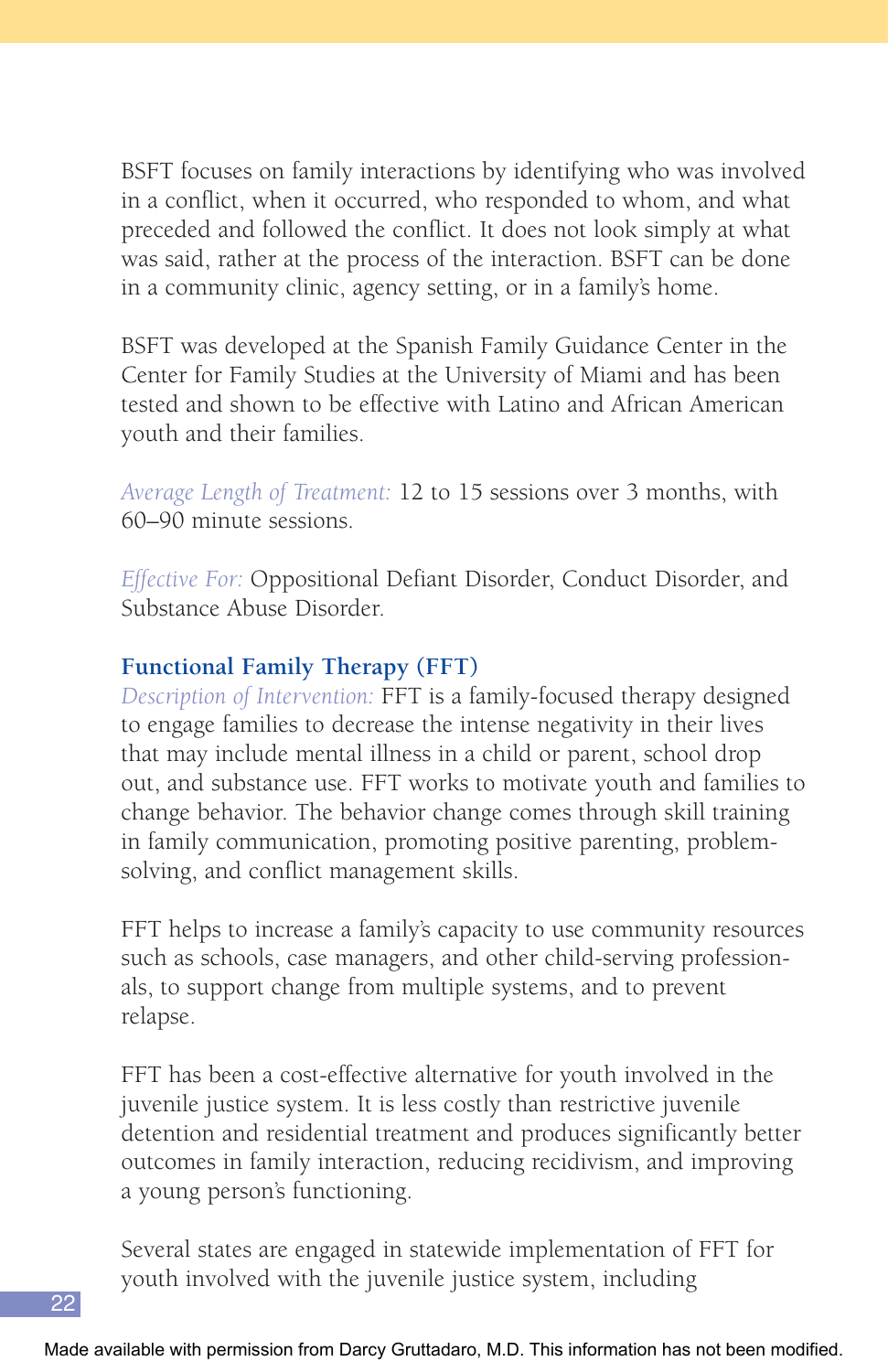BSFT focuses on family interactions by identifying who was involved in a conflict, when it occurred, who responded to whom, and what preceded and followed the conflict. It does not look simply at what was said, rather at the process of the interaction. BSFT can be done in a community clinic, agency setting, or in a family's home.

BSFT was developed at the Spanish Family Guidance Center in the Center for Family Studies at the University of Miami and has been tested and shown to be effective with Latino and African American youth and their families.

*Average Length of Treatment:* 12 to 15 sessions over 3 months, with 60–90 minute sessions.

*Effective For:* Oppositional Defiant Disorder, Conduct Disorder, and Substance Abuse Disorder.

## **Functional Family Therapy (FFT)**

*Description of Intervention:* FFT is a family-focused therapy designed to engage families to decrease the intense negativity in their lives that may include mental illness in a child or parent, school drop out, and substance use. FFT works to motivate youth and families to change behavior. The behavior change comes through skill training in family communication, promoting positive parenting, problemsolving, and conflict management skills.

FFT helps to increase a family's capacity to use community resources such as schools, case managers, and other child-serving professionals, to support change from multiple systems, and to prevent relapse.

FFT has been a cost-effective alternative for youth involved in the juvenile justice system. It is less costly than restrictive juvenile detention and residential treatment and produces significantly better outcomes in family interaction, reducing recidivism, and improving a young person's functioning.

Several states are engaged in statewide implementation of FFT for youth involved with the juvenile justice system, including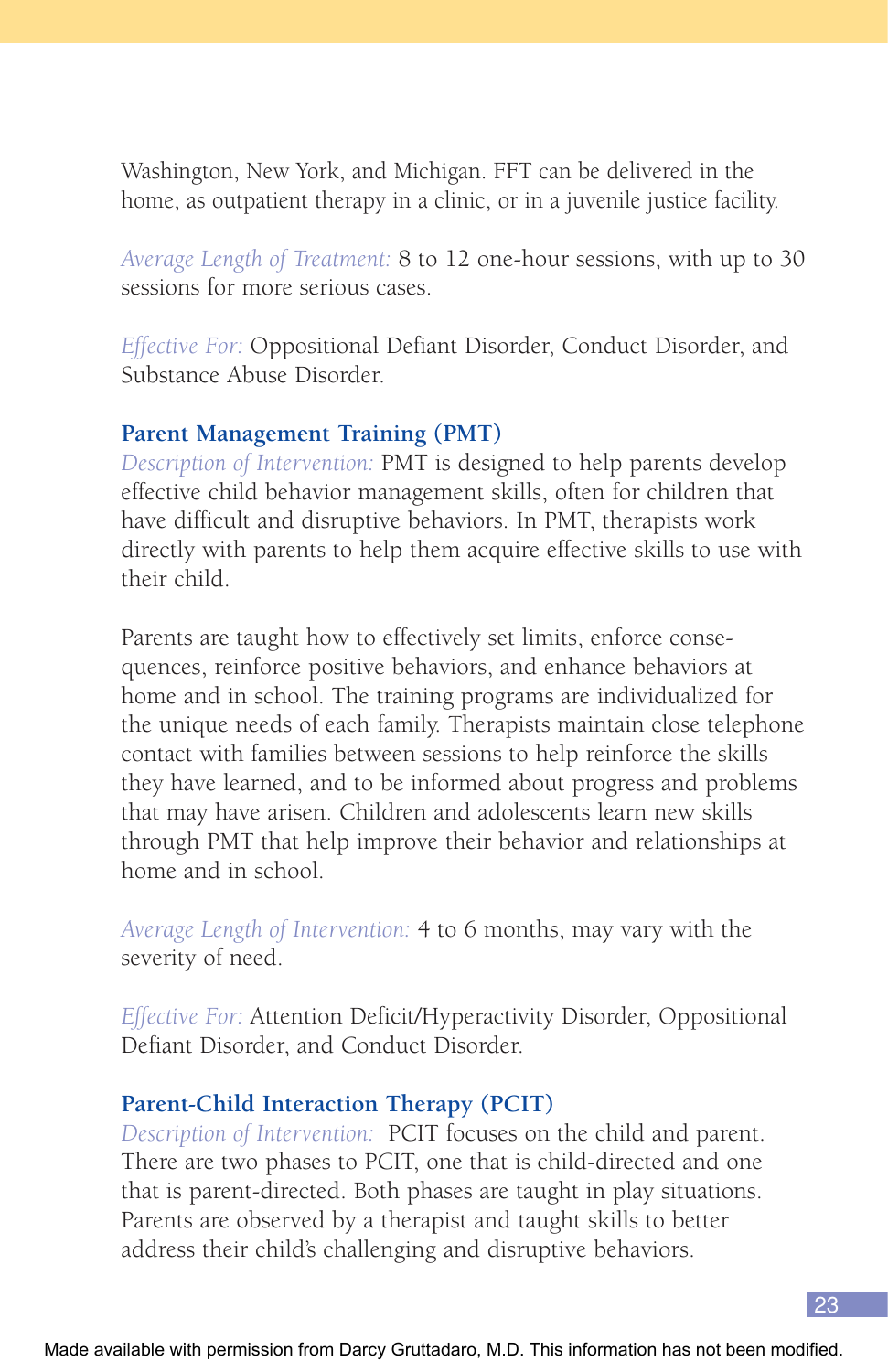Washington, New York, and Michigan. FFT can be delivered in the home, as outpatient therapy in a clinic, or in a juvenile justice facility.

*Average Length of Treatment:* 8 to 12 one-hour sessions, with up to 30 sessions for more serious cases.

*Effective For:* Oppositional Defiant Disorder, Conduct Disorder, and Substance Abuse Disorder.

#### **Parent Management Training (PMT)**

*Description of Intervention:* PMT is designed to help parents develop effective child behavior management skills, often for children that have difficult and disruptive behaviors. In PMT, therapists work directly with parents to help them acquire effective skills to use with their child.

Parents are taught how to effectively set limits, enforce consequences, reinforce positive behaviors, and enhance behaviors at home and in school. The training programs are individualized for the unique needs of each family. Therapists maintain close telephone contact with families between sessions to help reinforce the skills they have learned, and to be informed about progress and problems that may have arisen. Children and adolescents learn new skills through PMT that help improve their behavior and relationships at home and in school.

*Average Length of Intervention:* 4 to 6 months, may vary with the severity of need.

*Effective For:* Attention Deficit/Hyperactivity Disorder, Oppositional Defiant Disorder, and Conduct Disorder.

#### **Parent-Child Interaction Therapy (PCIT)**

*Description of Intervention:* PCIT focuses on the child and parent. There are two phases to PCIT, one that is child-directed and one that is parent-directed. Both phases are taught in play situations. Parents are observed by a therapist and taught skills to better address their child's challenging and disruptive behaviors.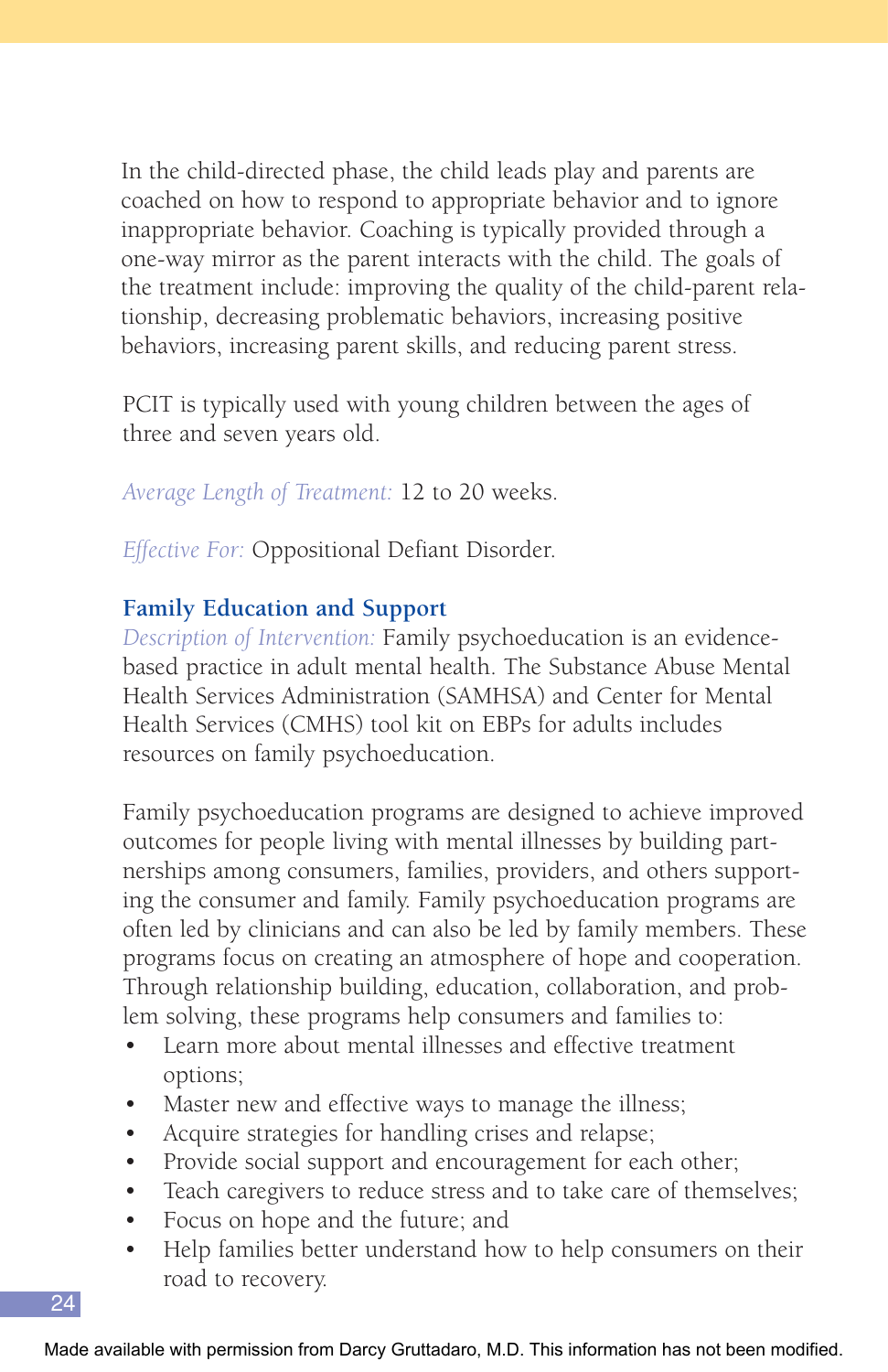In the child-directed phase, the child leads play and parents are coached on how to respond to appropriate behavior and to ignore inappropriate behavior. Coaching is typically provided through a one-way mirror as the parent interacts with the child. The goals of the treatment include: improving the quality of the child-parent relationship, decreasing problematic behaviors, increasing positive behaviors, increasing parent skills, and reducing parent stress.

PCIT is typically used with young children between the ages of three and seven years old.

*Average Length of Treatment:* 12 to 20 weeks.

*Effective For:* Oppositional Defiant Disorder.

## **Family Education and Support**

*Description of Intervention:* Family psychoeducation is an evidencebased practice in adult mental health. The Substance Abuse Mental Health Services Administration (SAMHSA) and Center for Mental Health Services (CMHS) tool kit on EBPs for adults includes resources on family psychoeducation.

Family psychoeducation programs are designed to achieve improved outcomes for people living with mental illnesses by building partnerships among consumers, families, providers, and others supporting the consumer and family. Family psychoeducation programs are often led by clinicians and can also be led by family members. These programs focus on creating an atmosphere of hope and cooperation. Through relationship building, education, collaboration, and problem solving, these programs help consumers and families to:

- Learn more about mental illnesses and effective treatment options;
- Master new and effective ways to manage the illness;
- Acquire strategies for handling crises and relapse;
- Provide social support and encouragement for each other;
- Teach caregivers to reduce stress and to take care of themselves;
- Focus on hope and the future; and
- Help families better understand how to help consumers on their road to recovery.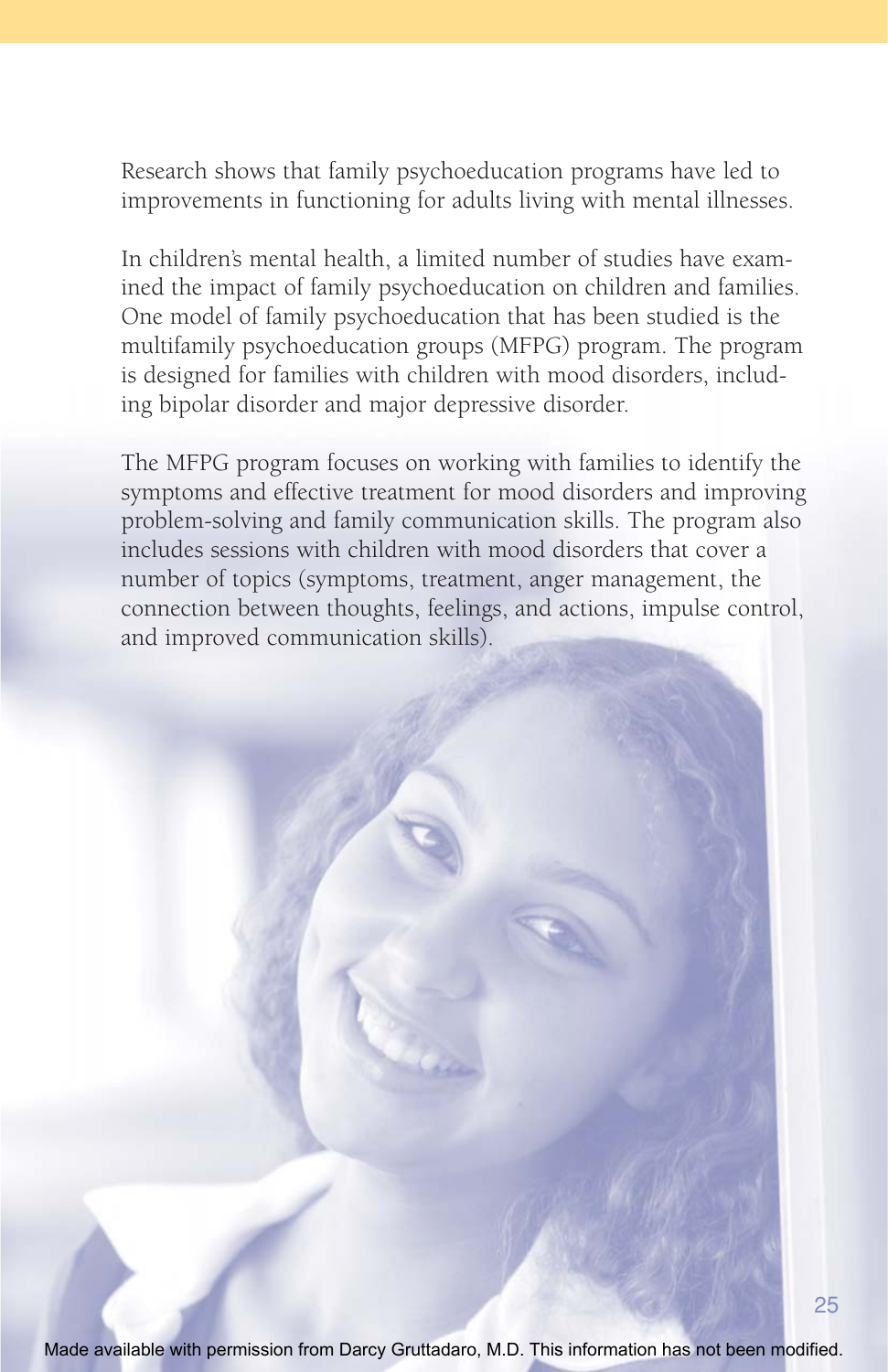Research shows that family psychoeducation programs have led to improvements in functioning for adults living with mental illnesses.

In children's mental health, a limited number of studies have examined the impact of family psychoeducation on children and families. One model of family psychoeducation that has been studied is the multifamily psychoeducation groups (MFPG) program. The program is designed for families with children with mood disorders, including bipolar disorder and major depressive disorder.

The MFPG program focuses on working with families to identify the symptoms and effective treatment for mood disorders and improving problem-solving and family communication skills. The program also includes sessions with children with mood disorders that cover a number of topics (symptoms, treatment, anger management, the connection between thoughts, feelings, and actions, impulse control, and improved communication skills).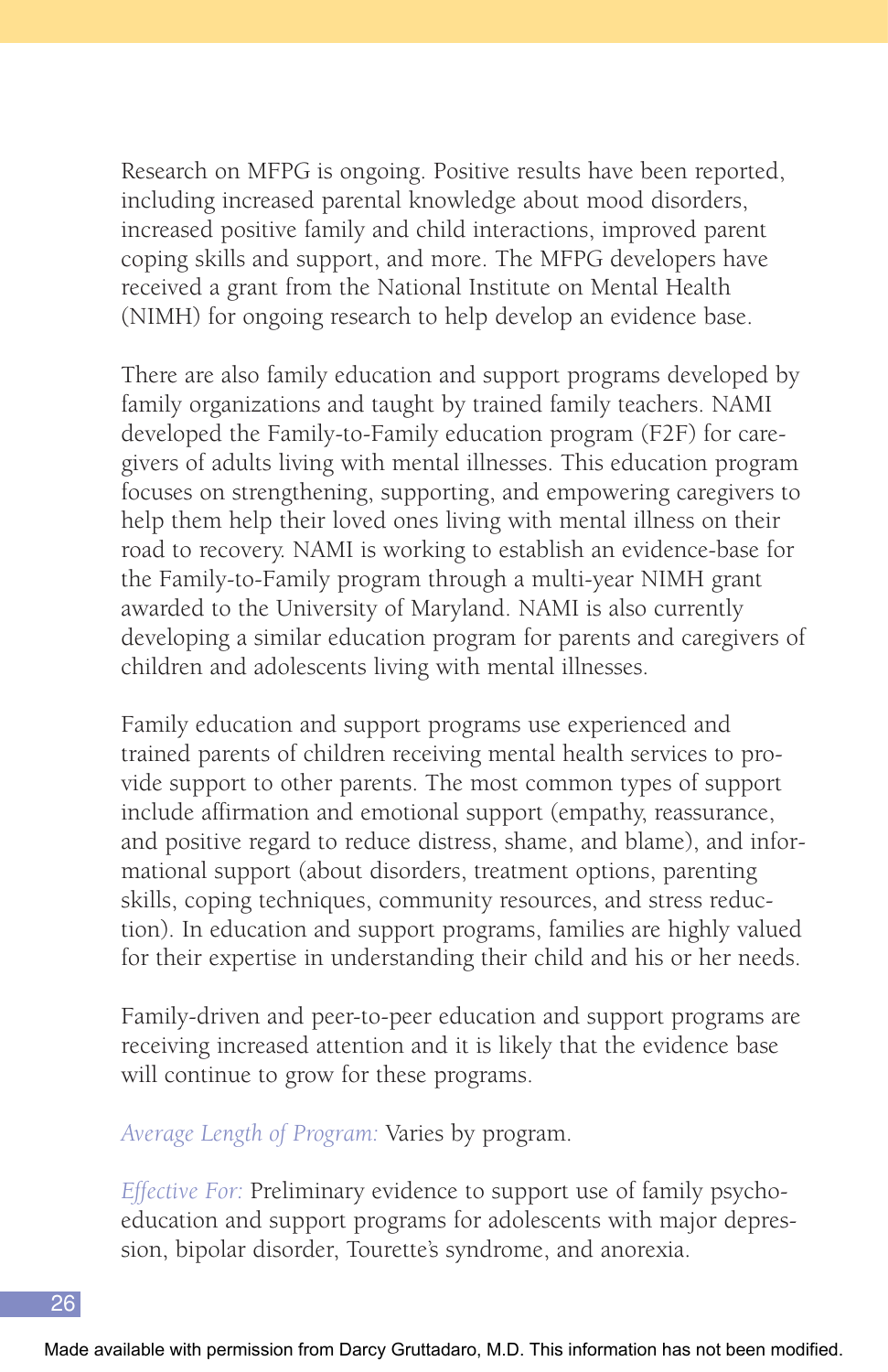Research on MFPG is ongoing. Positive results have been reported, including increased parental knowledge about mood disorders, increased positive family and child interactions, improved parent coping skills and support, and more. The MFPG developers have received a grant from the National Institute on Mental Health (NIMH) for ongoing research to help develop an evidence base.

There are also family education and support programs developed by family organizations and taught by trained family teachers. NAMI developed the Family-to-Family education program (F2F) for caregivers of adults living with mental illnesses. This education program focuses on strengthening, supporting, and empowering caregivers to help them help their loved ones living with mental illness on their road to recovery. NAMI is working to establish an evidence-base for the Family-to-Family program through a multi-year NIMH grant awarded to the University of Maryland. NAMI is also currently developing a similar education program for parents and caregivers of children and adolescents living with mental illnesses.

Family education and support programs use experienced and trained parents of children receiving mental health services to provide support to other parents. The most common types of support include affirmation and emotional support (empathy, reassurance, and positive regard to reduce distress, shame, and blame), and informational support (about disorders, treatment options, parenting skills, coping techniques, community resources, and stress reduction). In education and support programs, families are highly valued for their expertise in understanding their child and his or her needs.

Family-driven and peer-to-peer education and support programs are receiving increased attention and it is likely that the evidence base will continue to grow for these programs.

*Average Length of Program:* Varies by program.

*Effective For:* Preliminary evidence to support use of family psychoeducation and support programs for adolescents with major depression, bipolar disorder, Tourette's syndrome, and anorexia.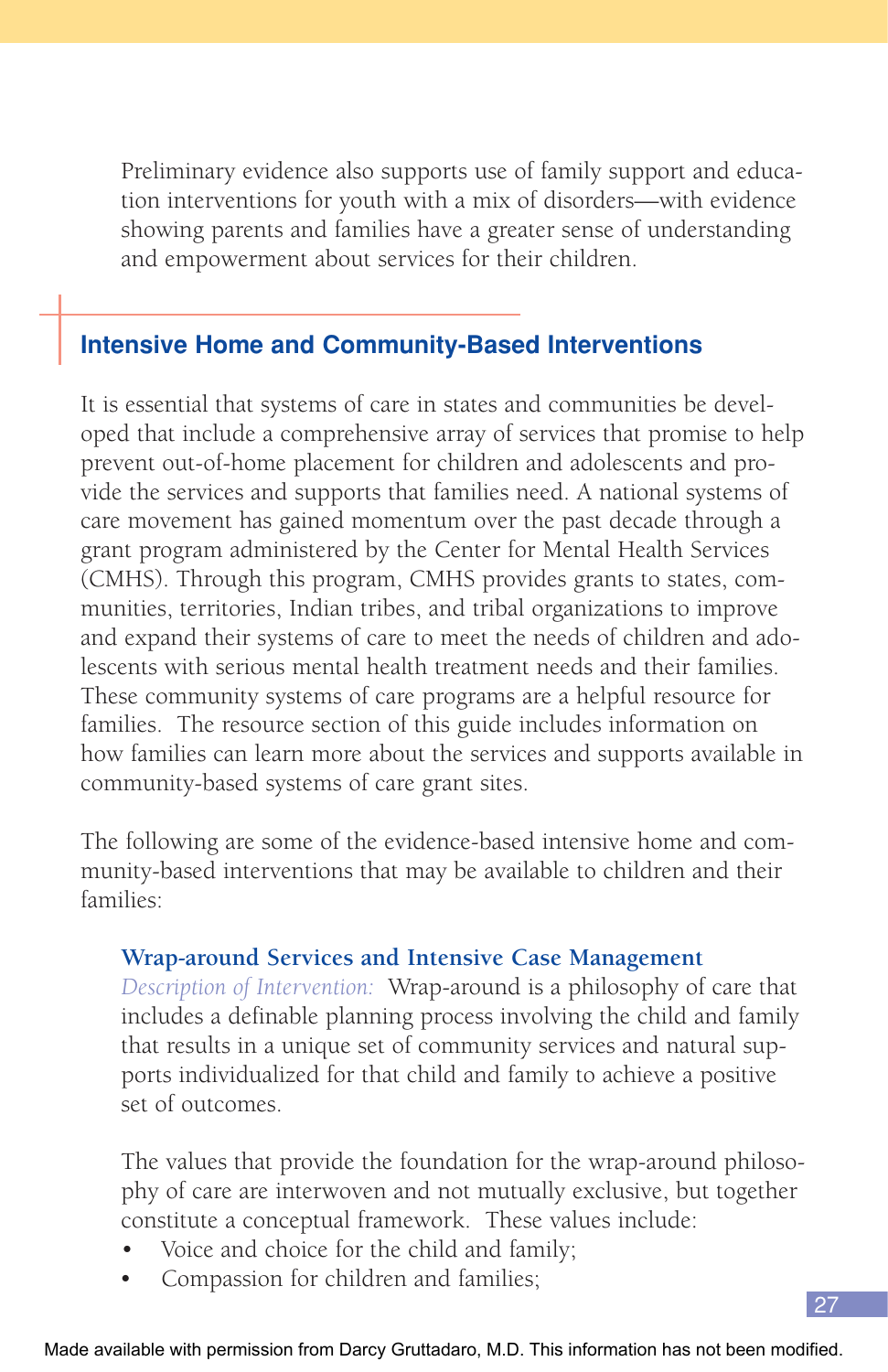Preliminary evidence also supports use of family support and education interventions for youth with a mix of disorders—with evidence showing parents and families have a greater sense of understanding and empowerment about services for their children.

## **Intensive Home and Community-Based Interventions**

It is essential that systems of care in states and communities be developed that include a comprehensive array of services that promise to help prevent out-of-home placement for children and adolescents and provide the services and supports that families need. A national systems of care movement has gained momentum over the past decade through a grant program administered by the Center for Mental Health Services (CMHS). Through this program, CMHS provides grants to states, communities, territories, Indian tribes, and tribal organizations to improve and expand their systems of care to meet the needs of children and adolescents with serious mental health treatment needs and their families. These community systems of care programs are a helpful resource for families. The resource section of this guide includes information on how families can learn more about the services and supports available in community-based systems of care grant sites.

The following are some of the evidence-based intensive home and community-based interventions that may be available to children and their families:

## **Wrap-around Services and Intensive Case Management**

*Description of Intervention:* Wrap-around is a philosophy of care that includes a definable planning process involving the child and family that results in a unique set of community services and natural supports individualized for that child and family to achieve a positive set of outcomes.

The values that provide the foundation for the wrap-around philosophy of care are interwoven and not mutually exclusive, but together constitute a conceptual framework. These values include:

27

- Voice and choice for the child and family;
- Compassion for children and families;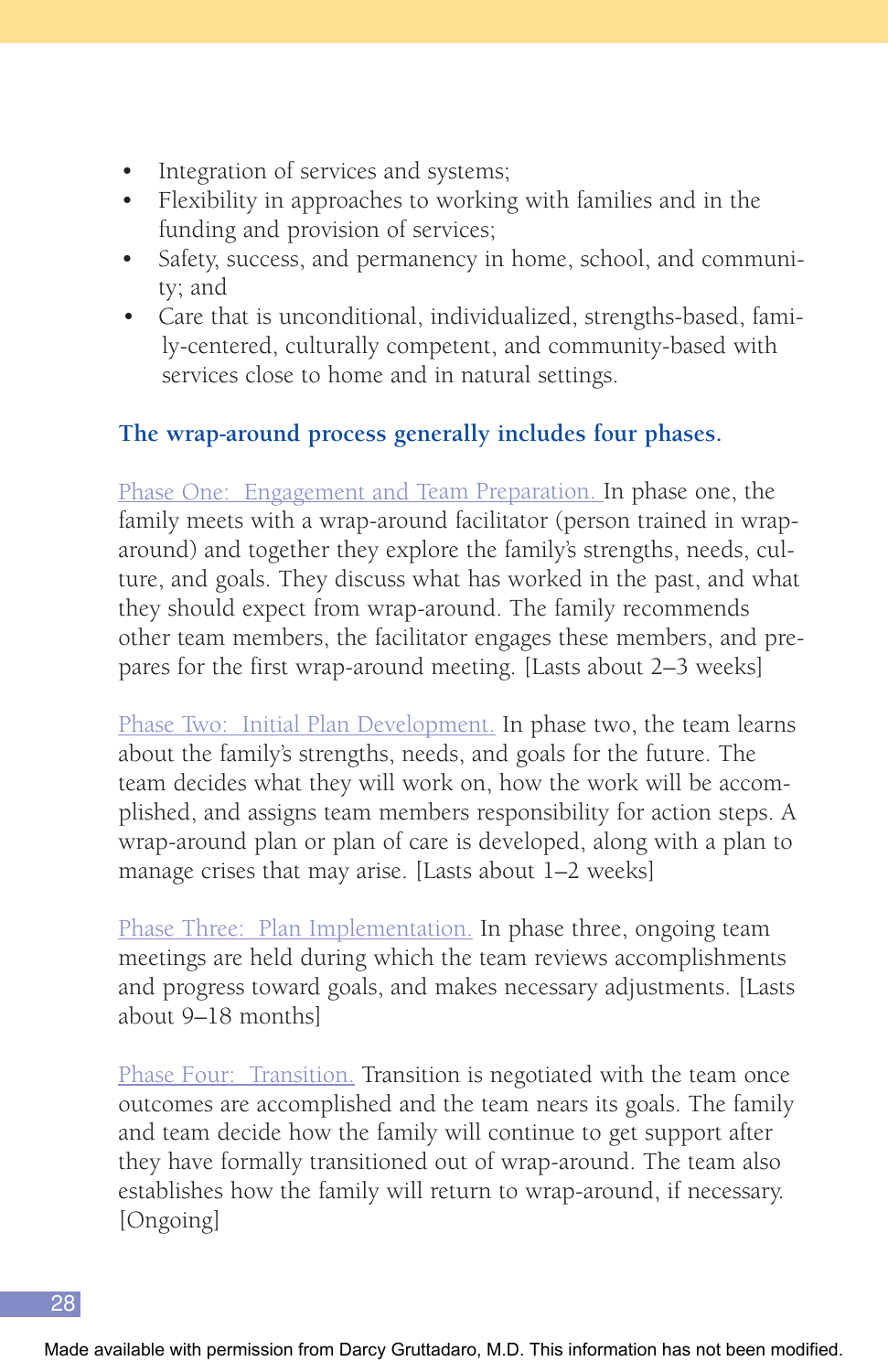- Integration of services and systems;
- Flexibility in approaches to working with families and in the funding and provision of services;
- Safety, success, and permanency in home, school, and community; and
- Care that is unconditional, individualized, strengths-based, family-centered, culturally competent, and community-based with services close to home and in natural settings.

## **The wrap-around process generally includes four phases.**

Phase One: Engagement and Team Preparation. In phase one, the family meets with a wrap-around facilitator (person trained in wraparound) and together they explore the family's strengths, needs, culture, and goals. They discuss what has worked in the past, and what they should expect from wrap-around. The family recommends other team members, the facilitator engages these members, and prepares for the first wrap-around meeting. [Lasts about 2–3 weeks]

Phase Two: Initial Plan Development. In phase two, the team learns about the family's strengths, needs, and goals for the future. The team decides what they will work on, how the work will be accomplished, and assigns team members responsibility for action steps. A wrap-around plan or plan of care is developed, along with a plan to manage crises that may arise. [Lasts about 1–2 weeks]

Phase Three: Plan Implementation. In phase three, ongoing team meetings are held during which the team reviews accomplishments and progress toward goals, and makes necessary adjustments. [Lasts about 9–18 months]

Phase Four: Transition. Transition is negotiated with the team once outcomes are accomplished and the team nears its goals. The family and team decide how the family will continue to get support after they have formally transitioned out of wrap-around. The team also establishes how the family will return to wrap-around, if necessary. [Ongoing]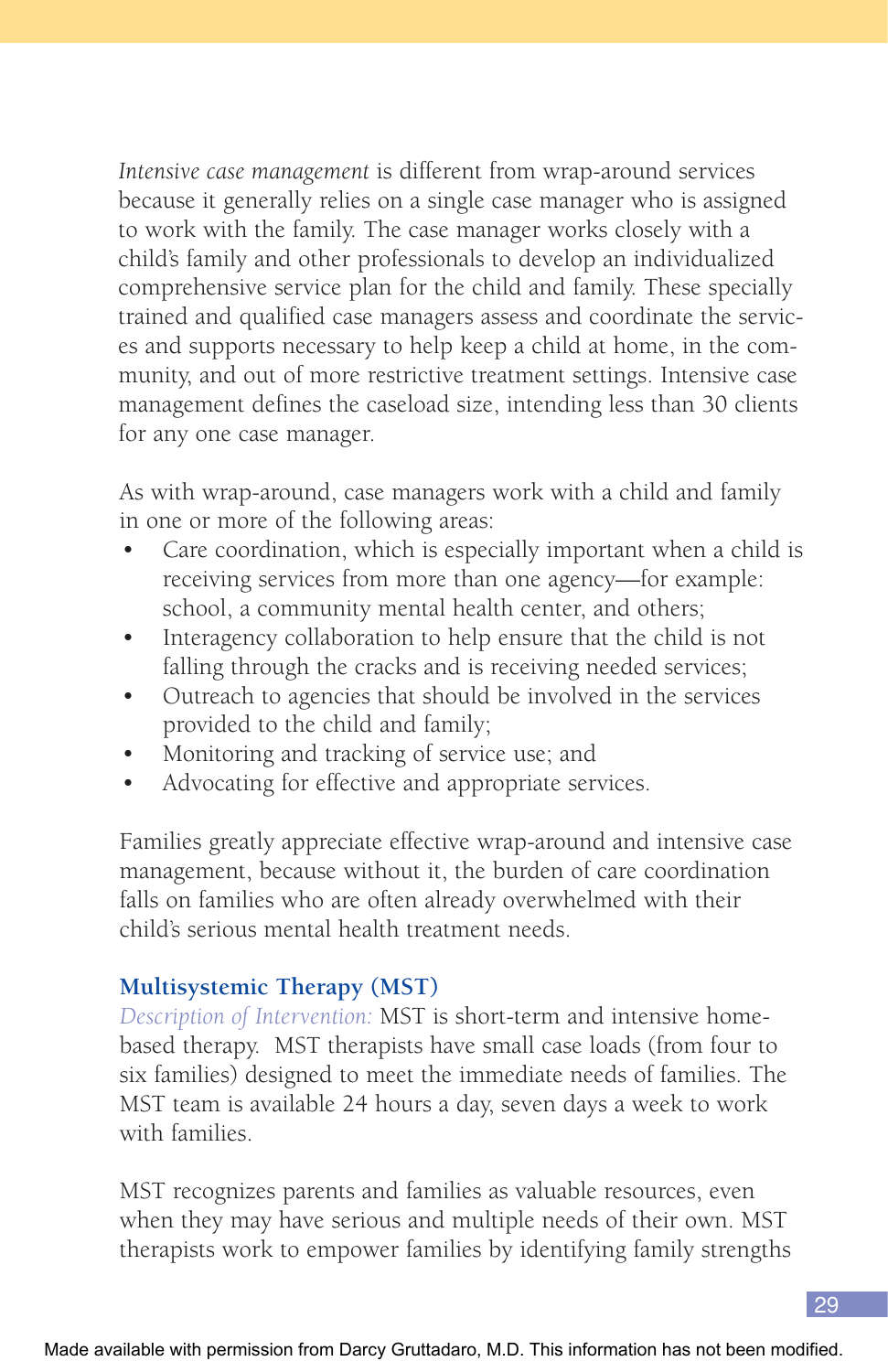*Intensive case management* is different from wrap-around services because it generally relies on a single case manager who is assigned to work with the family. The case manager works closely with a child's family and other professionals to develop an individualized comprehensive service plan for the child and family. These specially trained and qualified case managers assess and coordinate the services and supports necessary to help keep a child at home, in the community, and out of more restrictive treatment settings. Intensive case management defines the caseload size, intending less than 30 clients for any one case manager.

As with wrap-around, case managers work with a child and family in one or more of the following areas:

- Care coordination, which is especially important when a child is receiving services from more than one agency—for example: school, a community mental health center, and others;
- Interagency collaboration to help ensure that the child is not falling through the cracks and is receiving needed services;
- Outreach to agencies that should be involved in the services provided to the child and family;
- Monitoring and tracking of service use; and
- Advocating for effective and appropriate services.

Families greatly appreciate effective wrap-around and intensive case management, because without it, the burden of care coordination falls on families who are often already overwhelmed with their child's serious mental health treatment needs.

## **Multisystemic Therapy (MST)**

*Description of Intervention:* MST is short-term and intensive homebased therapy. MST therapists have small case loads (from four to six families) designed to meet the immediate needs of families. The MST team is available 24 hours a day, seven days a week to work with families.

MST recognizes parents and families as valuable resources, even when they may have serious and multiple needs of their own. MST therapists work to empower families by identifying family strengths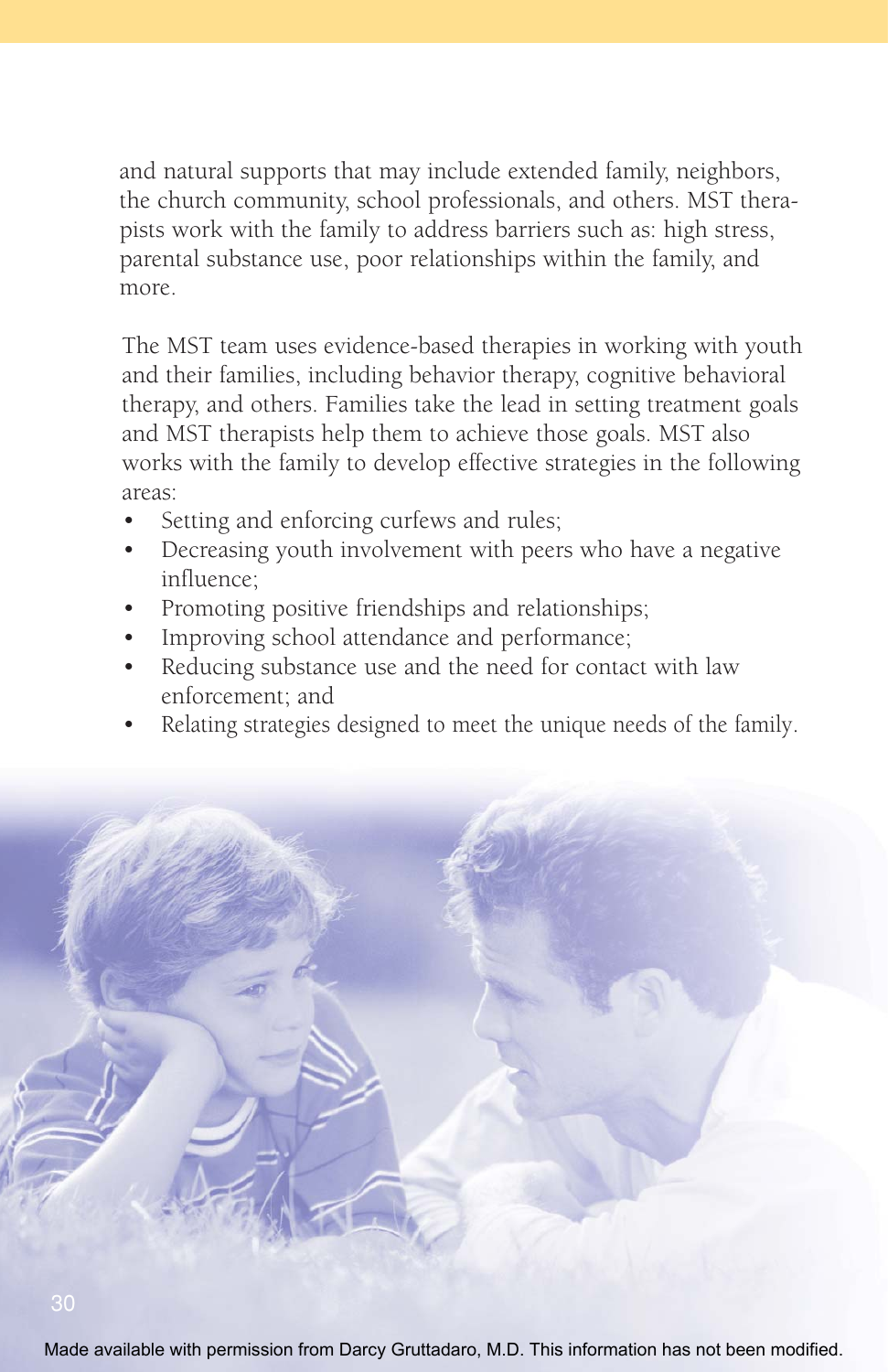and natural supports that may include extended family, neighbors, the church community, school professionals, and others. MST therapists work with the family to address barriers such as: high stress, parental substance use, poor relationships within the family, and more.

The MST team uses evidence-based therapies in working with youth and their families, including behavior therapy, cognitive behavioral therapy, and others. Families take the lead in setting treatment goals and MST therapists help them to achieve those goals. MST also works with the family to develop effective strategies in the following areas:

- Setting and enforcing curfews and rules;
- Decreasing youth involvement with peers who have a negative influence;
- Promoting positive friendships and relationships;
- Improving school attendance and performance;
- Reducing substance use and the need for contact with law enforcement; and
- Relating strategies designed to meet the unique needs of the family.



Made available with permission from Darcy Gruttadaro, M.D. This information has not been modified.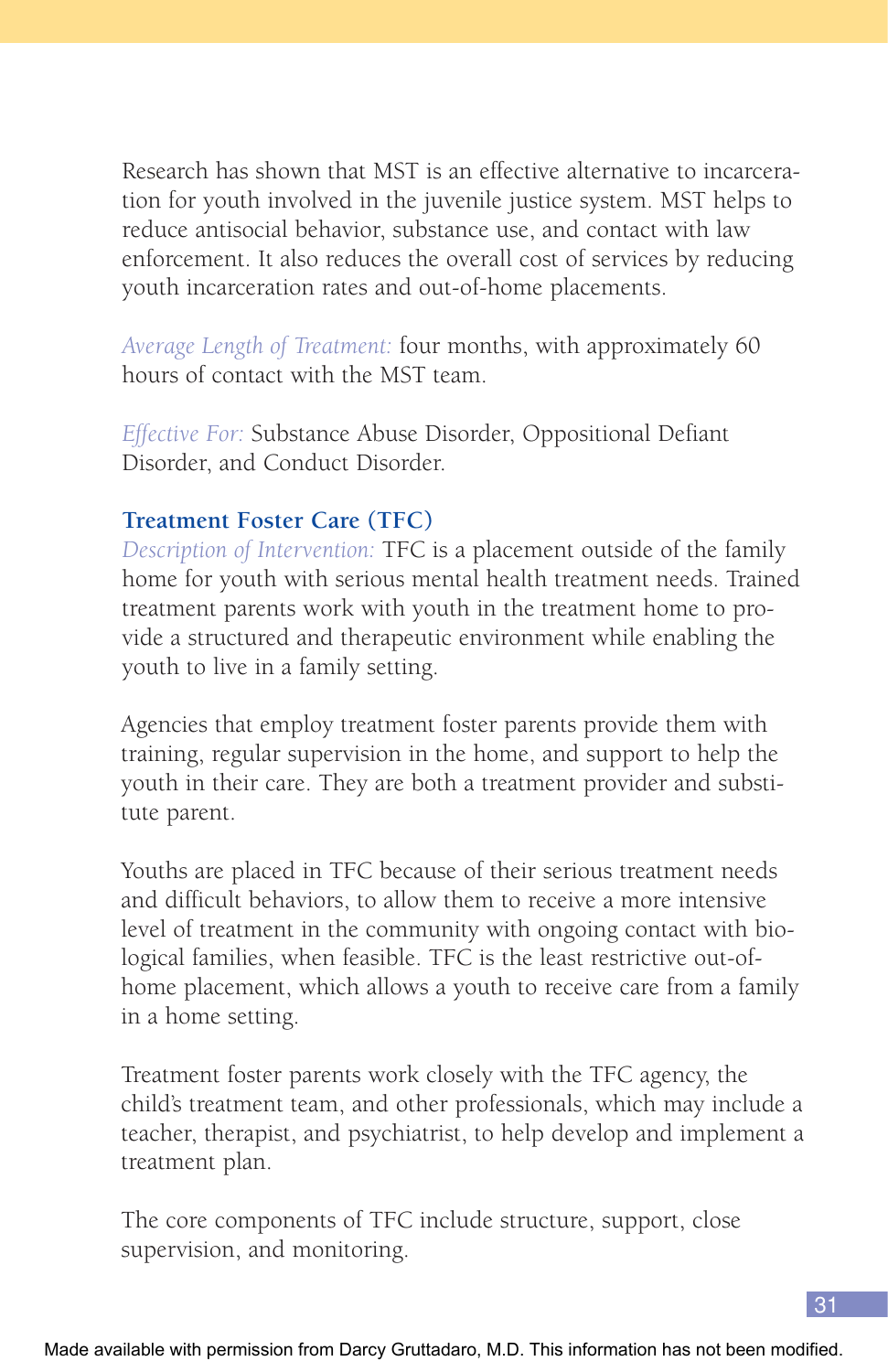Research has shown that MST is an effective alternative to incarceration for youth involved in the juvenile justice system. MST helps to reduce antisocial behavior, substance use, and contact with law enforcement. It also reduces the overall cost of services by reducing youth incarceration rates and out-of-home placements.

*Average Length of Treatment:* four months, with approximately 60 hours of contact with the MST team.

*Effective For:* Substance Abuse Disorder, Oppositional Defiant Disorder, and Conduct Disorder.

#### **Treatment Foster Care (TFC)**

*Description of Intervention:* TFC is a placement outside of the family home for youth with serious mental health treatment needs. Trained treatment parents work with youth in the treatment home to provide a structured and therapeutic environment while enabling the youth to live in a family setting.

Agencies that employ treatment foster parents provide them with training, regular supervision in the home, and support to help the youth in their care. They are both a treatment provider and substitute parent.

Youths are placed in TFC because of their serious treatment needs and difficult behaviors, to allow them to receive a more intensive level of treatment in the community with ongoing contact with biological families, when feasible. TFC is the least restrictive out-ofhome placement, which allows a youth to receive care from a family in a home setting.

Treatment foster parents work closely with the TFC agency, the child's treatment team, and other professionals, which may include a teacher, therapist, and psychiatrist, to help develop and implement a treatment plan.

The core components of TFC include structure, support, close supervision, and monitoring.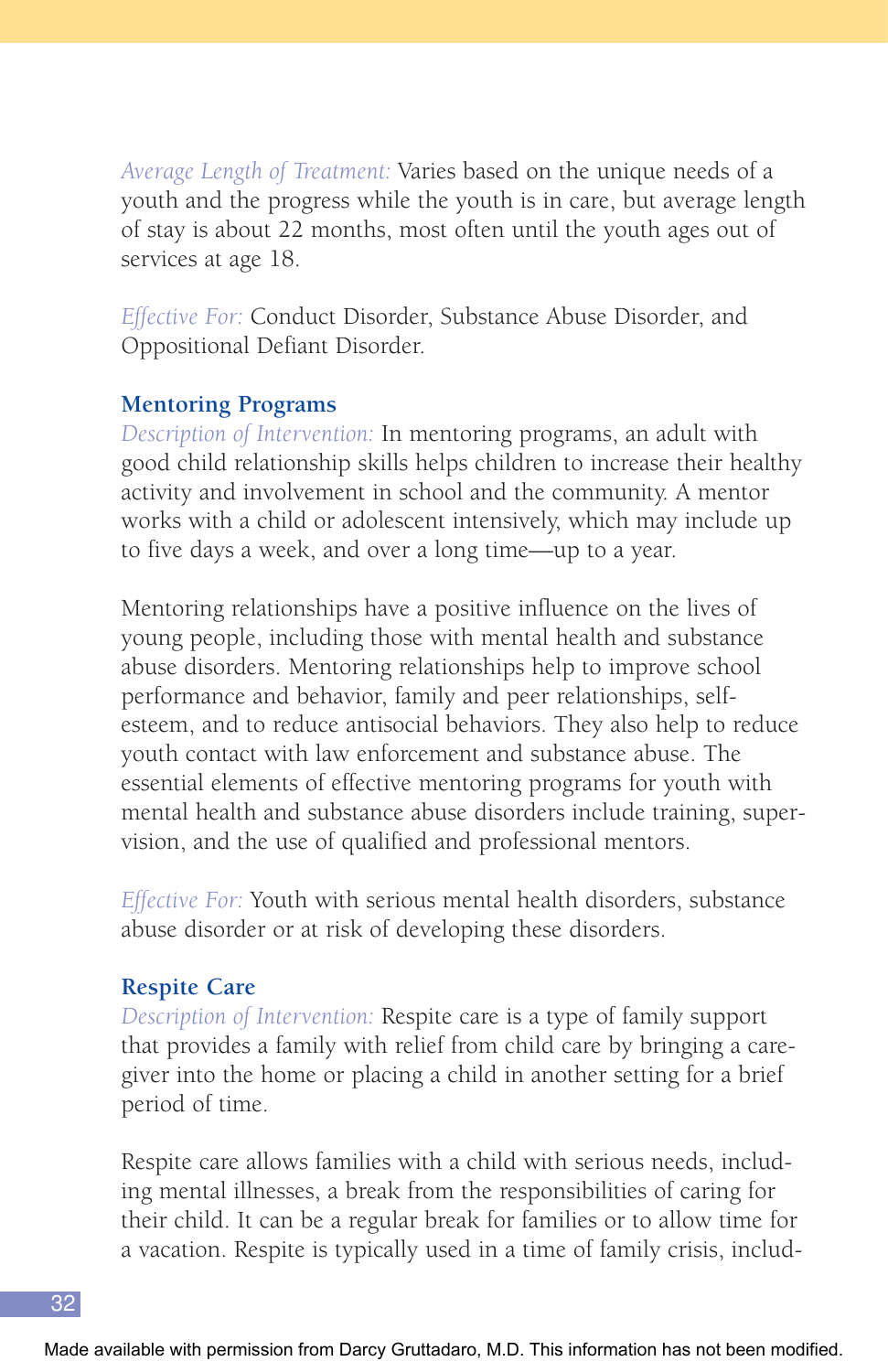*Average Length of Treatment:* Varies based on the unique needs of a youth and the progress while the youth is in care, but average length of stay is about 22 months, most often until the youth ages out of services at age 18.

*Effective For:* Conduct Disorder, Substance Abuse Disorder, and Oppositional Defiant Disorder.

#### **Mentoring Programs**

*Description of Intervention:* In mentoring programs, an adult with good child relationship skills helps children to increase their healthy activity and involvement in school and the community. A mentor works with a child or adolescent intensively, which may include up to five days a week, and over a long time—up to a year.

Mentoring relationships have a positive influence on the lives of young people, including those with mental health and substance abuse disorders. Mentoring relationships help to improve school performance and behavior, family and peer relationships, selfesteem, and to reduce antisocial behaviors. They also help to reduce youth contact with law enforcement and substance abuse. The essential elements of effective mentoring programs for youth with mental health and substance abuse disorders include training, supervision, and the use of qualified and professional mentors.

*Effective For:* Youth with serious mental health disorders, substance abuse disorder or at risk of developing these disorders.

#### **Respite Care**

*Description of Intervention:* Respite care is a type of family support that provides a family with relief from child care by bringing a caregiver into the home or placing a child in another setting for a brief period of time.

Respite care allows families with a child with serious needs, including mental illnesses, a break from the responsibilities of caring for their child. It can be a regular break for families or to allow time for a vacation. Respite is typically used in a time of family crisis, includ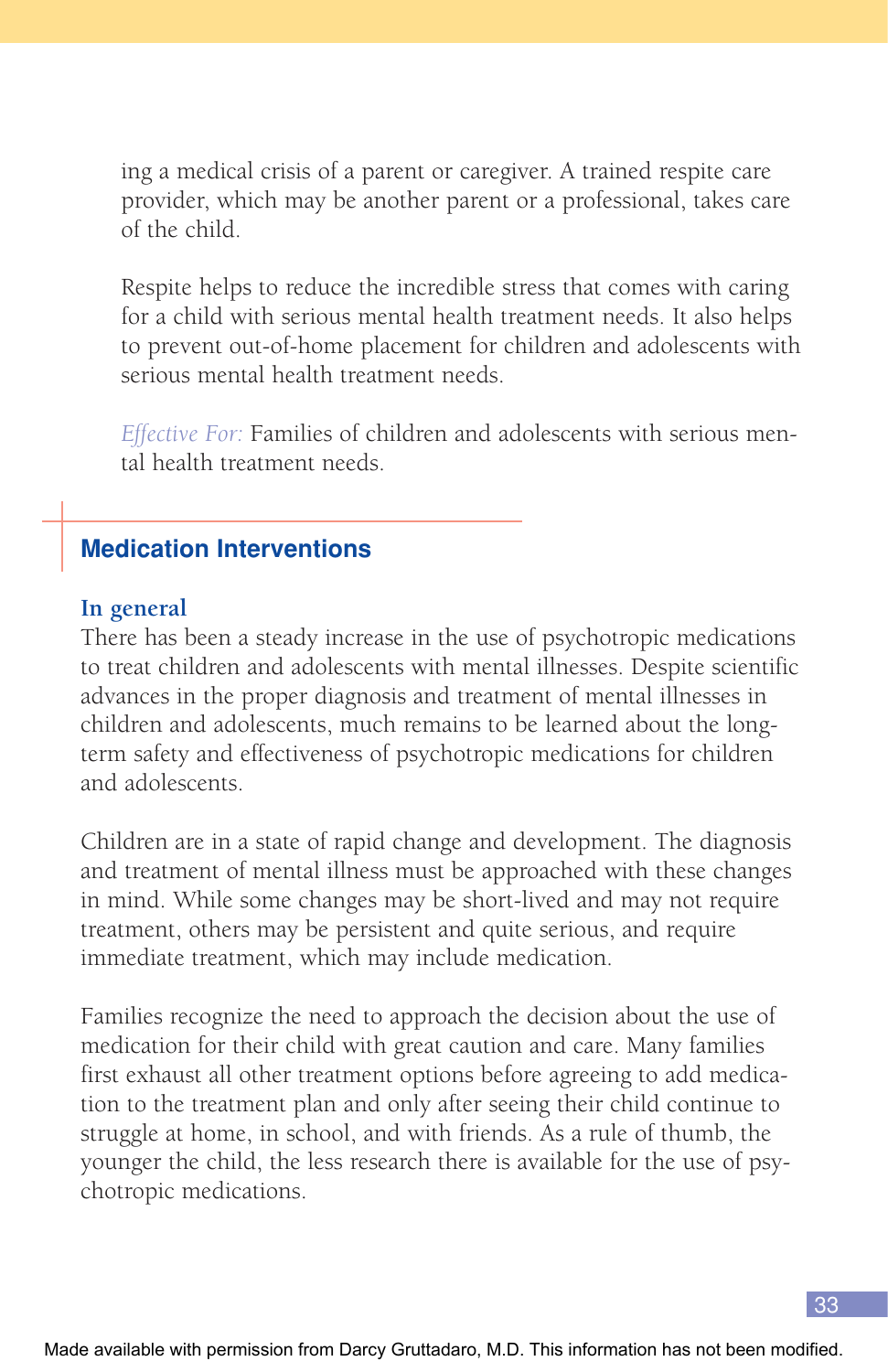ing a medical crisis of a parent or caregiver. A trained respite care provider, which may be another parent or a professional, takes care of the child.

Respite helps to reduce the incredible stress that comes with caring for a child with serious mental health treatment needs. It also helps to prevent out-of-home placement for children and adolescents with serious mental health treatment needs.

*Effective For:* Families of children and adolescents with serious mental health treatment needs.

## **Medication Interventions**

#### **In general**

There has been a steady increase in the use of psychotropic medications to treat children and adolescents with mental illnesses. Despite scientific advances in the proper diagnosis and treatment of mental illnesses in children and adolescents, much remains to be learned about the longterm safety and effectiveness of psychotropic medications for children and adolescents.

Children are in a state of rapid change and development. The diagnosis and treatment of mental illness must be approached with these changes in mind. While some changes may be short-lived and may not require treatment, others may be persistent and quite serious, and require immediate treatment, which may include medication.

Families recognize the need to approach the decision about the use of medication for their child with great caution and care. Many families first exhaust all other treatment options before agreeing to add medication to the treatment plan and only after seeing their child continue to struggle at home, in school, and with friends. As a rule of thumb, the younger the child, the less research there is available for the use of psychotropic medications.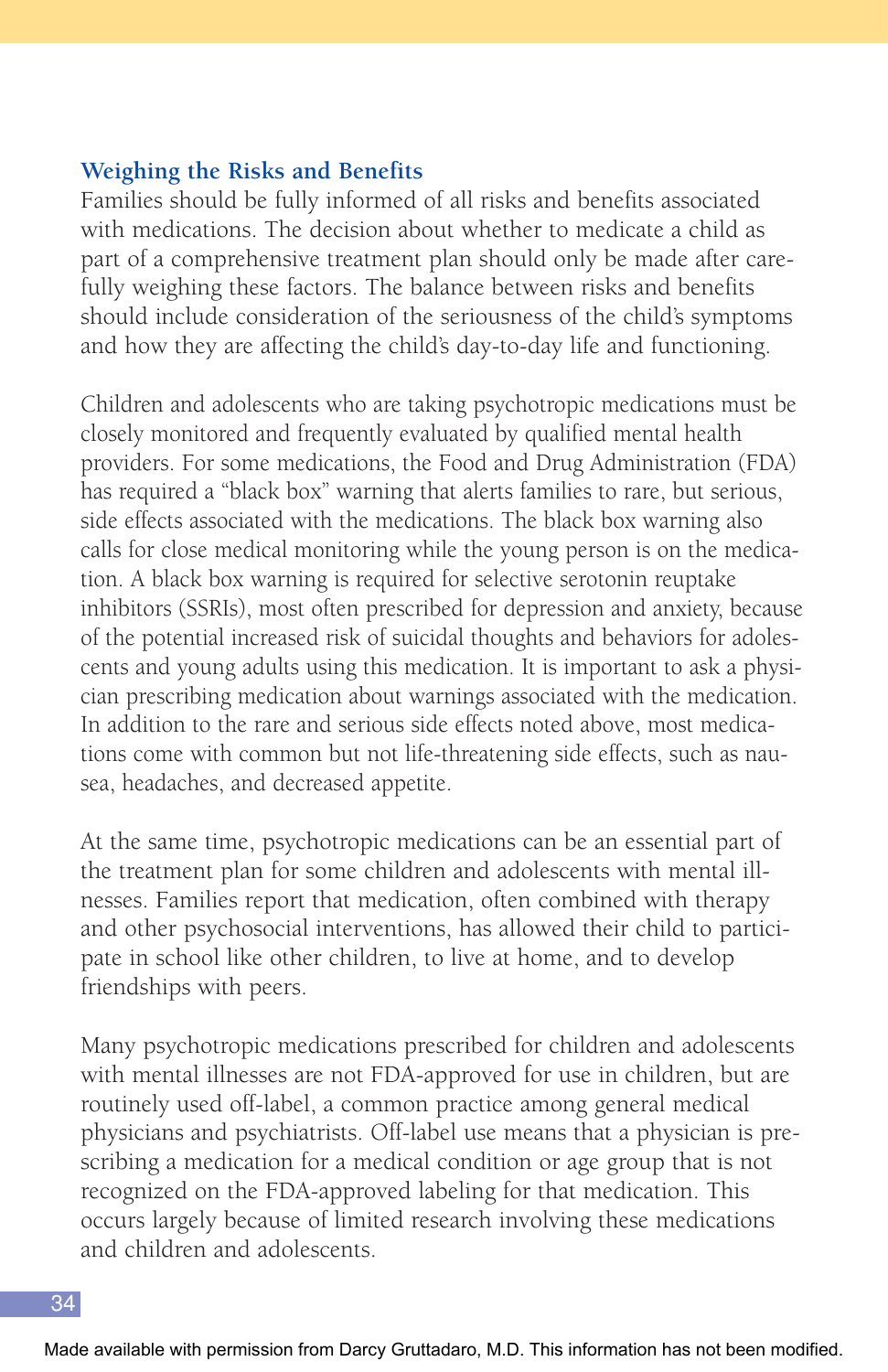#### **Weighing the Risks and Benefits**

Families should be fully informed of all risks and benefits associated with medications. The decision about whether to medicate a child as part of a comprehensive treatment plan should only be made after carefully weighing these factors. The balance between risks and benefits should include consideration of the seriousness of the child's symptoms and how they are affecting the child's day-to-day life and functioning.

Children and adolescents who are taking psychotropic medications must be closely monitored and frequently evaluated by qualified mental health providers. For some medications, the Food and Drug Administration (FDA) has required a "black box" warning that alerts families to rare, but serious, side effects associated with the medications. The black box warning also calls for close medical monitoring while the young person is on the medication. A black box warning is required for selective serotonin reuptake inhibitors (SSRIs), most often prescribed for depression and anxiety, because of the potential increased risk of suicidal thoughts and behaviors for adolescents and young adults using this medication. It is important to ask a physician prescribing medication about warnings associated with the medication. In addition to the rare and serious side effects noted above, most medications come with common but not life-threatening side effects, such as nausea, headaches, and decreased appetite.

At the same time, psychotropic medications can be an essential part of the treatment plan for some children and adolescents with mental illnesses. Families report that medication, often combined with therapy and other psychosocial interventions, has allowed their child to participate in school like other children, to live at home, and to develop friendships with peers.

Many psychotropic medications prescribed for children and adolescents with mental illnesses are not FDA-approved for use in children, but are routinely used off-label, a common practice among general medical physicians and psychiatrists. Off-label use means that a physician is prescribing a medication for a medical condition or age group that is not recognized on the FDA-approved labeling for that medication. This occurs largely because of limited research involving these medications and children and adolescents.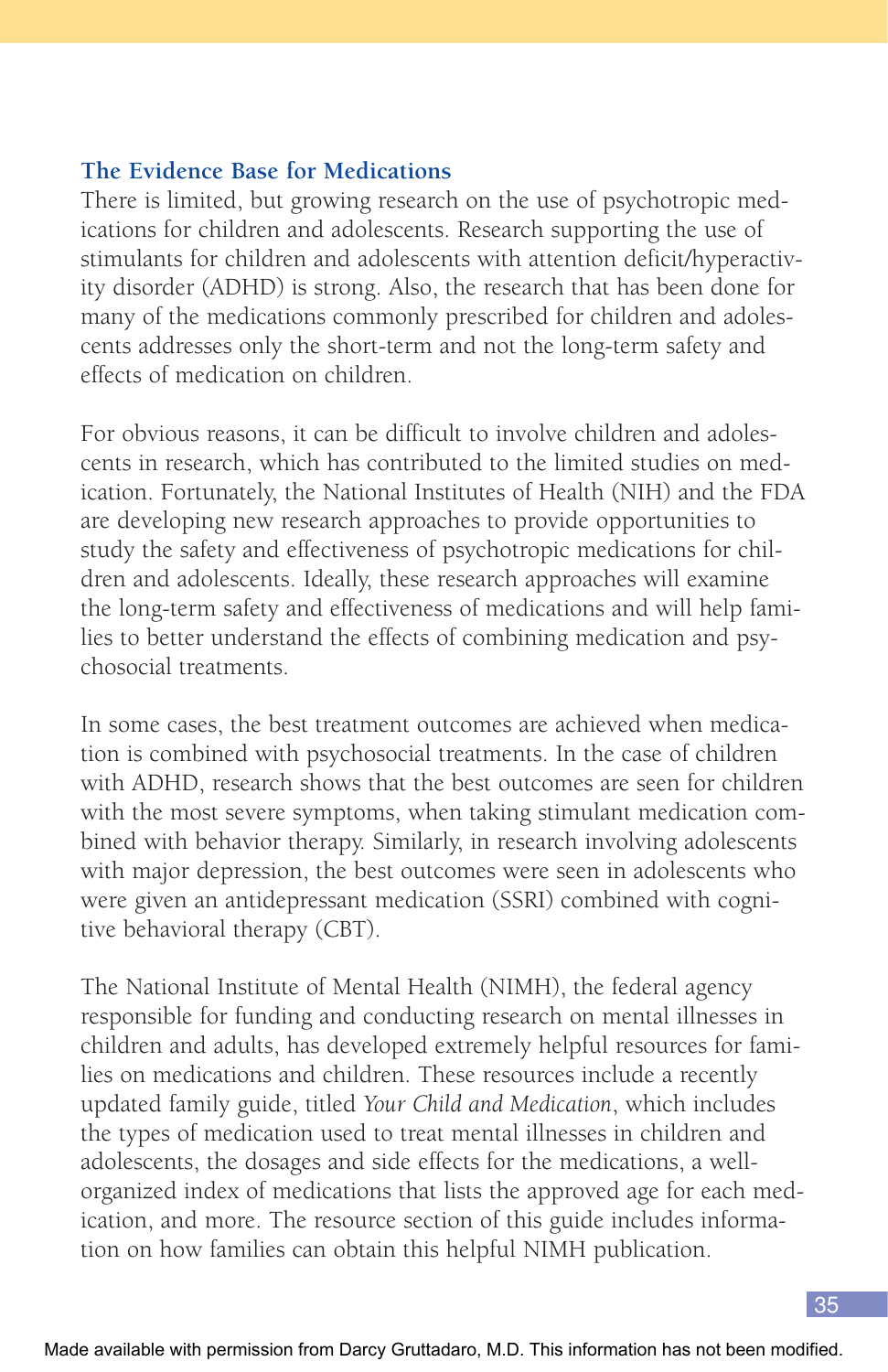#### **The Evidence Base for Medications**

There is limited, but growing research on the use of psychotropic medications for children and adolescents. Research supporting the use of stimulants for children and adolescents with attention deficit/hyperactivity disorder (ADHD) is strong. Also, the research that has been done for many of the medications commonly prescribed for children and adolescents addresses only the short-term and not the long-term safety and effects of medication on children.

For obvious reasons, it can be difficult to involve children and adolescents in research, which has contributed to the limited studies on medication. Fortunately, the National Institutes of Health (NIH) and the FDA are developing new research approaches to provide opportunities to study the safety and effectiveness of psychotropic medications for children and adolescents. Ideally, these research approaches will examine the long-term safety and effectiveness of medications and will help families to better understand the effects of combining medication and psychosocial treatments.

In some cases, the best treatment outcomes are achieved when medication is combined with psychosocial treatments. In the case of children with ADHD, research shows that the best outcomes are seen for children with the most severe symptoms, when taking stimulant medication combined with behavior therapy. Similarly, in research involving adolescents with major depression, the best outcomes were seen in adolescents who were given an antidepressant medication (SSRI) combined with cognitive behavioral therapy (CBT).

The National Institute of Mental Health (NIMH), the federal agency responsible for funding and conducting research on mental illnesses in children and adults, has developed extremely helpful resources for families on medications and children. These resources include a recently updated family guide, titled *Your Child and Medication*, which includes the types of medication used to treat mental illnesses in children and adolescents, the dosages and side effects for the medications, a wellorganized index of medications that lists the approved age for each medication, and more. The resource section of this guide includes information on how families can obtain this helpful NIMH publication.

35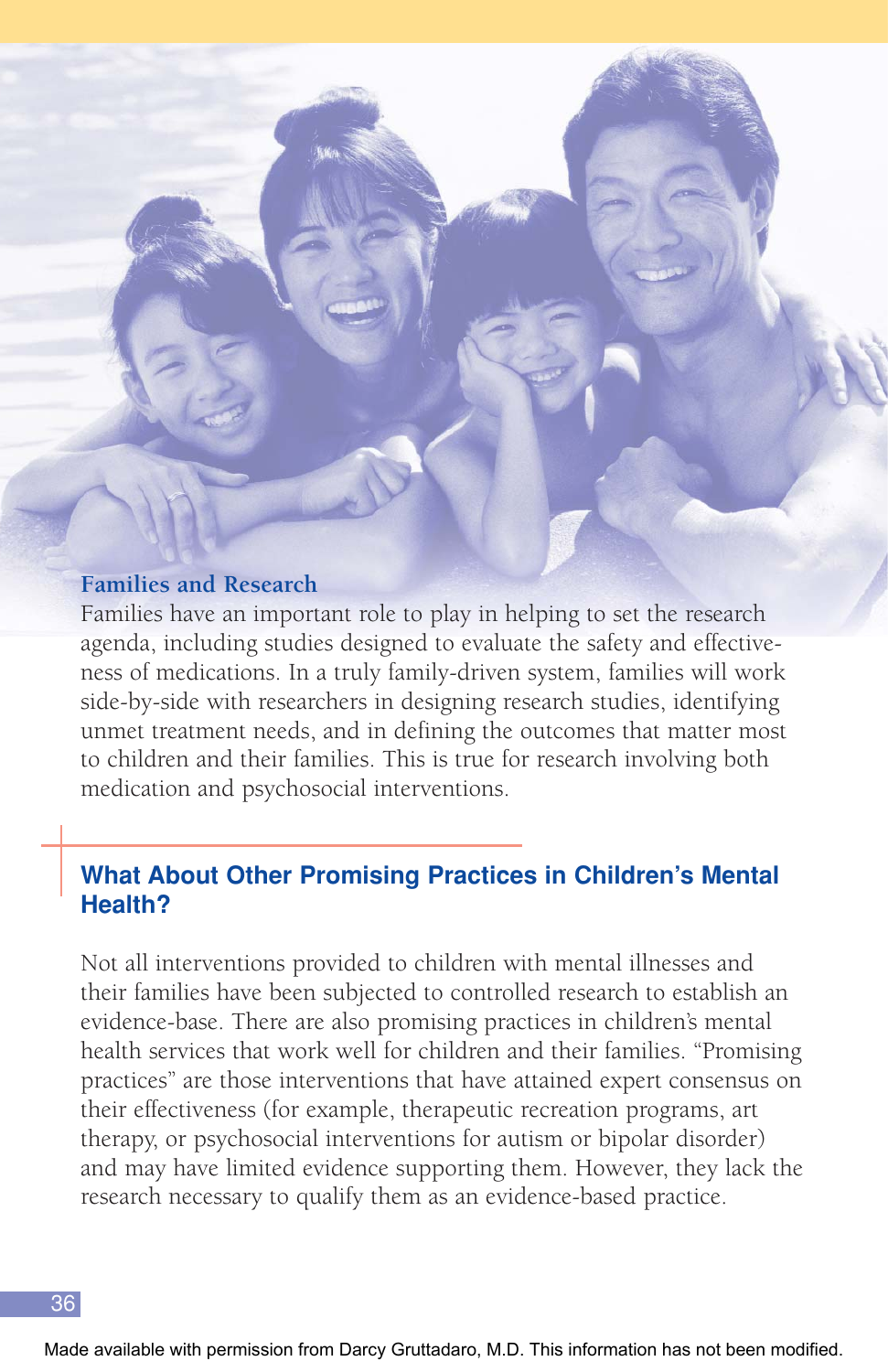#### **Families and Research**

Families have an important role to play in helping to set the research agenda, including studies designed to evaluate the safety and effectiveness of medications. In a truly family-driven system, families will work side-by-side with researchers in designing research studies, identifying unmet treatment needs, and in defining the outcomes that matter most to children and their families. This is true for research involving both medication and psychosocial interventions.

## **What About Other Promising Practices in Children's Mental Health?**

Not all interventions provided to children with mental illnesses and their families have been subjected to controlled research to establish an evidence-base. There are also promising practices in children's mental health services that work well for children and their families. "Promising practices" are those interventions that have attained expert consensus on their effectiveness (for example, therapeutic recreation programs, art therapy, or psychosocial interventions for autism or bipolar disorder) and may have limited evidence supporting them. However, they lack the research necessary to qualify them as an evidence-based practice.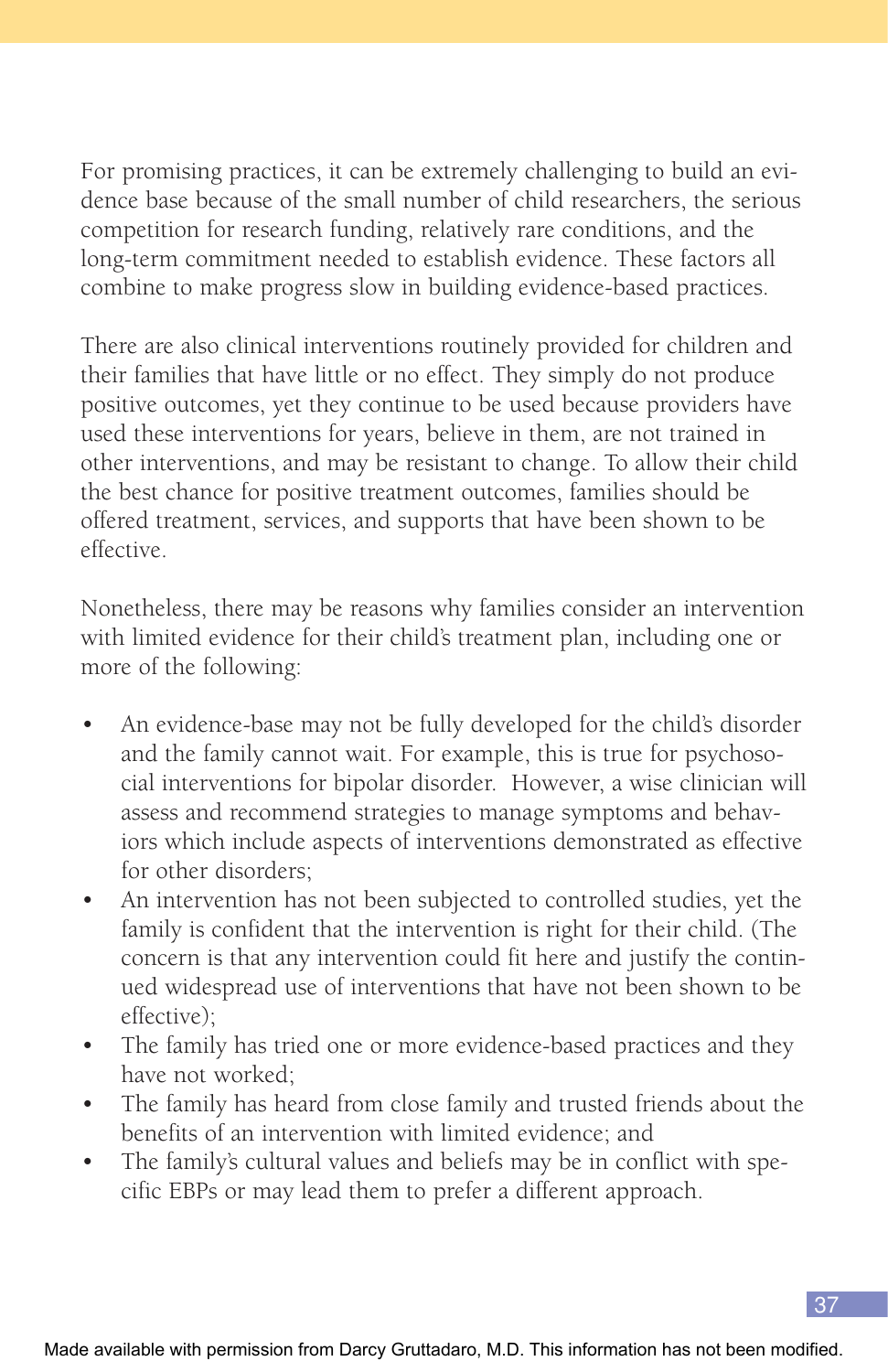For promising practices, it can be extremely challenging to build an evidence base because of the small number of child researchers, the serious competition for research funding, relatively rare conditions, and the long-term commitment needed to establish evidence. These factors all combine to make progress slow in building evidence-based practices.

There are also clinical interventions routinely provided for children and their families that have little or no effect. They simply do not produce positive outcomes, yet they continue to be used because providers have used these interventions for years, believe in them, are not trained in other interventions, and may be resistant to change. To allow their child the best chance for positive treatment outcomes, families should be offered treatment, services, and supports that have been shown to be effective.

Nonetheless, there may be reasons why families consider an intervention with limited evidence for their child's treatment plan, including one or more of the following:

- An evidence-base may not be fully developed for the child's disorder and the family cannot wait. For example, this is true for psychosocial interventions for bipolar disorder. However, a wise clinician will assess and recommend strategies to manage symptoms and behaviors which include aspects of interventions demonstrated as effective for other disorders;
- An intervention has not been subjected to controlled studies, yet the family is confident that the intervention is right for their child. (The concern is that any intervention could fit here and justify the continued widespread use of interventions that have not been shown to be effective);
- The family has tried one or more evidence-based practices and they have not worked;
- The family has heard from close family and trusted friends about the benefits of an intervention with limited evidence; and
- The family's cultural values and beliefs may be in conflict with specific EBPs or may lead them to prefer a different approach.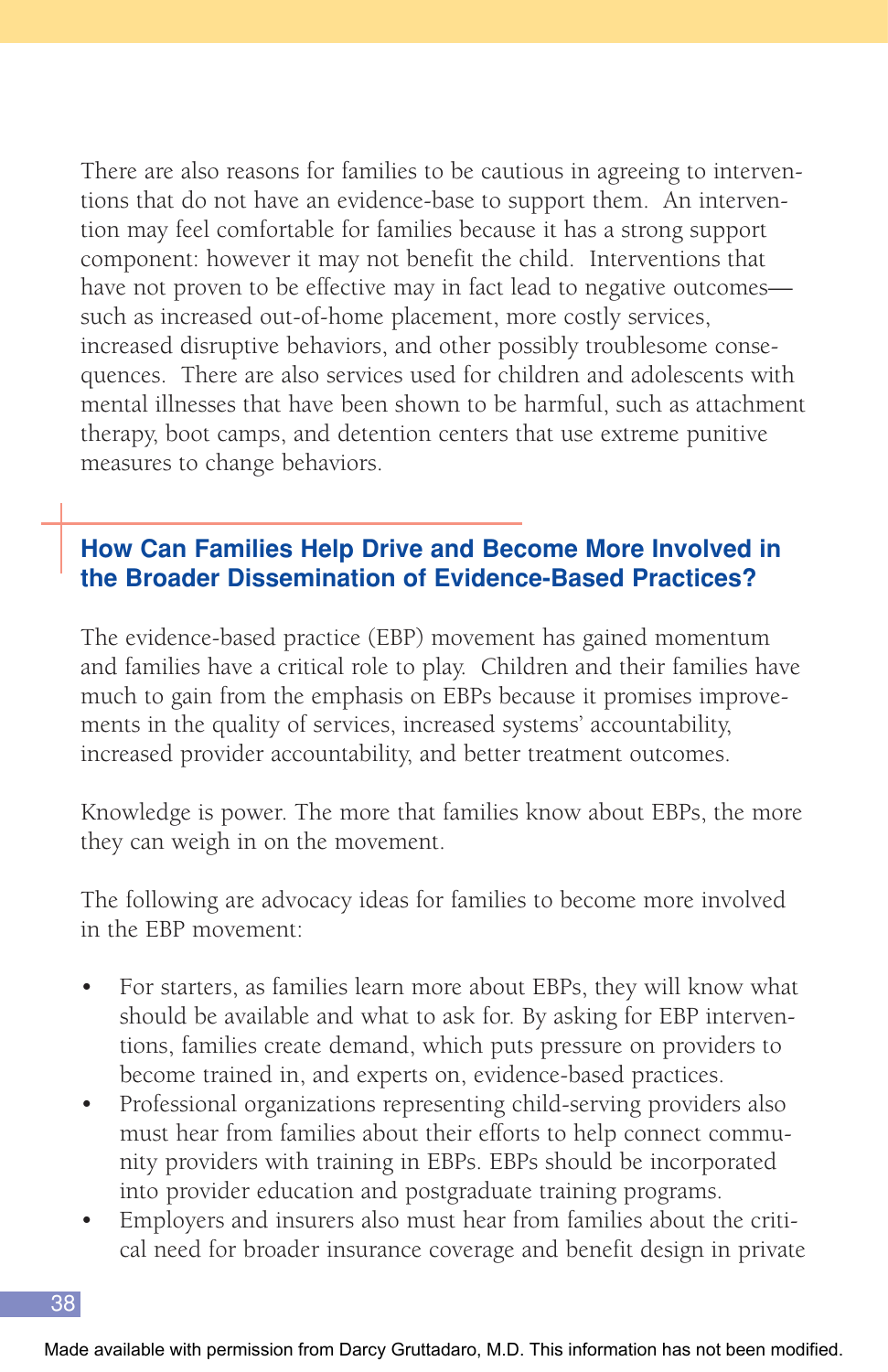There are also reasons for families to be cautious in agreeing to interventions that do not have an evidence-base to support them. An intervention may feel comfortable for families because it has a strong support component: however it may not benefit the child. Interventions that have not proven to be effective may in fact lead to negative outcomes such as increased out-of-home placement, more costly services, increased disruptive behaviors, and other possibly troublesome consequences. There are also services used for children and adolescents with mental illnesses that have been shown to be harmful, such as attachment therapy, boot camps, and detention centers that use extreme punitive measures to change behaviors.

## **How Can Families Help Drive and Become More Involved in the Broader Dissemination of Evidence-Based Practices?**

The evidence-based practice (EBP) movement has gained momentum and families have a critical role to play. Children and their families have much to gain from the emphasis on EBPs because it promises improvements in the quality of services, increased systems' accountability, increased provider accountability, and better treatment outcomes.

Knowledge is power. The more that families know about EBPs, the more they can weigh in on the movement.

The following are advocacy ideas for families to become more involved in the EBP movement:

- For starters, as families learn more about EBPs, they will know what should be available and what to ask for. By asking for EBP interventions, families create demand, which puts pressure on providers to become trained in, and experts on, evidence-based practices.
- Professional organizations representing child-serving providers also must hear from families about their efforts to help connect community providers with training in EBPs. EBPs should be incorporated into provider education and postgraduate training programs.
- Employers and insurers also must hear from families about the critical need for broader insurance coverage and benefit design in private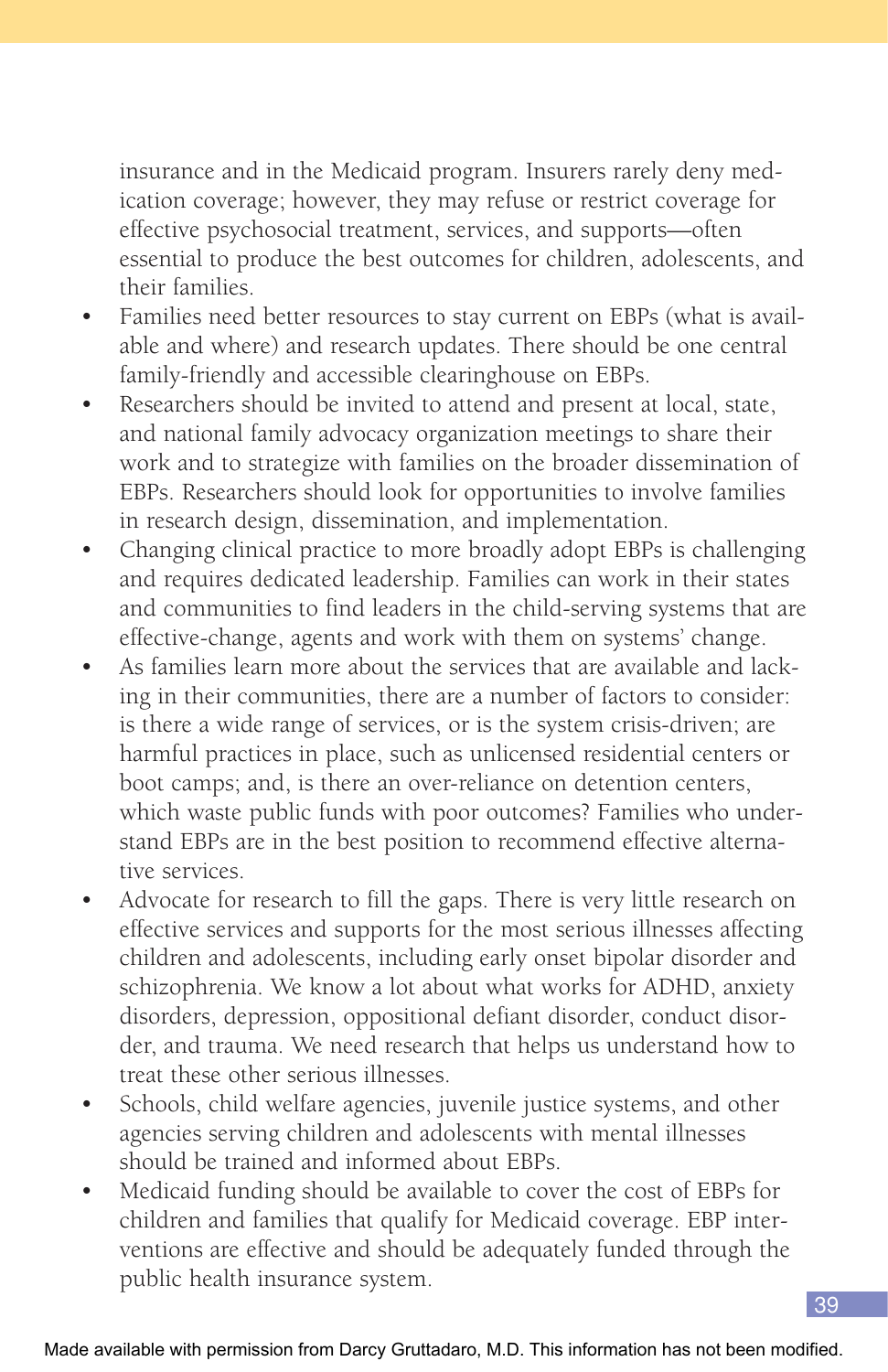insurance and in the Medicaid program. Insurers rarely deny medication coverage; however, they may refuse or restrict coverage for effective psychosocial treatment, services, and supports—often essential to produce the best outcomes for children, adolescents, and their families.

- Families need better resources to stay current on EBPs (what is available and where) and research updates. There should be one central family-friendly and accessible clearinghouse on EBPs.
- Researchers should be invited to attend and present at local, state, and national family advocacy organization meetings to share their work and to strategize with families on the broader dissemination of EBPs. Researchers should look for opportunities to involve families in research design, dissemination, and implementation.
- Changing clinical practice to more broadly adopt EBPs is challenging and requires dedicated leadership. Families can work in their states and communities to find leaders in the child-serving systems that are effective-change, agents and work with them on systems' change.
- As families learn more about the services that are available and lacking in their communities, there are a number of factors to consider: is there a wide range of services, or is the system crisis-driven; are harmful practices in place, such as unlicensed residential centers or boot camps; and, is there an over-reliance on detention centers, which waste public funds with poor outcomes? Families who understand EBPs are in the best position to recommend effective alternative services.
- Advocate for research to fill the gaps. There is very little research on effective services and supports for the most serious illnesses affecting children and adolescents, including early onset bipolar disorder and schizophrenia. We know a lot about what works for ADHD, anxiety disorders, depression, oppositional defiant disorder, conduct disorder, and trauma. We need research that helps us understand how to treat these other serious illnesses.
- Schools, child welfare agencies, juvenile justice systems, and other agencies serving children and adolescents with mental illnesses should be trained and informed about EBPs.
- Medicaid funding should be available to cover the cost of EBPs for children and families that qualify for Medicaid coverage. EBP interventions are effective and should be adequately funded through the public health insurance system.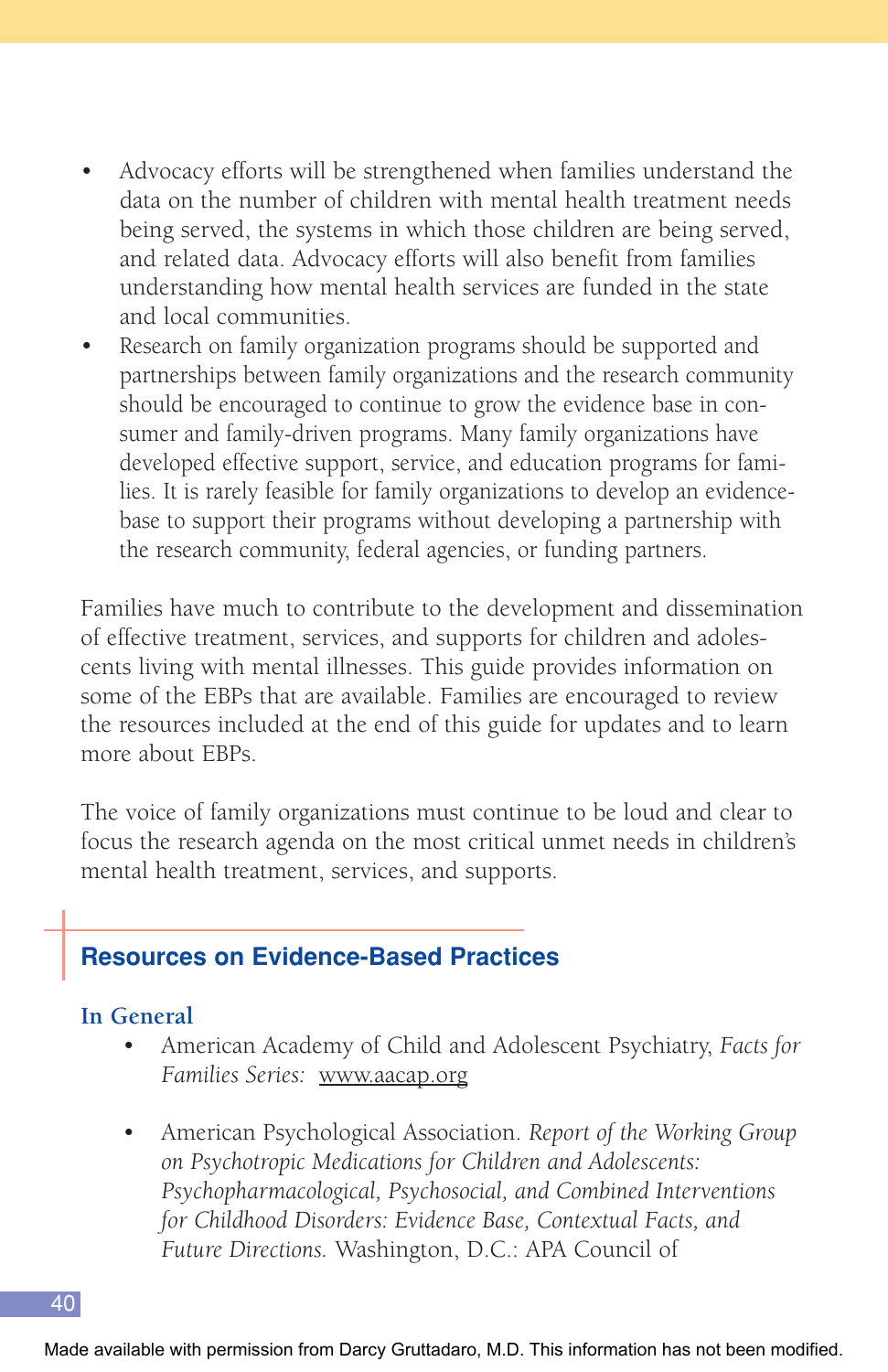- Advocacy efforts will be strengthened when families understand the data on the number of children with mental health treatment needs being served, the systems in which those children are being served, and related data. Advocacy efforts will also benefit from families understanding how mental health services are funded in the state and local communities.
- Research on family organization programs should be supported and partnerships between family organizations and the research community should be encouraged to continue to grow the evidence base in consumer and family-driven programs. Many family organizations have developed effective support, service, and education programs for families. It is rarely feasible for family organizations to develop an evidencebase to support their programs without developing a partnership with the research community, federal agencies, or funding partners.

Families have much to contribute to the development and dissemination of effective treatment, services, and supports for children and adolescents living with mental illnesses. This guide provides information on some of the EBPs that are available. Families are encouraged to review the resources included at the end of this guide for updates and to learn more about EBPs.

The voice of family organizations must continue to be loud and clear to focus the research agenda on the most critical unmet needs in children's mental health treatment, services, and supports.

## **Resources on Evidence-Based Practices**

#### **In General**

- American Academy of Child and Adolescent Psychiatry, *Facts for Families Series:* www.aacap.org
- American Psychological Association. *Report of the Working Group on Psychotropic Medications for Children and Adolescents: Psychopharmacological, Psychosocial, and Combined Interventions for Childhood Disorders: Evidence Base, Contextual Facts, and Future Directions.* Washington, D.C.: APA Council of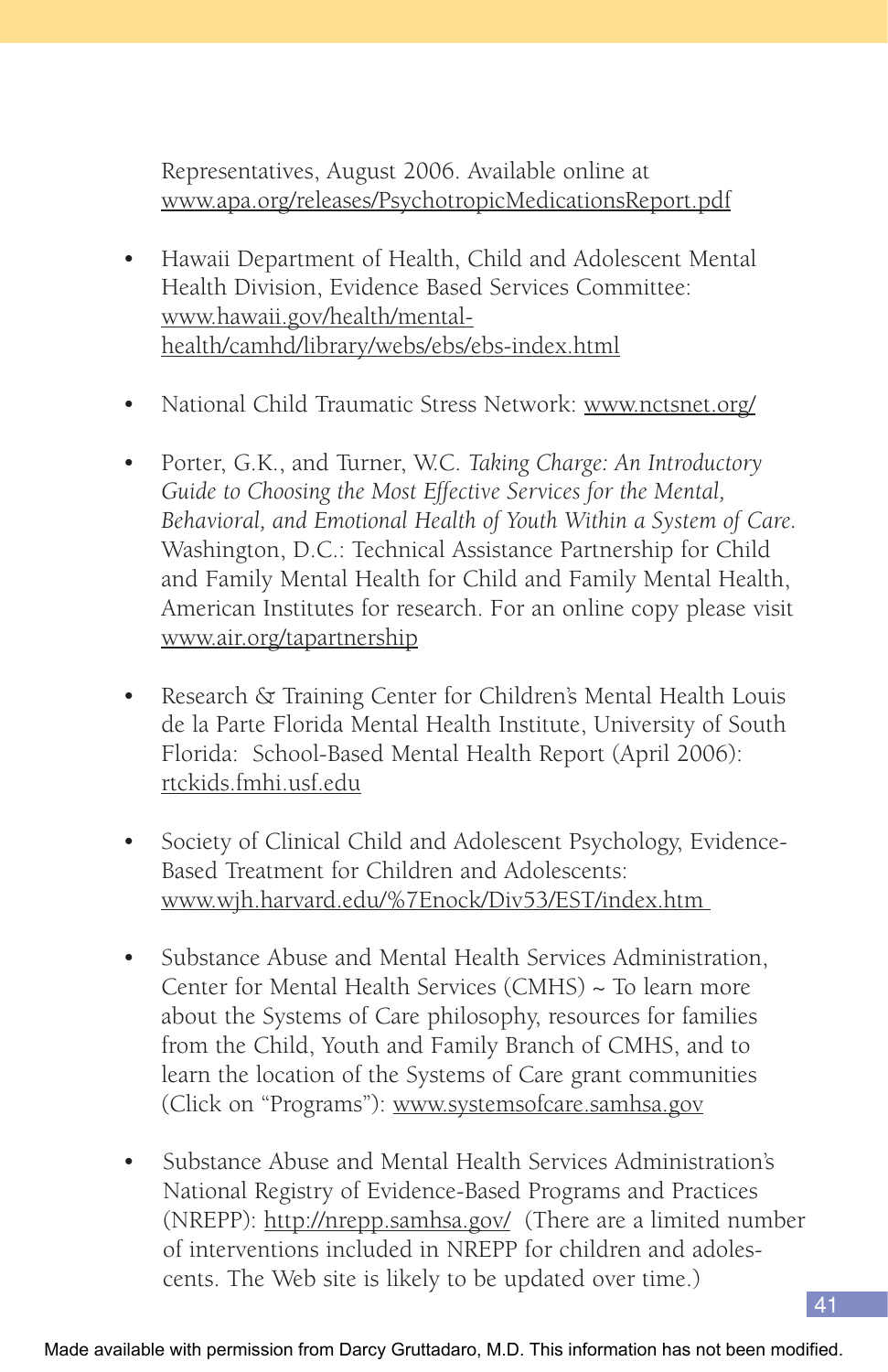Representatives, August 2006. Available online at www.apa.org/releases/PsychotropicMedicationsReport.pdf

- Hawaii Department of Health, Child and Adolescent Mental Health Division, Evidence Based Services Committee: www.hawaii.gov/health/mentalhealth/camhd/library/webs/ebs/ebs-index.html
- National Child Traumatic Stress Network: www.nctsnet.org/
- Porter, G.K., and Turner, W.C. *Taking Charge: An Introductory Guide to Choosing the Most Effective Services for the Mental, Behavioral, and Emotional Health of Youth Within a System of Care.* Washington, D.C.: Technical Assistance Partnership for Child and Family Mental Health for Child and Family Mental Health, American Institutes for research. For an online copy please visit www.air.org/tapartnership
- Research & Training Center for Children's Mental Health Louis de la Parte Florida Mental Health Institute, University of South Florida: School-Based Mental Health Report (April 2006): rtckids.fmhi.usf.edu
- Society of Clinical Child and Adolescent Psychology, Evidence-Based Treatment for Children and Adolescents: www.wjh.harvard.edu/%7Enock/Div53/EST/index.htm
- Substance Abuse and Mental Health Services Administration, Center for Mental Health Services (CMHS) ~ To learn more about the Systems of Care philosophy, resources for families from the Child, Youth and Family Branch of CMHS, and to learn the location of the Systems of Care grant communities (Click on "Programs"): www.systemsofcare.samhsa.gov
- Substance Abuse and Mental Health Services Administration's National Registry of Evidence-Based Programs and Practices (NREPP): http://nrepp.samhsa.gov/ (There are a limited number of interventions included in NREPP for children and adolescents. The Web site is likely to be updated over time.)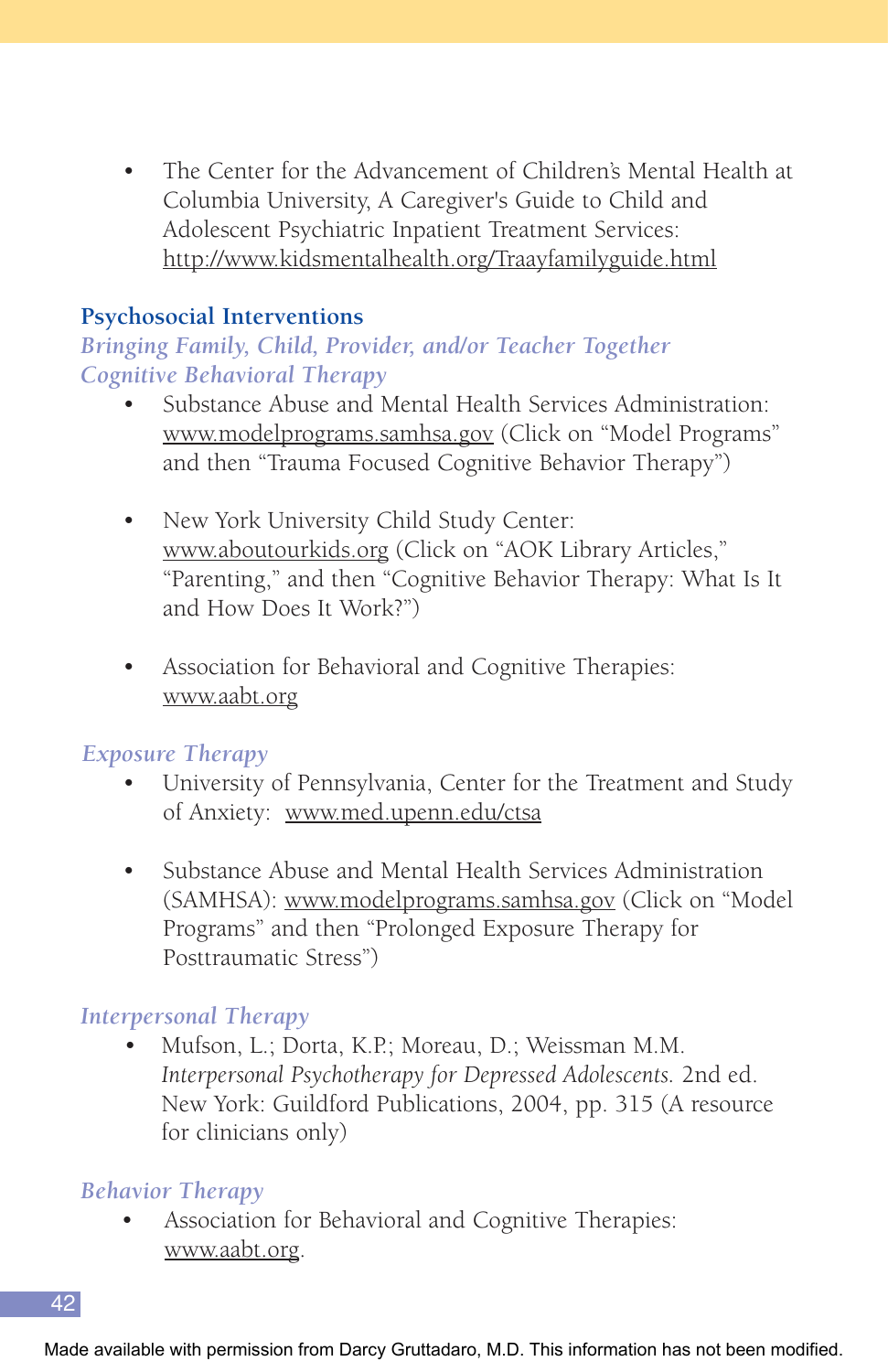• The Center for the Advancement of Children's Mental Health at Columbia University, A Caregiver's Guide to Child and Adolescent Psychiatric Inpatient Treatment Services: http://www.kidsmentalhealth.org/Traayfamilyguide.html

#### **Psychosocial Interventions**

## *Bringing Family, Child, Provider, and/or Teacher Together Cognitive Behavioral Therapy*

- Substance Abuse and Mental Health Services Administration: www.modelprograms.samhsa.gov (Click on "Model Programs" and then "Trauma Focused Cognitive Behavior Therapy")
- New York University Child Study Center: www.aboutourkids.org (Click on "AOK Library Articles," "Parenting," and then "Cognitive Behavior Therapy: What Is It and How Does It Work?")
- Association for Behavioral and Cognitive Therapies: www.aabt.org

#### *Exposure Therapy*

- University of Pennsylvania, Center for the Treatment and Study of Anxiety: www.med.upenn.edu/ctsa
- Substance Abuse and Mental Health Services Administration (SAMHSA): www.modelprograms.samhsa.gov (Click on "Model Programs" and then "Prolonged Exposure Therapy for Posttraumatic Stress")

## *Interpersonal Therapy*

• Mufson, L.; Dorta, K.P.; Moreau, D.; Weissman M.M. *Interpersonal Psychotherapy for Depressed Adolescents.* 2nd ed. New York: Guildford Publications, 2004, pp. 315 (A resource for clinicians only)

#### *Behavior Therapy*

• Association for Behavioral and Cognitive Therapies: www.aabt.org.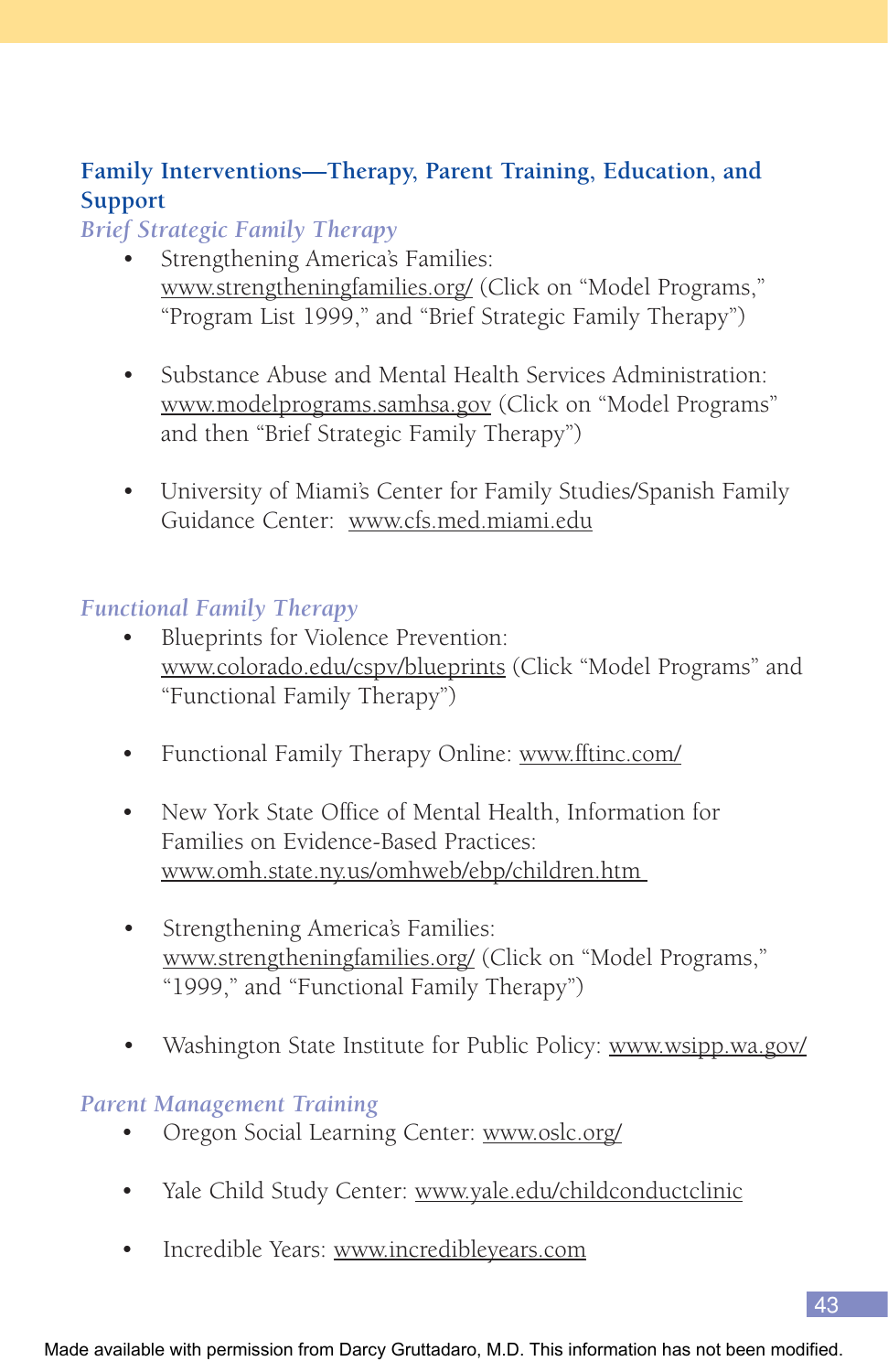## **Family Interventions—Therapy, Parent Training, Education, and Support**

#### *Brief Strategic Family Therapy*

- Strengthening America's Families: www.strengtheningfamilies.org/ (Click on "Model Programs," "Program List 1999," and "Brief Strategic Family Therapy")
- Substance Abuse and Mental Health Services Administration: www.modelprograms.samhsa.gov (Click on "Model Programs" and then "Brief Strategic Family Therapy")
- University of Miami's Center for Family Studies/Spanish Family Guidance Center: www.cfs.med.miami.edu

#### *Functional Family Therapy*

- Blueprints for Violence Prevention: www.colorado.edu/cspv/blueprints (Click "Model Programs" and "Functional Family Therapy")
- Functional Family Therapy Online: www.fftinc.com/
- New York State Office of Mental Health, Information for Families on Evidence-Based Practices: www.omh.state.ny.us/omhweb/ebp/children.htm
- Strengthening America's Families: www.strengtheningfamilies.org/ (Click on "Model Programs," "1999," and "Functional Family Therapy")
- Washington State Institute for Public Policy: www.wsipp.wa.gov/

#### *Parent Management Training*

- Oregon Social Learning Center: www.oslc.org/
- Yale Child Study Center: www.yale.edu/childconductclinic
- Incredible Years: www.incredibleyears.com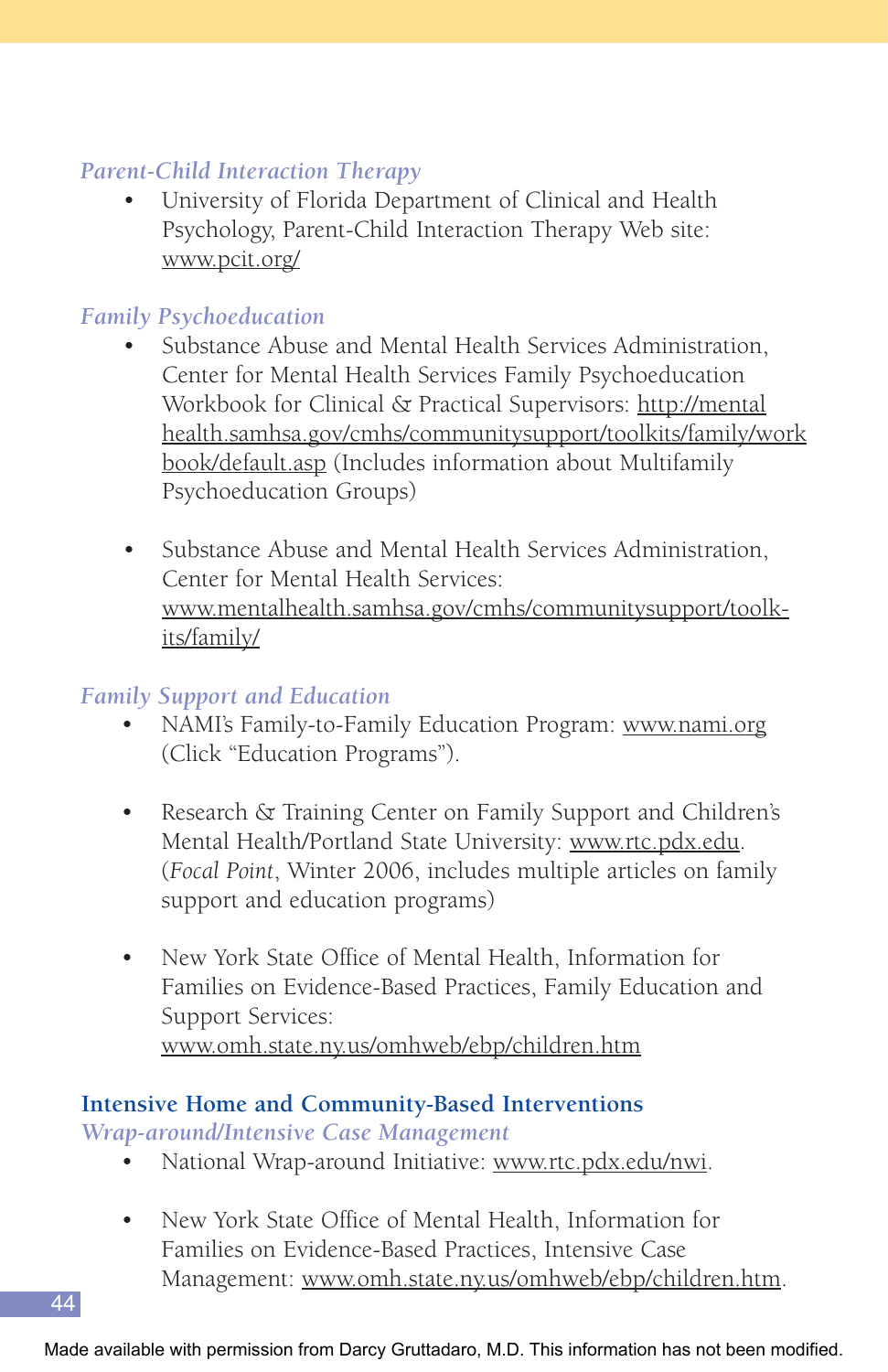## *Parent-Child Interaction Therapy*

• University of Florida Department of Clinical and Health Psychology, Parent-Child Interaction Therapy Web site: www.pcit.org/

## *Family Psychoeducation*

- Substance Abuse and Mental Health Services Administration, Center for Mental Health Services Family Psychoeducation Workbook for Clinical & Practical Supervisors: http://mental health.samhsa.gov/cmhs/communitysupport/toolkits/family/work book/default.asp (Includes information about Multifamily Psychoeducation Groups)
- Substance Abuse and Mental Health Services Administration, Center for Mental Health Services: www.mentalhealth.samhsa.gov/cmhs/communitysupport/toolkits/family/

## *Family Support and Education*

- NAMI's Family-to-Family Education Program: www.nami.org (Click "Education Programs").
- Research & Training Center on Family Support and Children's Mental Health/Portland State University: www.rtc.pdx.edu. (*Focal Point*, Winter 2006, includes multiple articles on family support and education programs)
- New York State Office of Mental Health, Information for Families on Evidence-Based Practices, Family Education and Support Services: www.omh.state.ny.us/omhweb/ebp/children.htm

#### **Intensive Home and Community-Based Interventions** *Wrap-around/Intensive Case Management*

- National Wrap-around Initiative: www.rtc.pdx.edu/nwi.
- New York State Office of Mental Health, Information for Families on Evidence-Based Practices, Intensive Case Management: www.omh.state.ny.us/omhweb/ebp/children.htm.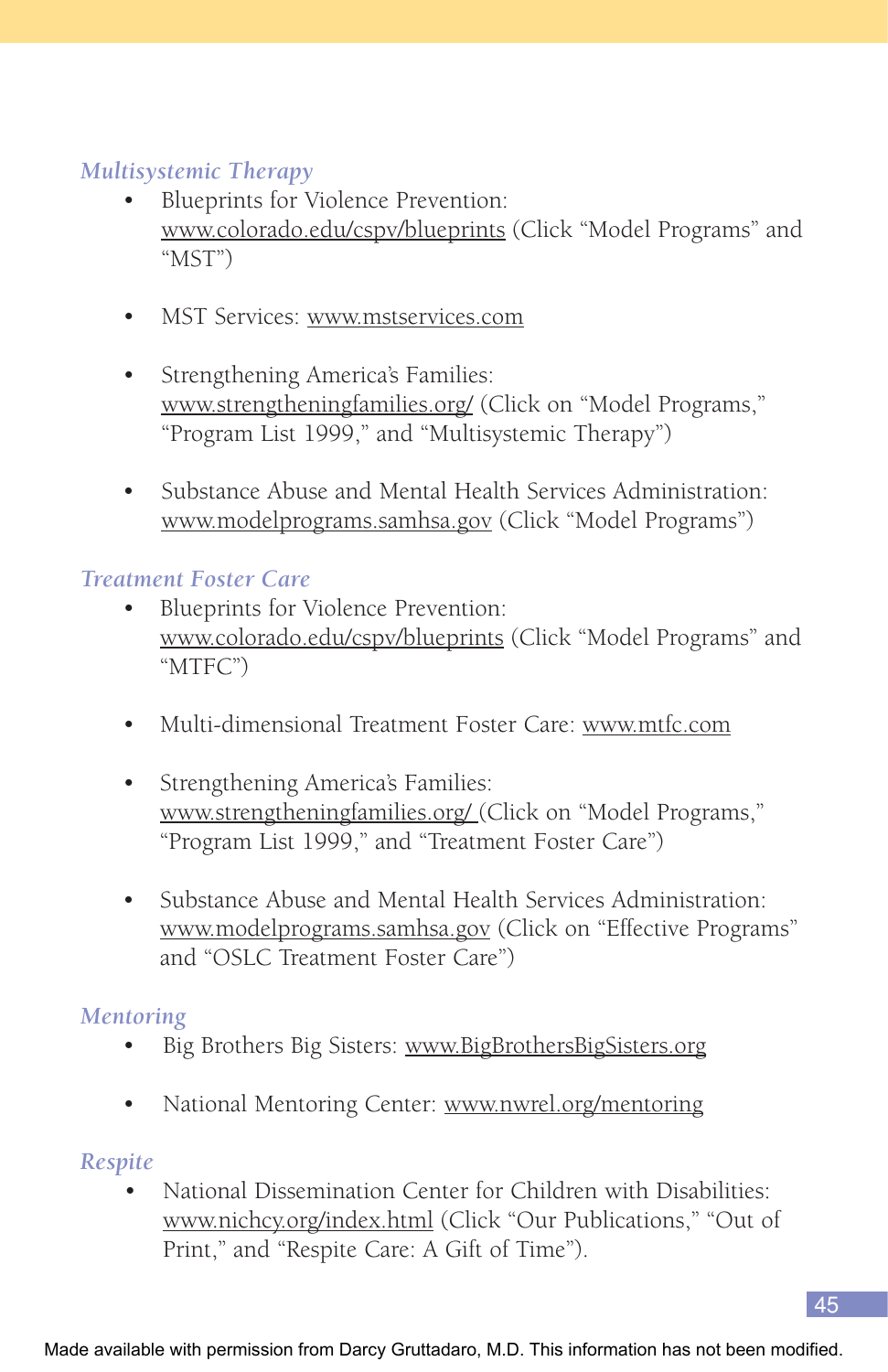## *Multisystemic Therapy*

- Blueprints for Violence Prevention: www.colorado.edu/cspv/blueprints (Click "Model Programs" and "MST")
- MST Services: www.mstservices.com
- Strengthening America's Families: www.strengtheningfamilies.org/ (Click on "Model Programs," "Program List 1999," and "Multisystemic Therapy")
- Substance Abuse and Mental Health Services Administration: www.modelprograms.samhsa.gov (Click "Model Programs")

#### *Treatment Foster Care*

- Blueprints for Violence Prevention: www.colorado.edu/cspv/blueprints (Click "Model Programs" and "MTFC")
- Multi-dimensional Treatment Foster Care: www.mtfc.com
- Strengthening America's Families: www.strengtheningfamilies.org/ (Click on "Model Programs," "Program List 1999," and "Treatment Foster Care")
- Substance Abuse and Mental Health Services Administration: www.modelprograms.samhsa.gov (Click on "Effective Programs" and "OSLC Treatment Foster Care")

#### *Mentoring*

- Big Brothers Big Sisters: www.BigBrothersBigSisters.org
- National Mentoring Center: www.nwrel.org/mentoring

## *Respite*

• National Dissemination Center for Children with Disabilities: www.nichcy.org/index.html (Click "Our Publications," "Out of Print," and "Respite Care: A Gift of Time").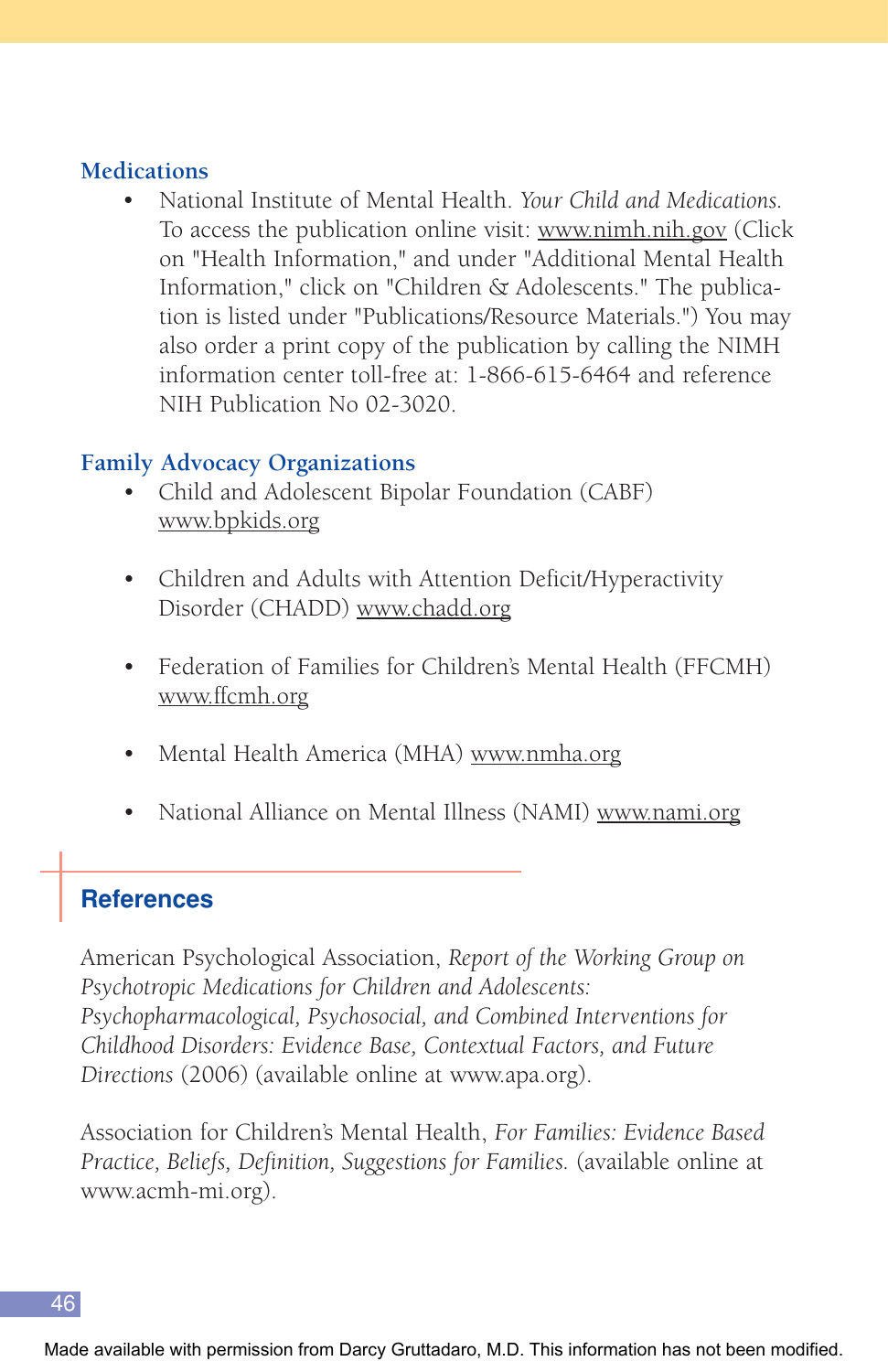#### **Medications**

• National Institute of Mental Health. *Your Child and Medications.* To access the publication online visit: www.nimh.nih.gov (Click on "Health Information," and under "Additional Mental Health Information," click on "Children & Adolescents." The publication is listed under "Publications/Resource Materials.") You may also order a print copy of the publication by calling the NIMH information center toll-free at: 1-866-615-6464 and reference NIH Publication No 02-3020.

#### **Family Advocacy Organizations**

- Child and Adolescent Bipolar Foundation (CABF) www.bpkids.org
- Children and Adults with Attention Deficit/Hyperactivity Disorder (CHADD) www.chadd.org
- Federation of Families for Children's Mental Health (FFCMH) www.ffcmh.org
- Mental Health America (MHA) www.nmha.org
- National Alliance on Mental Illness (NAMI) www.nami.org

## **References**

American Psychological Association, *Report of the Working Group on Psychotropic Medications for Children and Adolescents: Psychopharmacological, Psychosocial, and Combined Interventions for Childhood Disorders: Evidence Base, Contextual Factors, and Future Directions* (2006) (available online at www.apa.org).

Association for Children's Mental Health, *For Families: Evidence Based Practice, Beliefs, Definition, Suggestions for Families.* (available online at www.acmh-mi.org).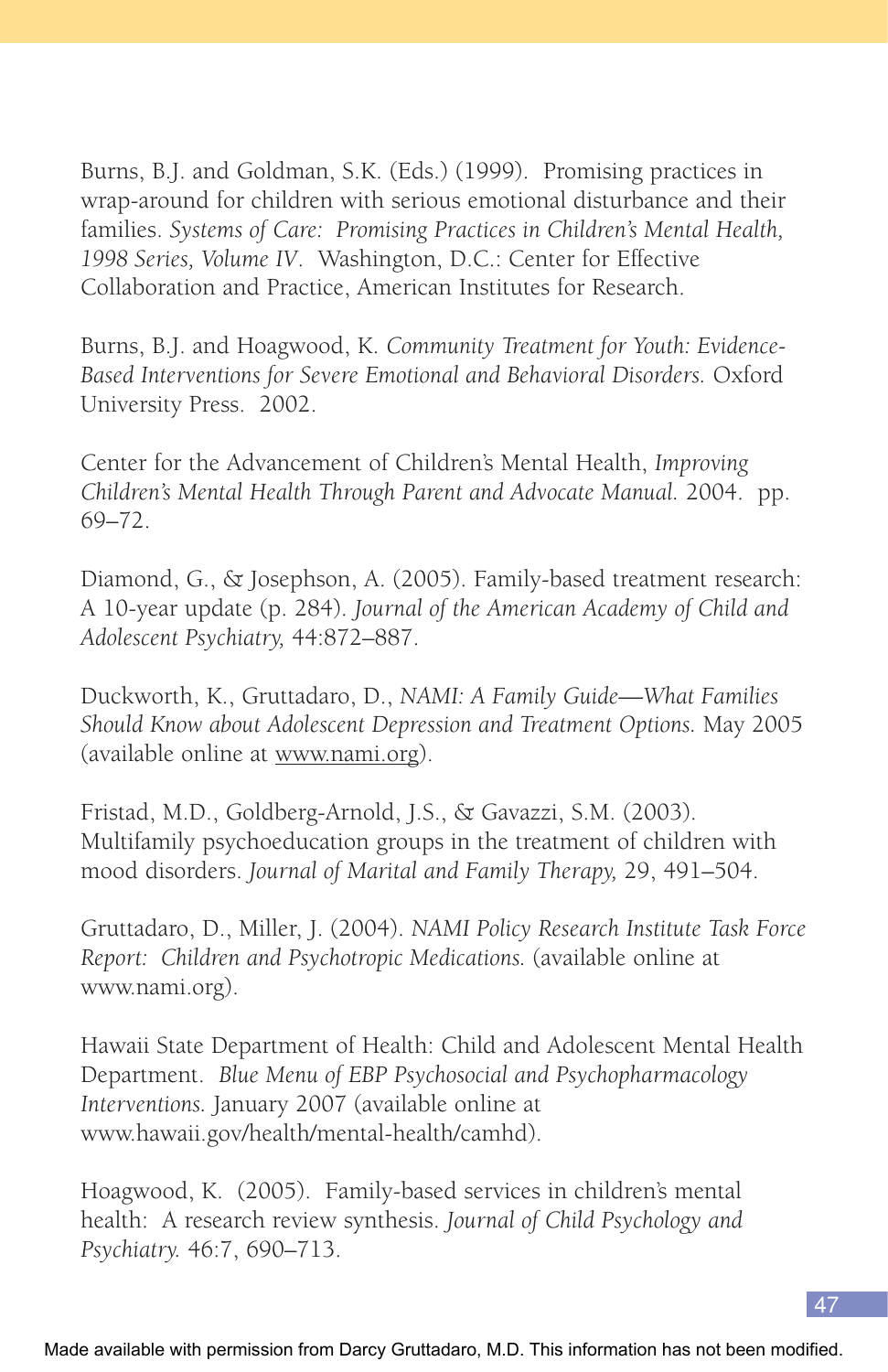Burns, B.J. and Goldman, S.K. (Eds.) (1999). Promising practices in wrap-around for children with serious emotional disturbance and their families. *Systems of Care: Promising Practices in Children's Mental Health, 1998 Series, Volume IV*. Washington, D.C.: Center for Effective Collaboration and Practice, American Institutes for Research.

Burns, B.J. and Hoagwood, K. *Community Treatment for Youth: Evidence-Based Interventions for Severe Emotional and Behavioral Disorders.* Oxford University Press. 2002.

Center for the Advancement of Children's Mental Health, *Improving Children's Mental Health Through Parent and Advocate Manual.* 2004. pp. 69–72.

Diamond, G., & Josephson, A. (2005). Family-based treatment research: A 10-year update (p. 284). *Journal of the American Academy of Child and Adolescent Psychiatry,* 44:872–887.

Duckworth, K., Gruttadaro, D., *NAMI: A Family Guide—What Families Should Know about Adolescent Depression and Treatment Options.* May 2005 (available online at www.nami.org).

Fristad, M.D., Goldberg-Arnold, J.S., & Gavazzi, S.M. (2003). Multifamily psychoeducation groups in the treatment of children with mood disorders. *Journal of Marital and Family Therapy,* 29, 491–504.

Gruttadaro, D., Miller, J. (2004). *NAMI Policy Research Institute Task Force Report: Children and Psychotropic Medications.* (available online at www.nami.org).

Hawaii State Department of Health: Child and Adolescent Mental Health Department. *Blue Menu of EBP Psychosocial and Psychopharmacology Interventions.* January 2007 (available online at www.hawaii.gov/health/mental-health/camhd).

Hoagwood, K. (2005). Family-based services in children's mental health: A research review synthesis. *Journal of Child Psychology and Psychiatry.* 46:7, 690–713.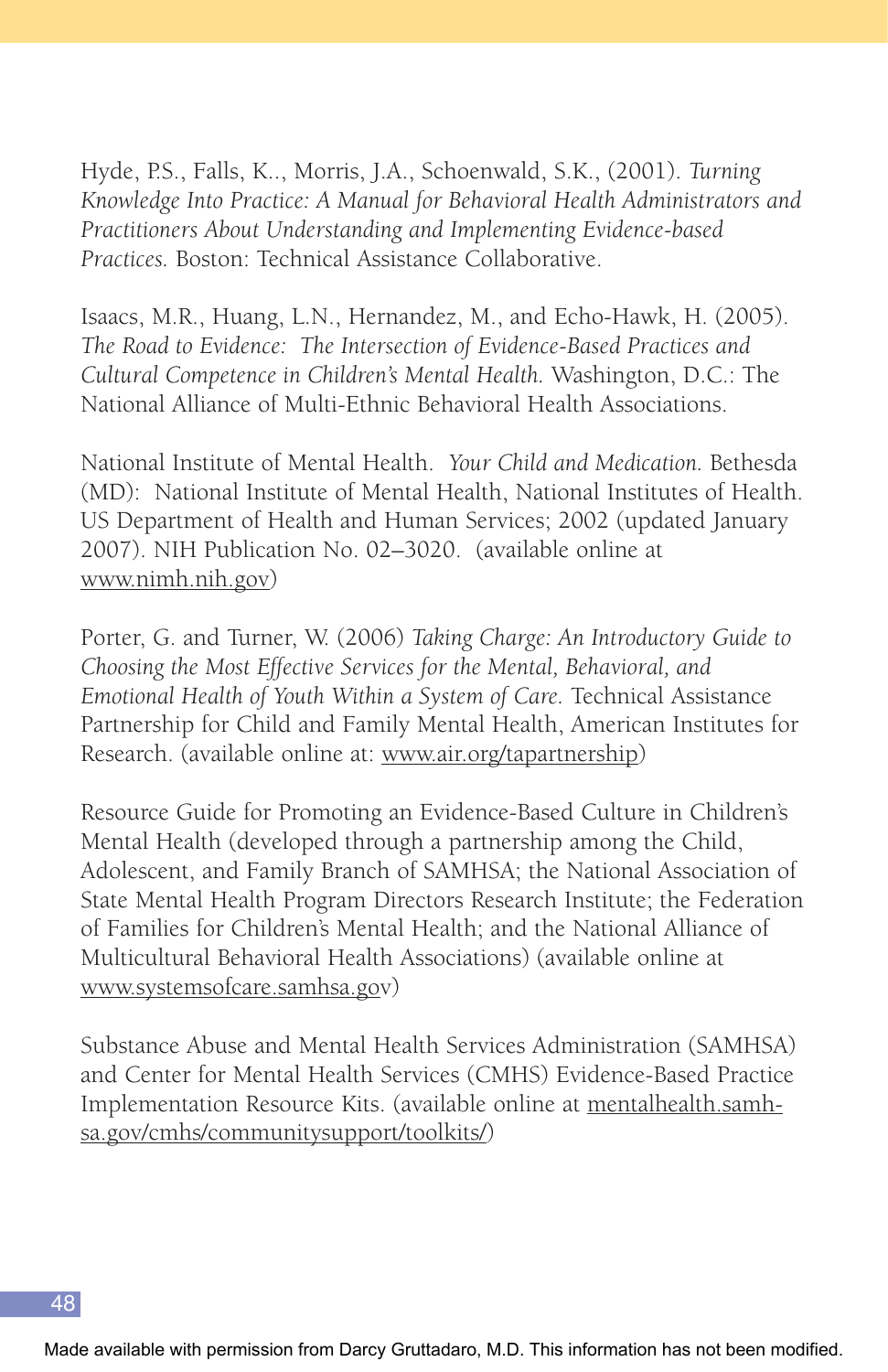Hyde, P.S., Falls, K.., Morris, J.A., Schoenwald, S.K., (2001). *Turning Knowledge Into Practice: A Manual for Behavioral Health Administrators and Practitioners About Understanding and Implementing Evidence-based Practices.* Boston: Technical Assistance Collaborative.

Isaacs, M.R., Huang, L.N., Hernandez, M., and Echo-Hawk, H. (2005). *The Road to Evidence: The Intersection of Evidence-Based Practices and Cultural Competence in Children's Mental Health.* Washington, D.C.: The National Alliance of Multi-Ethnic Behavioral Health Associations.

National Institute of Mental Health. *Your Child and Medication.* Bethesda (MD): National Institute of Mental Health, National Institutes of Health. US Department of Health and Human Services; 2002 (updated January 2007). NIH Publication No. 02–3020. (available online at www.nimh.nih.gov)

Porter, G. and Turner, W. (2006) *Taking Charge: An Introductory Guide to Choosing the Most Effective Services for the Mental, Behavioral, and Emotional Health of Youth Within a System of Care.* Technical Assistance Partnership for Child and Family Mental Health, American Institutes for Research. (available online at: www.air.org/tapartnership)

Resource Guide for Promoting an Evidence-Based Culture in Children's Mental Health (developed through a partnership among the Child, Adolescent, and Family Branch of SAMHSA; the National Association of State Mental Health Program Directors Research Institute; the Federation of Families for Children's Mental Health; and the National Alliance of Multicultural Behavioral Health Associations) (available online at www.systemsofcare.samhsa.gov)

Substance Abuse and Mental Health Services Administration (SAMHSA) and Center for Mental Health Services (CMHS) Evidence-Based Practice Implementation Resource Kits. (available online at mentalhealth.samhsa.gov/cmhs/communitysupport/toolkits/)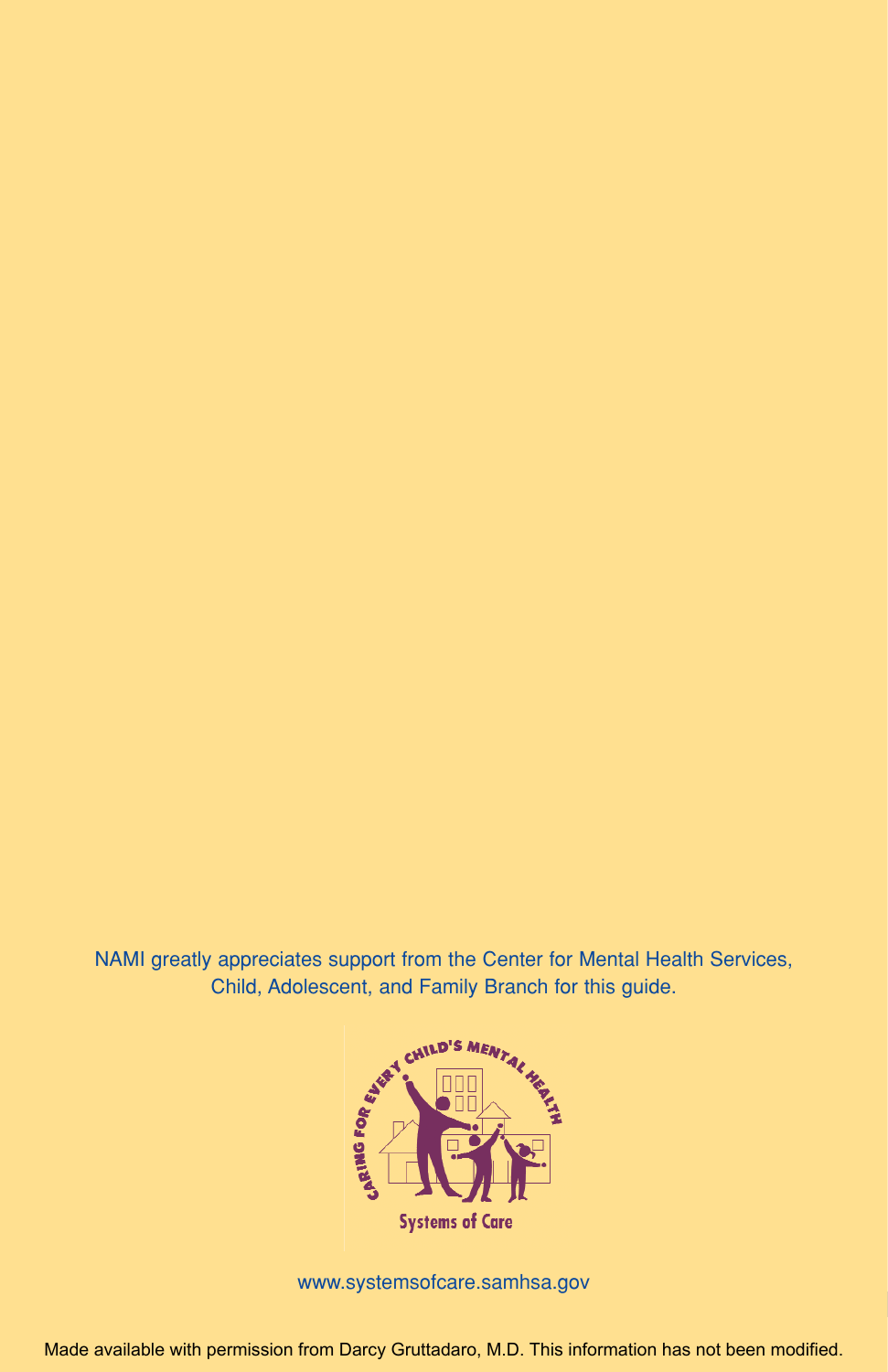NAMI greatly appreciates support from the Center for Mental Health Services, Child, Adolescent, and Family Branch for this guide.



www.systemsofcare.samhsa.gov

Made available with permission from Darcy Gruttadaro, M.D. This information has not been modified.